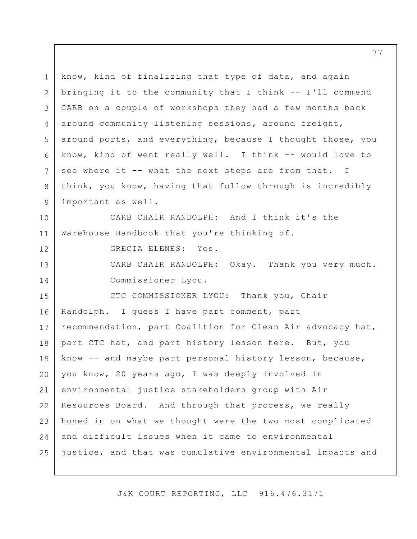1 2 3 4 5 6 7 8 9 10 11 12 13 14 15 16 17 18 19 20 21 22 23 24 25 know, kind of finalizing that type of data, and again bringing it to the community that I think -- I'll commend CARB on a couple of workshops they had a few months back around community listening sessions, around freight, around ports, and everything, because I thought those, you know, kind of went really well. I think -- would love to see where it -- what the next steps are from that. I think, you know, having that follow through is incredibly important as well. CARB CHAIR RANDOLPH: And I think it's the Warehouse Handbook that you're thinking of. GRECIA ELENES: Yes. CARB CHAIR RANDOLPH: Okay. Thank you very much. Commissioner Lyou. CTC COMMISSIONER LYOU: Thank you, Chair Randolph. I guess I have part comment, part recommendation, part Coalition for Clean Air advocacy hat, part CTC hat, and part history lesson here. But, you know -- and maybe part personal history lesson, because, you know, 20 years ago, I was deeply involved in environmental justice stakeholders group with Air Resources Board. And through that process, we really honed in on what we thought were the two most complicated and difficult issues when it came to environmental justice, and that was cumulative environmental impacts and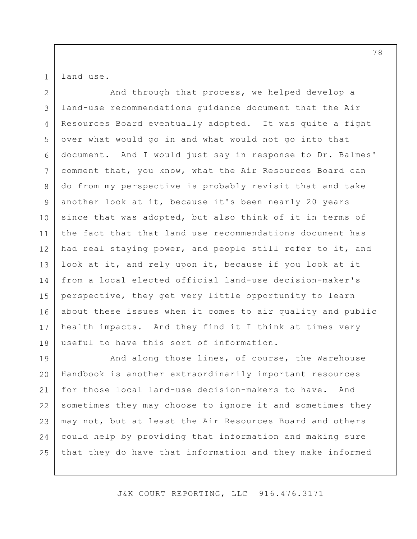land use.

1

2 3 4 5 6 7 8 9 10 11 12 13 14 15 16 17 18 And through that process, we helped develop a land-use recommendations guidance document that the Air Resources Board eventually adopted. It was quite a fight over what would go in and what would not go into that document. And I would just say in response to Dr. Balmes' comment that, you know, what the Air Resources Board can do from my perspective is probably revisit that and take another look at it, because it's been nearly 20 years since that was adopted, but also think of it in terms of the fact that that land use recommendations document has had real staying power, and people still refer to it, and look at it, and rely upon it, because if you look at it from a local elected official land-use decision-maker's perspective, they get very little opportunity to learn about these issues when it comes to air quality and public health impacts. And they find it I think at times very useful to have this sort of information.

19 20 21 22 23 24 25 And along those lines, of course, the Warehouse Handbook is another extraordinarily important resources for those local land-use decision-makers to have. And sometimes they may choose to ignore it and sometimes they may not, but at least the Air Resources Board and others could help by providing that information and making sure that they do have that information and they make informed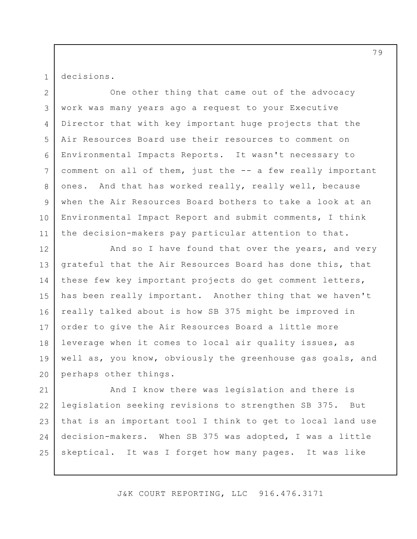decisions.

1

2 3 4 5 6 7 8 9 10 11 One other thing that came out of the advocacy work was many years ago a request to your Executive Director that with key important huge projects that the Air Resources Board use their resources to comment on Environmental Impacts Reports. It wasn't necessary to comment on all of them, just the -- a few really important ones. And that has worked really, really well, because when the Air Resources Board bothers to take a look at an Environmental Impact Report and submit comments, I think the decision-makers pay particular attention to that.

12 13 14 15 16 17 18 19 20 And so I have found that over the years, and very grateful that the Air Resources Board has done this, that these few key important projects do get comment letters, has been really important. Another thing that we haven't really talked about is how SB 375 might be improved in order to give the Air Resources Board a little more leverage when it comes to local air quality issues, as well as, you know, obviously the greenhouse gas goals, and perhaps other things.

21 22 23 24 25 And I know there was legislation and there is legislation seeking revisions to strengthen SB 375. But that is an important tool I think to get to local land use decision-makers. When SB 375 was adopted, I was a little skeptical. It was I forget how many pages. It was like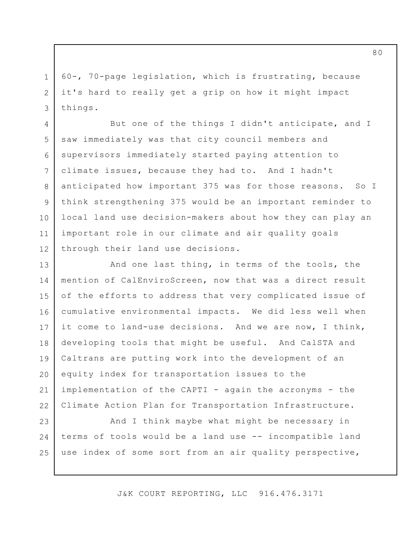60-, 70-page legislation, which is frustrating, because it's hard to really get a grip on how it might impact things.

1

2

3

4 5 6 7 8 9 10 11 12 But one of the things I didn't anticipate, and I saw immediately was that city council members and supervisors immediately started paying attention to climate issues, because they had to. And I hadn't anticipated how important 375 was for those reasons. So I think strengthening 375 would be an important reminder to local land use decision-makers about how they can play an important role in our climate and air quality goals through their land use decisions.

13 14 15 16 17 18 19 20 21 22 And one last thing, in terms of the tools, the mention of CalEnviroScreen, now that was a direct result of the efforts to address that very complicated issue of cumulative environmental impacts. We did less well when it come to land-use decisions. And we are now, I think, developing tools that might be useful. And CalSTA and Caltrans are putting work into the development of an equity index for transportation issues to the implementation of the CAPTI - again the acronyms - the Climate Action Plan for Transportation Infrastructure.

23 24 25 And I think maybe what might be necessary in terms of tools would be a land use -- incompatible land use index of some sort from an air quality perspective,

J&K COURT REPORTING, LLC 916.476.3171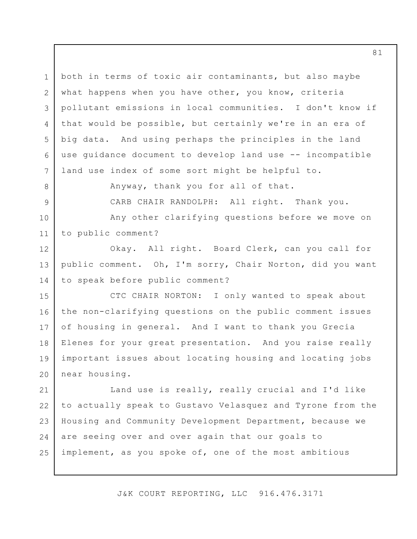1 2 3 4 5 6 7 both in terms of toxic air contaminants, but also maybe what happens when you have other, you know, criteria pollutant emissions in local communities. I don't know if that would be possible, but certainly we're in an era of big data. And using perhaps the principles in the land use guidance document to develop land use -- incompatible land use index of some sort might be helpful to.

Anyway, thank you for all of that.

8

9

12

14

CARB CHAIR RANDOLPH: All right. Thank you.

10 11 Any other clarifying questions before we move on to public comment?

13 Okay. All right. Board Clerk, can you call for public comment. Oh, I'm sorry, Chair Norton, did you want to speak before public comment?

15 16 17 18 19 20 CTC CHAIR NORTON: I only wanted to speak about the non-clarifying questions on the public comment issues of housing in general. And I want to thank you Grecia Elenes for your great presentation. And you raise really important issues about locating housing and locating jobs near housing.

21 22 23 24 25 Land use is really, really crucial and I'd like to actually speak to Gustavo Velasquez and Tyrone from the Housing and Community Development Department, because we are seeing over and over again that our goals to implement, as you spoke of, one of the most ambitious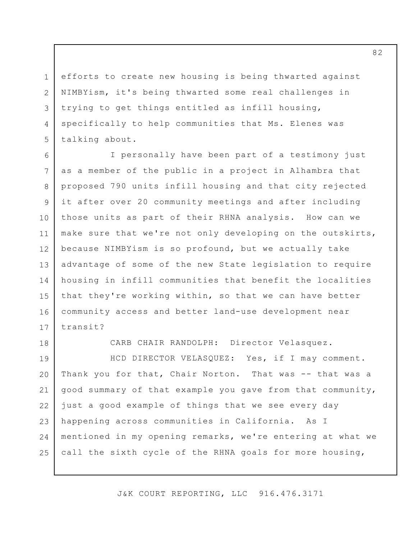1 2

3

4

5

efforts to create new housing is being thwarted against NIMBYism, it's being thwarted some real challenges in trying to get things entitled as infill housing, specifically to help communities that Ms. Elenes was talking about.

6 7 8 9 10 11 12 13 14 15 16 17 I personally have been part of a testimony just as a member of the public in a project in Alhambra that proposed 790 units infill housing and that city rejected it after over 20 community meetings and after including those units as part of their RHNA analysis. How can we make sure that we're not only developing on the outskirts, because NIMBYism is so profound, but we actually take advantage of some of the new State legislation to require housing in infill communities that benefit the localities that they're working within, so that we can have better community access and better land-use development near transit?

18 19 20

CARB CHAIR RANDOLPH: Director Velasquez.

21 22 23 24 25 HCD DIRECTOR VELASQUEZ: Yes, if I may comment. Thank you for that, Chair Norton. That was -- that was a good summary of that example you gave from that community, just a good example of things that we see every day happening across communities in California. As I mentioned in my opening remarks, we're entering at what we call the sixth cycle of the RHNA goals for more housing,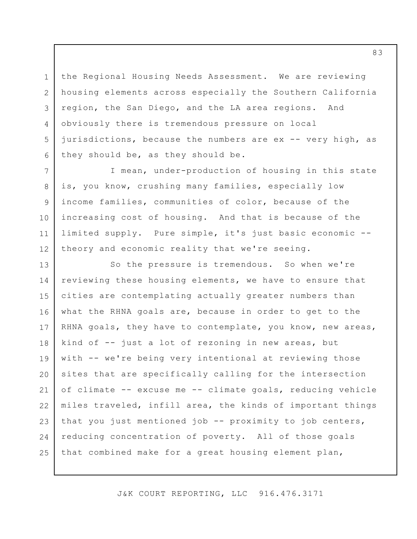the Regional Housing Needs Assessment. We are reviewing housing elements across especially the Southern California region, the San Diego, and the LA area regions. And obviously there is tremendous pressure on local jurisdictions, because the numbers are ex -- very high, as they should be, as they should be.

1

2

3

4

5

6

7

8

9

10

11

12

I mean, under-production of housing in this state is, you know, crushing many families, especially low income families, communities of color, because of the increasing cost of housing. And that is because of the limited supply. Pure simple, it's just basic economic - theory and economic reality that we're seeing.

13 14 15 16 17 18 19 20 21 22 23 24 25 So the pressure is tremendous. So when we're reviewing these housing elements, we have to ensure that cities are contemplating actually greater numbers than what the RHNA goals are, because in order to get to the RHNA goals, they have to contemplate, you know, new areas, kind of -- just a lot of rezoning in new areas, but with -- we're being very intentional at reviewing those sites that are specifically calling for the intersection of climate -- excuse me -- climate goals, reducing vehicle miles traveled, infill area, the kinds of important things that you just mentioned job -- proximity to job centers, reducing concentration of poverty. All of those goals that combined make for a great housing element plan,

J&K COURT REPORTING, LLC 916.476.3171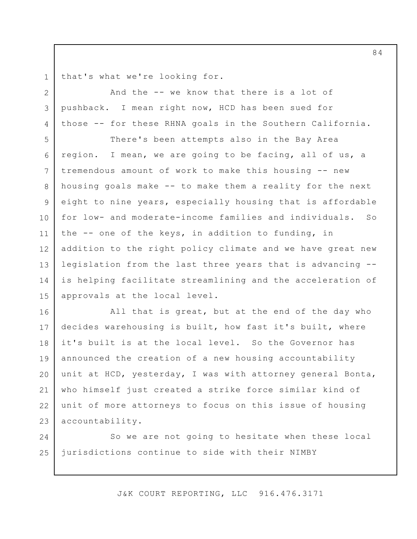1 that's what we're looking for.

2

3

4

And the -- we know that there is a lot of pushback. I mean right now, HCD has been sued for those -- for these RHNA goals in the Southern California.

5 6 7 8 9 10 11 12 13 14 15 There's been attempts also in the Bay Area region. I mean, we are going to be facing, all of us, a tremendous amount of work to make this housing -- new housing goals make -- to make them a reality for the next eight to nine years, especially housing that is affordable for low- and moderate-income families and individuals. So the -- one of the keys, in addition to funding, in addition to the right policy climate and we have great new legislation from the last three years that is advancing - is helping facilitate streamlining and the acceleration of approvals at the local level.

16 17 18 19 20 21 22 23 All that is great, but at the end of the day who decides warehousing is built, how fast it's built, where it's built is at the local level. So the Governor has announced the creation of a new housing accountability unit at HCD, yesterday, I was with attorney general Bonta, who himself just created a strike force similar kind of unit of more attorneys to focus on this issue of housing accountability.

24 25 So we are not going to hesitate when these local jurisdictions continue to side with their NIMBY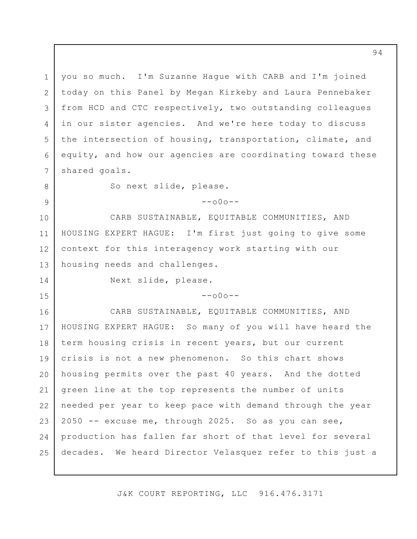1 2 3 4 5 6 7 8 9 10 11 12 13 14 15 16 17 18 19 20 21 22 23 you so much. I'm Suzanne Hague with CARB and I'm joined today on this Panel by Megan Kirkeby and Laura Pennebaker from HCD and CTC respectively, two outstanding colleagues in our sister agencies. And we're here today to discuss the intersection of housing, transportation, climate, and equity, and how our agencies are coordinating toward these shared goals. So next slide, please.  $--000--$ CARB SUSTAINABLE, EQUITABLE COMMUNITIES, AND HOUSING EXPERT HAGUE: I'm first just going to give some context for this interagency work starting with our housing needs and challenges. Next slide, please.  $--000--$ CARB SUSTAINABLE, EQUITABLE COMMUNITIES, AND HOUSING EXPERT HAGUE: So many of you will have heard the term housing crisis in recent years, but our current crisis is not a new phenomenon. So this chart shows housing permits over the past 40 years. And the dotted green line at the top represents the number of units needed per year to keep pace with demand through the year 2050 -- excuse me, through 2025. So as you can see,

25 decades. We heard Director Velasquez refer to this just a

production has fallen far short of that level for several

24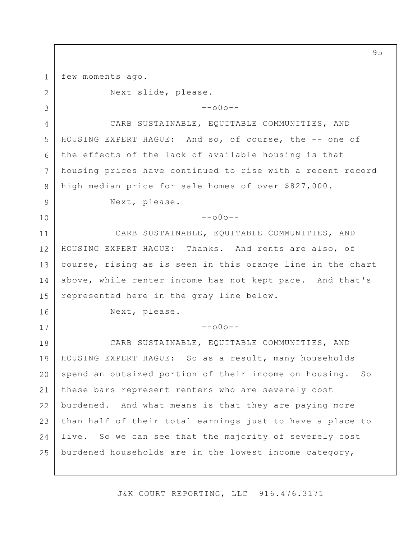few moments ago.

1 2 3 4 5 6 7 8 9 10 11 12 13 14 15 16 17 18 19 20 21 22 23  $24$ 25 Next slide, please.  $--000--$ CARB SUSTAINABLE, EQUITABLE COMMUNITIES, AND HOUSING EXPERT HAGUE: And so, of course, the -- one of the effects of the lack of available housing is that housing prices have continued to rise with a recent record high median price for sale homes of over \$827,000. Next, please.  $--000--$  CARB SUSTAINABLE, EQUITABLE COMMUNITIES, AND HOUSING EXPERT HAGUE: Thanks. And rents are also, of course, rising as is seen in this orange line in the chart above, while renter income has not kept pace. And that's represented here in the gray line below. Next, please.  $--000--$ CARB SUSTAINABLE, EQUITABLE COMMUNITIES, AND HOUSING EXPERT HAGUE: So as a result, many households spend an outsized portion of their income on housing. So these bars represent renters who are severely cost burdened. And what means is that they are paying more than half of their total earnings just to have a place to live. So we can see that the majority of severely cost burdened households are in the lowest income category,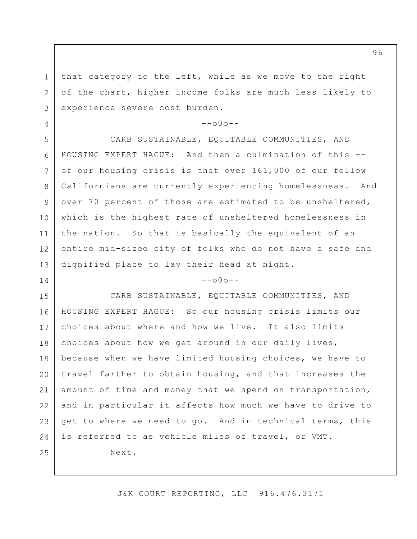that category to the left, while as we move to the right of the chart, higher income folks are much less likely to experience severe cost burden.

1

2

3

4

5

6

7

8

9

10

11

12

13

14

 $--000--$ 

CARB SUSTAINABLE, EQUITABLE COMMUNITIES, AND HOUSING EXPERT HAGUE: And then a culmination of this - of our housing crisis is that over 161,000 of our fellow Californians are currently experiencing homelessness. And over 70 percent of those are estimated to be unsheltered, which is the highest rate of unsheltered homelessness in the nation. So that is basically the equivalent of an entire mid-sized city of folks who do not have a safe and dignified place to lay their head at night.

#### $--000--$

15 16 17 18 19 20 21 22 23 24 25 CARB SUSTAINABLE, EQUITABLE COMMUNITIES, AND HOUSING EXPERT HAGUE: So our housing crisis limits our choices about where and how we live. It also limits choices about how we get around in our daily lives, because when we have limited housing choices, we have to travel farther to obtain housing, and that increases the amount of time and money that we spend on transportation, and in particular it affects how much we have to drive to get to where we need to go. And in technical terms, this is referred to as vehicle miles of travel, or VMT. Next.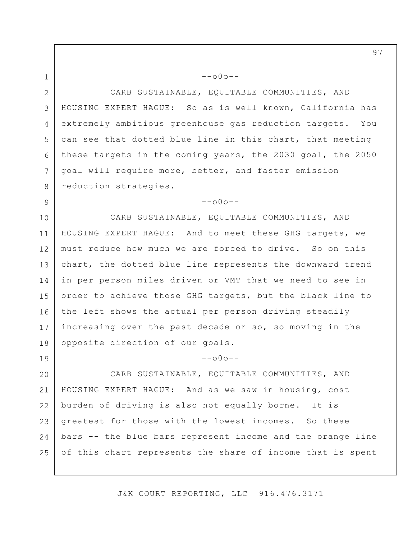2 3 4 5 6 7 8 CARB SUSTAINABLE, EQUITABLE COMMUNITIES, AND HOUSING EXPERT HAGUE: So as is well known, California has extremely ambitious greenhouse gas reduction targets. You can see that dotted blue line in this chart, that meeting these targets in the coming years, the 2030 goal, the 2050 goal will require more, better, and faster emission reduction strategies.

 $--000--$ 

1

9

 $--000--$ 

10 11 12 13 14 15 16 17 18 CARB SUSTAINABLE, EQUITABLE COMMUNITIES, AND HOUSING EXPERT HAGUE: And to meet these GHG targets, we must reduce how much we are forced to drive. So on this chart, the dotted blue line represents the downward trend in per person miles driven or VMT that we need to see in order to achieve those GHG targets, but the black line to the left shows the actual per person driving steadily increasing over the past decade or so, so moving in the opposite direction of our goals.

19 20 21 22 23  $24$ 25  $--000--$ CARB SUSTAINABLE, EQUITABLE COMMUNITIES, AND HOUSING EXPERT HAGUE: And as we saw in housing, cost burden of driving is also not equally borne. It is greatest for those with the lowest incomes. So these bars -- the blue bars represent income and the orange line of this chart represents the share of income that is spent

J&K COURT REPORTING, LLC 916.476.3171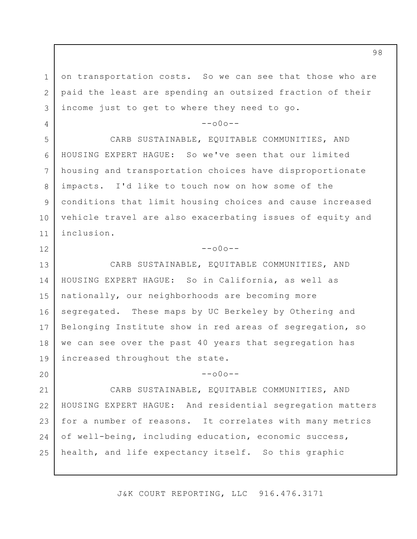on transportation costs. So we can see that those who are paid the least are spending an outsized fraction of their income just to get to where they need to go.

1

2

3

4

5

6

7

8

9

10

11

12

20

 $--000--$ 

CARB SUSTAINABLE, EQUITABLE COMMUNITIES, AND HOUSING EXPERT HAGUE: So we've seen that our limited housing and transportation choices have disproportionate impacts. I'd like to touch now on how some of the conditions that limit housing choices and cause increased vehicle travel are also exacerbating issues of equity and inclusion.

## $--000--$

13 14 15 16 17 18 19 CARB SUSTAINABLE, EQUITABLE COMMUNITIES, AND HOUSING EXPERT HAGUE: So in California, as well as nationally, our neighborhoods are becoming more segregated. These maps by UC Berkeley by Othering and Belonging Institute show in red areas of segregation, so we can see over the past 40 years that segregation has increased throughout the state.

 $--000--$ 

21 22 23 24 25 CARB SUSTAINABLE, EQUITABLE COMMUNITIES, AND HOUSING EXPERT HAGUE: And residential segregation matters for a number of reasons. It correlates with many metrics of well-being, including education, economic success, health, and life expectancy itself. So this graphic

J&K COURT REPORTING, LLC 916.476.3171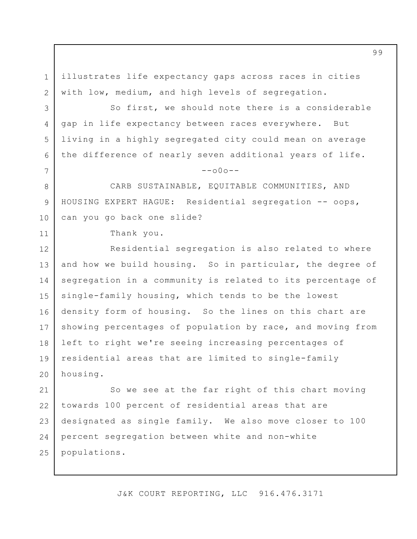illustrates life expectancy gaps across races in cities with low, medium, and high levels of segregation.

So first, we should note there is a considerable gap in life expectancy between races everywhere. But living in a highly segregated city could mean on average the difference of nearly seven additional years of life.

 $--000--$ 

CARB SUSTAINABLE, EQUITABLE COMMUNITIES, AND HOUSING EXPERT HAGUE: Residential segregation -- oops, can you go back one slide?

Thank you.

1

2

3

4

5

6

7

8

9

10

11

12 13 14 15 16 17 18 19 20 Residential segregation is also related to where and how we build housing. So in particular, the degree of segregation in a community is related to its percentage of single-family housing, which tends to be the lowest density form of housing. So the lines on this chart are showing percentages of population by race, and moving from left to right we're seeing increasing percentages of residential areas that are limited to single-family housing.

21 22 23 24 25 So we see at the far right of this chart moving towards 100 percent of residential areas that are designated as single family. We also move closer to 100 percent segregation between white and non-white populations.

J&K COURT REPORTING, LLC 916.476.3171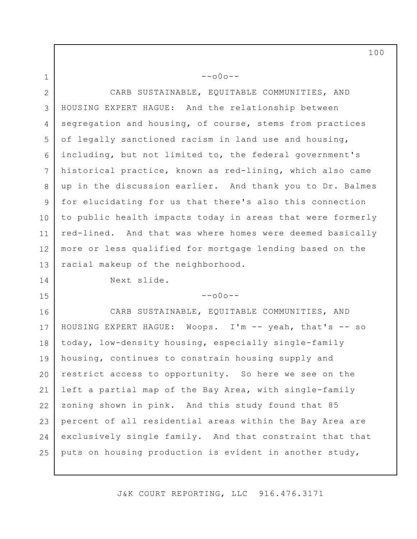2 3 4 5 6 7 8 9 10 11 12 13 CARB SUSTAINABLE, EQUITABLE COMMUNITIES, AND HOUSING EXPERT HAGUE: And the relationship between segregation and housing, of course, stems from practices of legally sanctioned racism in land use and housing, including, but not limited to, the federal government's historical practice, known as red-lining, which also came up in the discussion earlier. And thank you to Dr. Balmes for elucidating for us that there's also this connection to public health impacts today in areas that were formerly red-lined. And that was where homes were deemed basically more or less qualified for mortgage lending based on the racial makeup of the neighborhood.

 $--000--$ 

Next slide.

1

14

15

### --o0o--

16 17 18 19 20 21 22 23 24 25 CARB SUSTAINABLE, EQUITABLE COMMUNITIES, AND HOUSING EXPERT HAGUE: Woops. I'm -- yeah, that's -- so today, low-density housing, especially single-family housing, continues to constrain housing supply and restrict access to opportunity. So here we see on the left a partial map of the Bay Area, with single-family zoning shown in pink. And this study found that 85 percent of all residential areas within the Bay Area are exclusively single family. And that constraint that that puts on housing production is evident in another study,

J&K COURT REPORTING, LLC 916.476.3171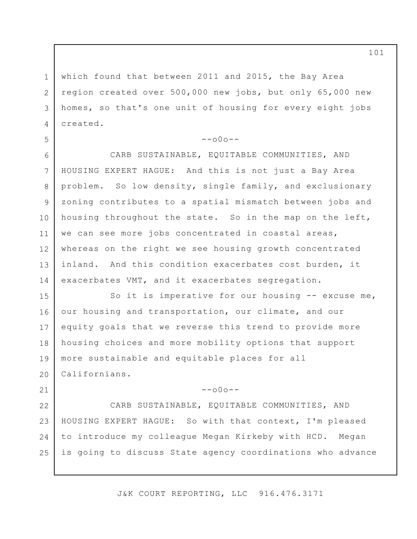1 2 3 4 which found that between 2011 and 2015, the Bay Area region created over 500,000 new jobs, but only 65,000 new homes, so that's one unit of housing for every eight jobs created.

5

21

# $--000--$

6 7 8 9 10 11 12 13 14 CARB SUSTAINABLE, EQUITABLE COMMUNITIES, AND HOUSING EXPERT HAGUE: And this is not just a Bay Area problem. So low density, single family, and exclusionary zoning contributes to a spatial mismatch between jobs and housing throughout the state. So in the map on the left, we can see more jobs concentrated in coastal areas, whereas on the right we see housing growth concentrated inland. And this condition exacerbates cost burden, it exacerbates VMT, and it exacerbates segregation.

15 16 17 18 19 20 So it is imperative for our housing -- excuse me, our housing and transportation, our climate, and our equity goals that we reverse this trend to provide more housing choices and more mobility options that support more sustainable and equitable places for all Californians.

## --o0o--

22 23 24 25 CARB SUSTAINABLE, EQUITABLE COMMUNITIES, AND HOUSING EXPERT HAGUE: So with that context, I'm pleased to introduce my colleague Megan Kirkeby with HCD. Megan is going to discuss State agency coordinations who advance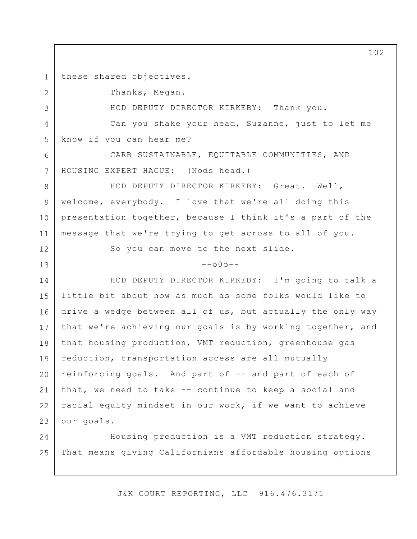1 these shared objectives.

2

3

6

7

12

13

Thanks, Megan.

HCD DEPUTY DIRECTOR KIRKEBY: Thank you.

4 5 Can you shake your head, Suzanne, just to let me know if you can hear me?

CARB SUSTAINABLE, EQUITABLE COMMUNITIES, AND HOUSING EXPERT HAGUE: (Nods head.)

8 9 10 11 HCD DEPUTY DIRECTOR KIRKEBY: Great. Well, welcome, everybody. I love that we're all doing this presentation together, because I think it's a part of the message that we're trying to get across to all of you.

So you can move to the next slide.

 $--000--$ 

14 15 16 17 18 19 20 21 22 23 HCD DEPUTY DIRECTOR KIRKEBY: I'm going to talk a little bit about how as much as some folks would like to drive a wedge between all of us, but actually the only way that we're achieving our goals is by working together, and that housing production, VMT reduction, greenhouse gas reduction, transportation access are all mutually reinforcing goals. And part of -- and part of each of that, we need to take -- continue to keep a social and racial equity mindset in our work, if we want to achieve our goals.

24 25 Housing production is a VMT reduction strategy. That means giving Californians affordable housing options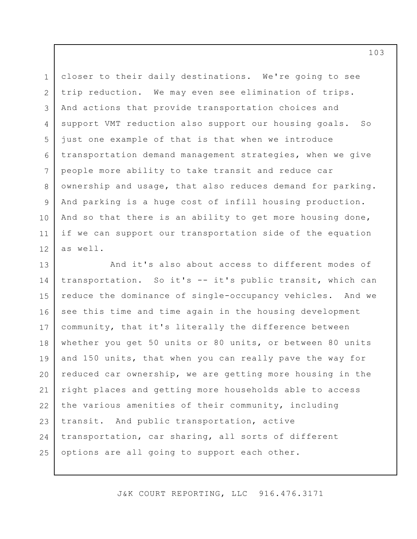1 2 3 4 5 6 7 8 9 10 11 12 closer to their daily destinations. We're going to see trip reduction. We may even see elimination of trips. And actions that provide transportation choices and support VMT reduction also support our housing goals. So just one example of that is that when we introduce transportation demand management strategies, when we give people more ability to take transit and reduce car ownership and usage, that also reduces demand for parking. And parking is a huge cost of infill housing production. And so that there is an ability to get more housing done, if we can support our transportation side of the equation as well.

13 14 15 16 17 18 19 20 21 22 23 24 25 And it's also about access to different modes of transportation. So it's -- it's public transit, which can reduce the dominance of single-occupancy vehicles. And we see this time and time again in the housing development community, that it's literally the difference between whether you get 50 units or 80 units, or between 80 units and 150 units, that when you can really pave the way for reduced car ownership, we are getting more housing in the right places and getting more households able to access the various amenities of their community, including transit. And public transportation, active transportation, car sharing, all sorts of different options are all going to support each other.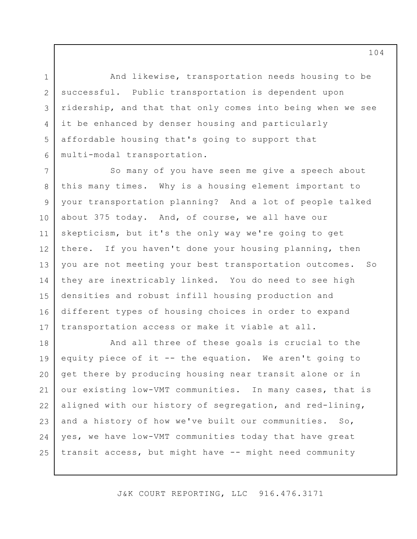And likewise, transportation needs housing to be successful. Public transportation is dependent upon ridership, and that that only comes into being when we see it be enhanced by denser housing and particularly affordable housing that's going to support that multi-modal transportation.

1

2

3

4

5

6

7 8 9 10 11 12 13 14 15 16 17 So many of you have seen me give a speech about this many times. Why is a housing element important to your transportation planning? And a lot of people talked about 375 today. And, of course, we all have our skepticism, but it's the only way we're going to get there. If you haven't done your housing planning, then you are not meeting your best transportation outcomes. So they are inextricably linked. You do need to see high densities and robust infill housing production and different types of housing choices in order to expand transportation access or make it viable at all.

18 19 20 21 22 23 24 25 And all three of these goals is crucial to the equity piece of it -- the equation. We aren't going to get there by producing housing near transit alone or in our existing low-VMT communities. In many cases, that is aligned with our history of segregation, and red-lining, and a history of how we've built our communities. So, yes, we have low-VMT communities today that have great transit access, but might have -- might need community

J&K COURT REPORTING, LLC 916.476.3171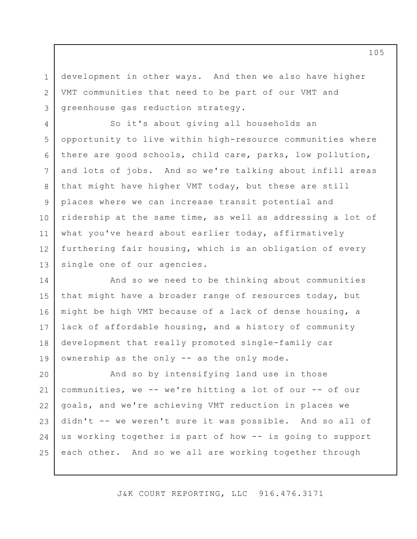development in other ways. And then we also have higher VMT communities that need to be part of our VMT and greenhouse gas reduction strategy.

1

2

3

4

8

9

10

11

5 6 7 12 13 So it's about giving all households an opportunity to live within high-resource communities where there are good schools, child care, parks, low pollution, and lots of jobs. And so we're talking about infill areas that might have higher VMT today, but these are still places where we can increase transit potential and ridership at the same time, as well as addressing a lot of what you've heard about earlier today, affirmatively furthering fair housing, which is an obligation of every single one of our agencies.

14 15 16 17 18 19 And so we need to be thinking about communities that might have a broader range of resources today, but might be high VMT because of a lack of dense housing, a lack of affordable housing, and a history of community development that really promoted single-family car ownership as the only -- as the only mode.

20 21 22 23 24 25 And so by intensifying land use in those communities, we -- we're hitting a lot of our -- of our goals, and we're achieving VMT reduction in places we didn't -- we weren't sure it was possible. And so all of us working together is part of how -- is going to support each other. And so we all are working together through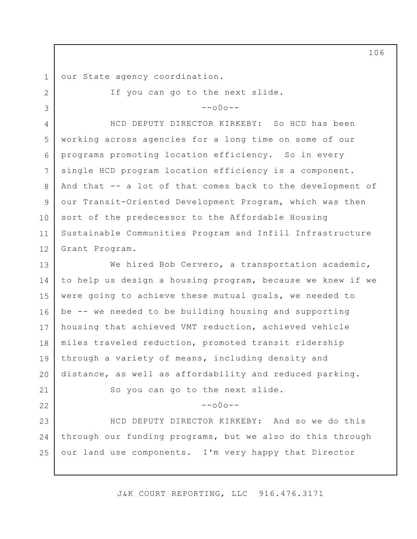1 2

3

21

22

our State agency coordination.

If you can go to the next slide.

 $-000-$ 

4 5 6 7 8 9 10 11 12 HCD DEPUTY DIRECTOR KIRKEBY: So HCD has been working across agencies for a long time on some of our programs promoting location efficiency. So in every single HCD program location efficiency is a component. And that -- a lot of that comes back to the development of our Transit-Oriented Development Program, which was then sort of the predecessor to the Affordable Housing Sustainable Communities Program and Infill Infrastructure Grant Program.

13 14 15 16 17 18 19 20 We hired Bob Cervero, a transportation academic, to help us design a housing program, because we knew if we were going to achieve these mutual goals, we needed to be -- we needed to be building housing and supporting housing that achieved VMT reduction, achieved vehicle miles traveled reduction, promoted transit ridership through a variety of means, including density and distance, as well as affordability and reduced parking.

So you can go to the next slide.

 $--000--$ 

23 24 25 HCD DEPUTY DIRECTOR KIRKEBY: And so we do this through our funding programs, but we also do this through our land use components. I'm very happy that Director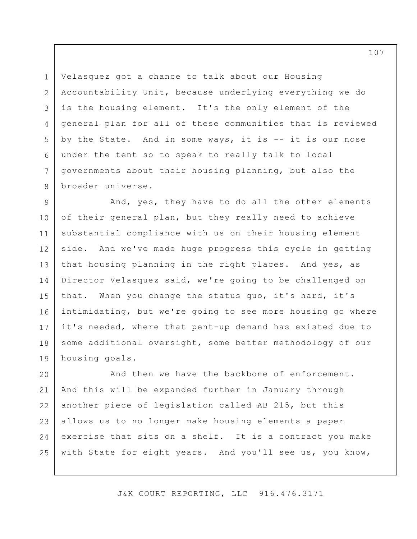Velasquez got a chance to talk about our Housing Accountability Unit, because underlying everything we do is the housing element. It's the only element of the general plan for all of these communities that is reviewed by the State. And in some ways, it is -- it is our nose under the tent so to speak to really talk to local governments about their housing planning, but also the broader universe.

1

2

3

4

5

6

7

8

9 10 11 12 13 14 15 16 17 18 19 And, yes, they have to do all the other elements of their general plan, but they really need to achieve substantial compliance with us on their housing element side. And we've made huge progress this cycle in getting that housing planning in the right places. And yes, as Director Velasquez said, we're going to be challenged on that. When you change the status quo, it's hard, it's intimidating, but we're going to see more housing go where it's needed, where that pent-up demand has existed due to some additional oversight, some better methodology of our housing goals.

20 21 22 23 24 25 And then we have the backbone of enforcement. And this will be expanded further in January through another piece of legislation called AB 215, but this allows us to no longer make housing elements a paper exercise that sits on a shelf. It is a contract you make with State for eight years. And you'll see us, you know,

J&K COURT REPORTING, LLC 916.476.3171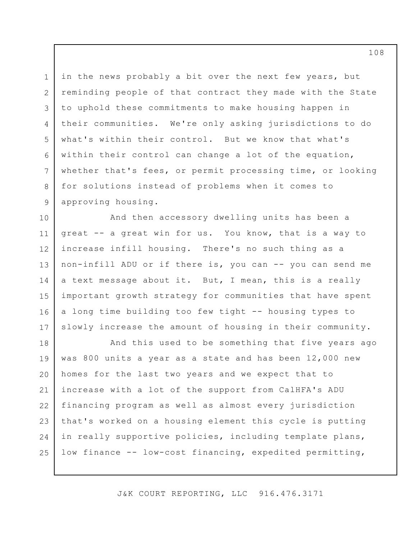1 2 3 4 5 6 7 8 9 in the news probably a bit over the next few years, but reminding people of that contract they made with the State to uphold these commitments to make housing happen in their communities. We're only asking jurisdictions to do what's within their control. But we know that what's within their control can change a lot of the equation, whether that's fees, or permit processing time, or looking for solutions instead of problems when it comes to approving housing.

10 11 12 13 14 15 16 17 And then accessory dwelling units has been a great -- a great win for us. You know, that is a way to increase infill housing. There's no such thing as a non-infill ADU or if there is, you can -- you can send me a text message about it. But, I mean, this is a really important growth strategy for communities that have spent a long time building too few tight -- housing types to slowly increase the amount of housing in their community.

18 19 20 21 22 23 24 25 And this used to be something that five years ago was 800 units a year as a state and has been 12,000 new homes for the last two years and we expect that to increase with a lot of the support from CalHFA's ADU financing program as well as almost every jurisdiction that's worked on a housing element this cycle is putting in really supportive policies, including template plans, low finance -- low-cost financing, expedited permitting,

J&K COURT REPORTING, LLC 916.476.3171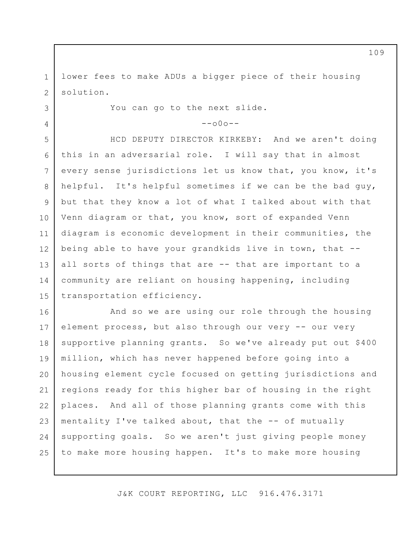1 2 lower fees to make ADUs a bigger piece of their housing solution.

You can go to the next slide.

3

4

 $--000--$ 

5 6 7 8 9 10 11 12 13 14 15 HCD DEPUTY DIRECTOR KIRKEBY: And we aren't doing this in an adversarial role. I will say that in almost every sense jurisdictions let us know that, you know, it's helpful. It's helpful sometimes if we can be the bad guy, but that they know a lot of what I talked about with that Venn diagram or that, you know, sort of expanded Venn diagram is economic development in their communities, the being able to have your grandkids live in town, that - all sorts of things that are -- that are important to a community are reliant on housing happening, including transportation efficiency.

16 17 18 19 20 21 22 23 24 25 And so we are using our role through the housing element process, but also through our very -- our very supportive planning grants. So we've already put out \$400 million, which has never happened before going into a housing element cycle focused on getting jurisdictions and regions ready for this higher bar of housing in the right places. And all of those planning grants come with this mentality I've talked about, that the -- of mutually supporting goals. So we aren't just giving people money to make more housing happen. It's to make more housing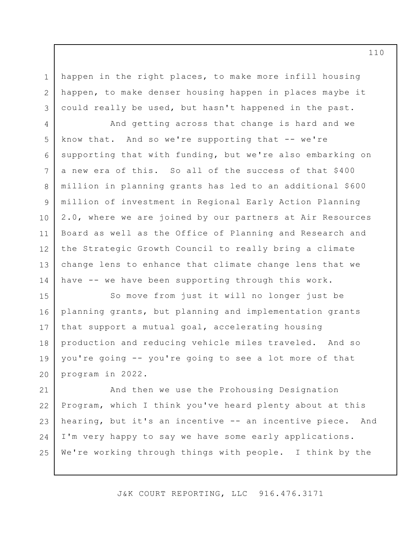happen in the right places, to make more infill housing happen, to make denser housing happen in places maybe it could really be used, but hasn't happened in the past.

1

2

3

4 5 6 7 8 9 10 11 12 13 14 And getting across that change is hard and we know that. And so we're supporting that -- we're supporting that with funding, but we're also embarking on a new era of this. So all of the success of that \$400 million in planning grants has led to an additional \$600 million of investment in Regional Early Action Planning 2.0, where we are joined by our partners at Air Resources Board as well as the Office of Planning and Research and the Strategic Growth Council to really bring a climate change lens to enhance that climate change lens that we have -- we have been supporting through this work.

15 16 17 18 19 20 So move from just it will no longer just be planning grants, but planning and implementation grants that support a mutual goal, accelerating housing production and reducing vehicle miles traveled. And so you're going -- you're going to see a lot more of that program in 2022.

21 22 23 24 25 And then we use the Prohousing Designation Program, which I think you've heard plenty about at this hearing, but it's an incentive -- an incentive piece. And I'm very happy to say we have some early applications. We're working through things with people. I think by the

J&K COURT REPORTING, LLC 916.476.3171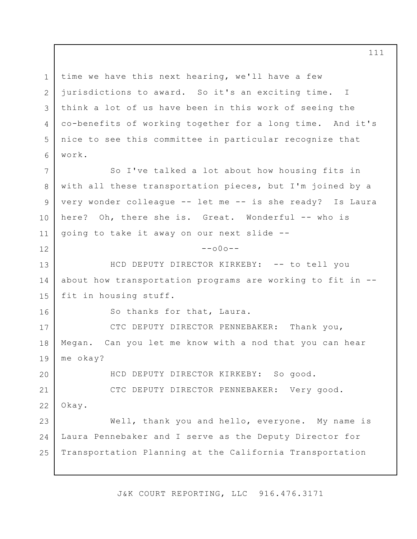1 2 3 4 5 6 7 8 9 10 11 12 13 14 15 16 17 18 19 20 time we have this next hearing, we'll have a few jurisdictions to award. So it's an exciting time. I think a lot of us have been in this work of seeing the co-benefits of working together for a long time. And it's nice to see this committee in particular recognize that work. So I've talked a lot about how housing fits in with all these transportation pieces, but I'm joined by a very wonder colleague -- let me -- is she ready? Is Laura here? Oh, there she is. Great. Wonderful -- who is going to take it away on our next slide --  $-000-$ HCD DEPUTY DIRECTOR KIRKEBY: -- to tell you about how transportation programs are working to fit in - fit in housing stuff. So thanks for that, Laura. CTC DEPUTY DIRECTOR PENNEBAKER: Thank you, Megan. Can you let me know with a nod that you can hear me okay? HCD DEPUTY DIRECTOR KIRKEBY: So good.

21 22 CTC DEPUTY DIRECTOR PENNEBAKER: Very good. Okay.

23 24 25 Well, thank you and hello, everyone. My name is Laura Pennebaker and I serve as the Deputy Director for Transportation Planning at the California Transportation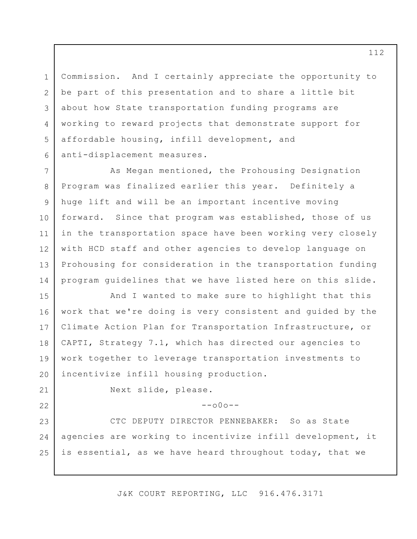Commission. And I certainly appreciate the opportunity to be part of this presentation and to share a little bit about how State transportation funding programs are working to reward projects that demonstrate support for affordable housing, infill development, and anti-displacement measures.

7 8 9 10 11 12 13 14 As Megan mentioned, the Prohousing Designation Program was finalized earlier this year. Definitely a huge lift and will be an important incentive moving forward. Since that program was established, those of us in the transportation space have been working very closely with HCD staff and other agencies to develop language on Prohousing for consideration in the transportation funding program guidelines that we have listed here on this slide.

15 16 17 18 19 20 And I wanted to make sure to highlight that this work that we're doing is very consistent and guided by the Climate Action Plan for Transportation Infrastructure, or CAPTI, Strategy 7.1, which has directed our agencies to work together to leverage transportation investments to incentivize infill housing production.

21 22

1

2

3

4

5

6

Next slide, please.

## $--000--$

23 24 25 CTC DEPUTY DIRECTOR PENNEBAKER: So as State agencies are working to incentivize infill development, it is essential, as we have heard throughout today, that we

J&K COURT REPORTING, LLC 916.476.3171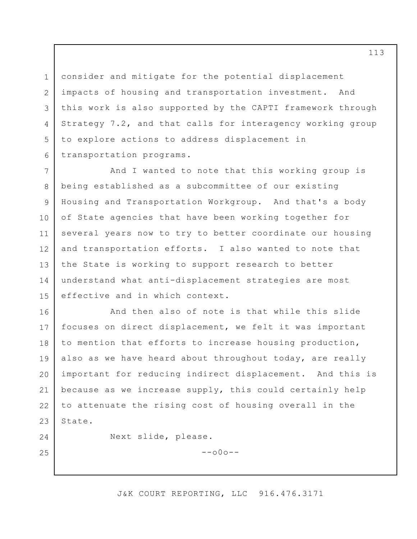consider and mitigate for the potential displacement impacts of housing and transportation investment. And this work is also supported by the CAPTI framework through Strategy 7.2, and that calls for interagency working group to explore actions to address displacement in transportation programs.

7 8 9 10 11 12 13 14 15 And I wanted to note that this working group is being established as a subcommittee of our existing Housing and Transportation Workgroup. And that's a body of State agencies that have been working together for several years now to try to better coordinate our housing and transportation efforts. I also wanted to note that the State is working to support research to better understand what anti-displacement strategies are most effective and in which context.

16 17 18 19 20 21 22 23 And then also of note is that while this slide focuses on direct displacement, we felt it was important to mention that efforts to increase housing production, also as we have heard about throughout today, are really important for reducing indirect displacement. And this is because as we increase supply, this could certainly help to attenuate the rising cost of housing overall in the State.

24

25

1

2

3

4

5

6

Next slide, please.

 $--000--$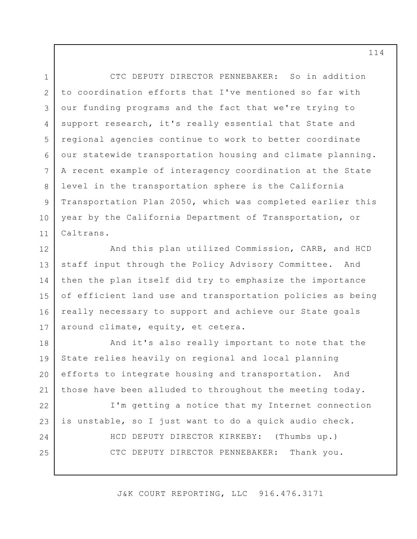3 6 CTC DEPUTY DIRECTOR PENNEBAKER: So in addition to coordination efforts that I've mentioned so far with our funding programs and the fact that we're trying to support research, it's really essential that State and regional agencies continue to work to better coordinate our statewide transportation housing and climate planning. A recent example of interagency coordination at the State level in the transportation sphere is the California Transportation Plan 2050, which was completed earlier this year by the California Department of Transportation, or Caltrans.

1

2

4

5

7

8

9

10

11

12 13 14 15 16 17 And this plan utilized Commission, CARB, and HCD staff input through the Policy Advisory Committee. And then the plan itself did try to emphasize the importance of efficient land use and transportation policies as being really necessary to support and achieve our State goals around climate, equity, et cetera.

18 19 20 21 And it's also really important to note that the State relies heavily on regional and local planning efforts to integrate housing and transportation. And those have been alluded to throughout the meeting today.

22 23 24 25 I'm getting a notice that my Internet connection is unstable, so I just want to do a quick audio check. HCD DEPUTY DIRECTOR KIRKEBY: (Thumbs up.) CTC DEPUTY DIRECTOR PENNEBAKER: Thank you.

J&K COURT REPORTING, LLC 916.476.3171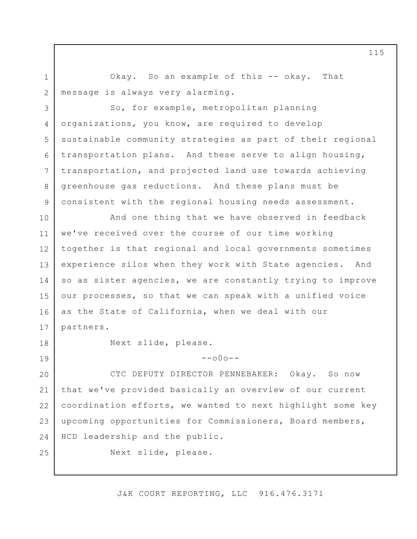Okay. So an example of this -- okay. That message is always very alarming.

3 4 5 6 7 8 9 So, for example, metropolitan planning organizations, you know, are required to develop sustainable community strategies as part of their regional transportation plans. And these serve to align housing, transportation, and projected land use towards achieving greenhouse gas reductions. And these plans must be consistent with the regional housing needs assessment.

10 11 12 13 14 15 16 17 And one thing that we have observed in feedback we've received over the course of our time working together is that regional and local governments sometimes experience silos when they work with State agencies. And so as sister agencies, we are constantly trying to improve our processes, so that we can speak with a unified voice as the State of California, when we deal with our partners.

18

19

25

1

2

Next slide, please.

20 21 22 23 24 CTC DEPUTY DIRECTOR PENNEBAKER: Okay. So now that we've provided basically an overview of our current coordination efforts, we wanted to next highlight some key upcoming opportunities for Commissioners, Board members, HCD leadership and the public.

 $--000--$ 

Next slide, please.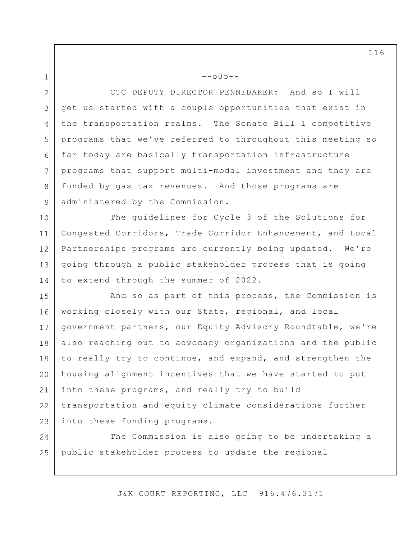2

1

3

4

5

6

7

8

9

CTC DEPUTY DIRECTOR PENNEBAKER: And so I will get us started with a couple opportunities that exist in the transportation realms. The Senate Bill 1 competitive programs that we've referred to throughout this meeting so far today are basically transportation infrastructure programs that support multi-modal investment and they are funded by gas tax revenues. And those programs are administered by the Commission.

--o0o--

10 11 12 13 14 The guidelines for Cycle 3 of the Solutions for Congested Corridors, Trade Corridor Enhancement, and Local Partnerships programs are currently being updated. We're going through a public stakeholder process that is going to extend through the summer of 2022.

15 16 17 18 19 20 21 22 23 And so as part of this process, the Commission is working closely with our State, regional, and local government partners, our Equity Advisory Roundtable, we're also reaching out to advocacy organizations and the public to really try to continue, and expand, and strengthen the housing alignment incentives that we have started to put into these programs, and really try to build transportation and equity climate considerations further into these funding programs.

24 25 The Commission is also going to be undertaking a public stakeholder process to update the regional

J&K COURT REPORTING, LLC 916.476.3171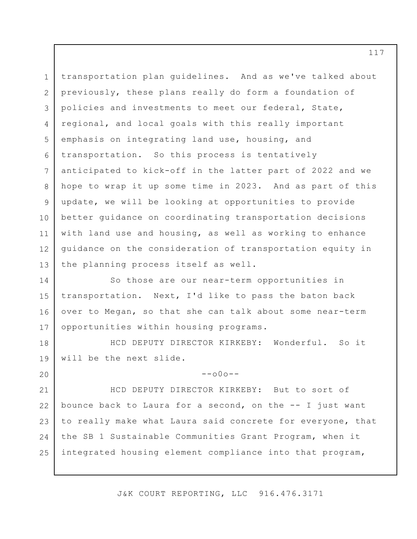1 2 3 4 5 6 7 8 9 10 11 12 13 transportation plan guidelines. And as we've talked about previously, these plans really do form a foundation of policies and investments to meet our federal, State, regional, and local goals with this really important emphasis on integrating land use, housing, and transportation. So this process is tentatively anticipated to kick-off in the latter part of 2022 and we hope to wrap it up some time in 2023. And as part of this update, we will be looking at opportunities to provide better guidance on coordinating transportation decisions with land use and housing, as well as working to enhance guidance on the consideration of transportation equity in the planning process itself as well.

14 15 16 17 So those are our near-term opportunities in transportation. Next, I'd like to pass the baton back over to Megan, so that she can talk about some near-term opportunities within housing programs.

18 19 HCD DEPUTY DIRECTOR KIRKEBY: Wonderful. So it will be the next slide.

20

 $--000--$ 

21 22 23 24 25 HCD DEPUTY DIRECTOR KIRKEBY: But to sort of bounce back to Laura for a second, on the -- I just want to really make what Laura said concrete for everyone, that the SB 1 Sustainable Communities Grant Program, when it integrated housing element compliance into that program,

J&K COURT REPORTING, LLC 916.476.3171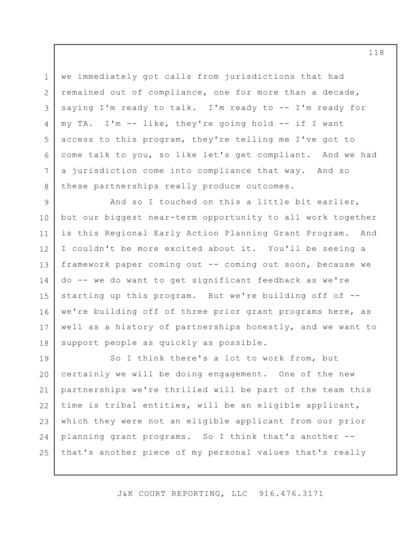we immediately got calls from jurisdictions that had remained out of compliance, one for more than a decade, saying I'm ready to talk. I'm ready to -- I'm ready for my TA. I'm -- like, they're going hold -- if I want access to this program, they're telling me I've got to come talk to you, so like let's get compliant. And we had a jurisdiction come into compliance that way. And so these partnerships really produce outcomes.

1

2

3

4

5

6

7

8

9 10 11 12 13 14 15 16 17 18 And so I touched on this a little bit earlier, but our biggest near-term opportunity to all work together is this Regional Early Action Planning Grant Program. And I couldn't be more excited about it. You'll be seeing a framework paper coming out -- coming out soon, because we do -- we do want to get significant feedback as we're starting up this program. But we're building off of - we're building off of three prior grant programs here, as well as a history of partnerships honestly, and we want to support people as quickly as possible.

19 20 21 22 23 24 25 So I think there's a lot to work from, but certainly we will be doing engagement. One of the new partnerships we're thrilled will be part of the team this time is tribal entities, will be an eligible applicant, which they were not an eligible applicant from our prior planning grant programs. So I think that's another - that's another piece of my personal values that's really

J&K COURT REPORTING, LLC 916.476.3171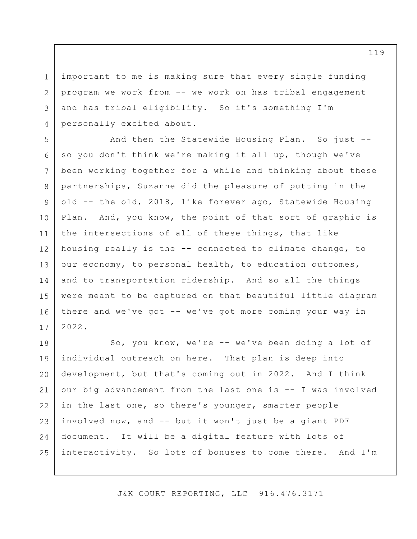3 important to me is making sure that every single funding program we work from -- we work on has tribal engagement and has tribal eligibility. So it's something I'm personally excited about.

1

2

4

5 6 7 8 9 10 11 12 13 14 15 16 17 And then the Statewide Housing Plan. So just - so you don't think we're making it all up, though we've been working together for a while and thinking about these partnerships, Suzanne did the pleasure of putting in the old -- the old, 2018, like forever ago, Statewide Housing Plan. And, you know, the point of that sort of graphic is the intersections of all of these things, that like housing really is the -- connected to climate change, to our economy, to personal health, to education outcomes, and to transportation ridership. And so all the things were meant to be captured on that beautiful little diagram there and we've got -- we've got more coming your way in 2022.

18 19 20 21 22 23 24 25 So, you know, we're -- we've been doing a lot of individual outreach on here. That plan is deep into development, but that's coming out in 2022. And I think our big advancement from the last one is -- I was involved in the last one, so there's younger, smarter people involved now, and -- but it won't just be a giant PDF document. It will be a digital feature with lots of interactivity. So lots of bonuses to come there. And I'm

J&K COURT REPORTING, LLC 916.476.3171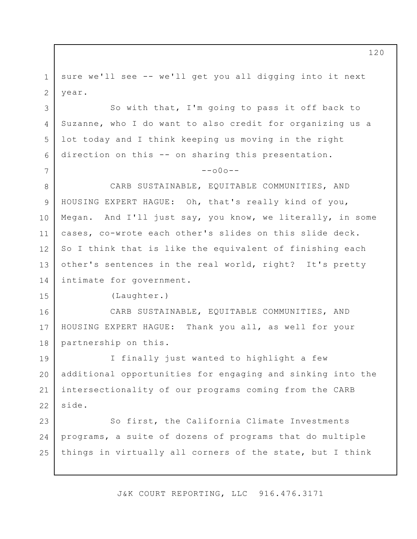1 2 sure we'll see -- we'll get you all digging into it next year.

3 4 5 6 So with that, I'm going to pass it off back to Suzanne, who I do want to also credit for organizing us a lot today and I think keeping us moving in the right direction on this -- on sharing this presentation.

## $--000--$

8 9 10 11 12 13 14 CARB SUSTAINABLE, EQUITABLE COMMUNITIES, AND HOUSING EXPERT HAGUE: Oh, that's really kind of you, Megan. And I'll just say, you know, we literally, in some cases, co-wrote each other's slides on this slide deck. So I think that is like the equivalent of finishing each other's sentences in the real world, right? It's pretty intimate for government.

(Laughter.)

7

15

16 17 18 CARB SUSTAINABLE, EQUITABLE COMMUNITIES, AND HOUSING EXPERT HAGUE: Thank you all, as well for your partnership on this.

19 20 21 22 I finally just wanted to highlight a few additional opportunities for engaging and sinking into the intersectionality of our programs coming from the CARB side.

23 24 25 So first, the California Climate Investments programs, a suite of dozens of programs that do multiple things in virtually all corners of the state, but I think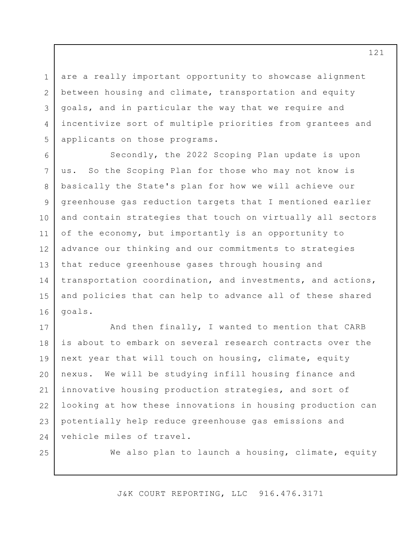are a really important opportunity to showcase alignment between housing and climate, transportation and equity goals, and in particular the way that we require and incentivize sort of multiple priorities from grantees and applicants on those programs.

6 7 8 9 10 11 12 13 14 15 16 Secondly, the 2022 Scoping Plan update is upon us. So the Scoping Plan for those who may not know is basically the State's plan for how we will achieve our greenhouse gas reduction targets that I mentioned earlier and contain strategies that touch on virtually all sectors of the economy, but importantly is an opportunity to advance our thinking and our commitments to strategies that reduce greenhouse gases through housing and transportation coordination, and investments, and actions, and policies that can help to advance all of these shared goals.

17 18 19 20 21 22 23 24 And then finally, I wanted to mention that CARB is about to embark on several research contracts over the next year that will touch on housing, climate, equity nexus. We will be studying infill housing finance and innovative housing production strategies, and sort of looking at how these innovations in housing production can potentially help reduce greenhouse gas emissions and vehicle miles of travel.

25

1

2

3

4

5

We also plan to launch a housing, climate, equity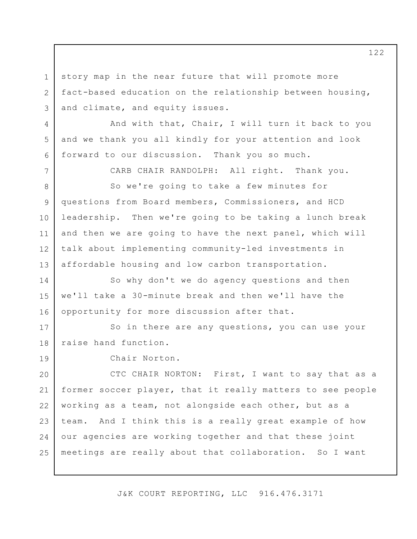story map in the near future that will promote more fact-based education on the relationship between housing, and climate, and equity issues.

And with that, Chair, I will turn it back to you and we thank you all kindly for your attention and look forward to our discussion. Thank you so much.

CARB CHAIR RANDOLPH: All right. Thank you.

8 9 10 11 12 13 So we're going to take a few minutes for questions from Board members, Commissioners, and HCD leadership. Then we're going to be taking a lunch break and then we are going to have the next panel, which will talk about implementing community-led investments in affordable housing and low carbon transportation.

14 15 16 So why don't we do agency questions and then we'll take a 30-minute break and then we'll have the opportunity for more discussion after that.

17 18 So in there are any questions, you can use your raise hand function.

19

1

2

3

4

5

6

7

Chair Norton.

20 21 22 23 24 25 CTC CHAIR NORTON: First, I want to say that as a former soccer player, that it really matters to see people working as a team, not alongside each other, but as a team. And I think this is a really great example of how our agencies are working together and that these joint meetings are really about that collaboration. So I want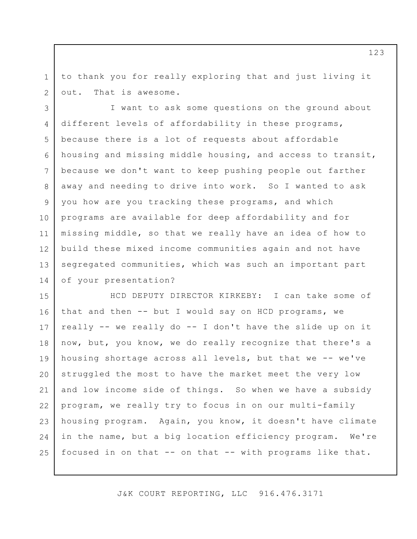1 2 to thank you for really exploring that and just living it out. That is awesome.

3 4 5 6 7 8 9 10 11 12 13 14 I want to ask some questions on the ground about different levels of affordability in these programs, because there is a lot of requests about affordable housing and missing middle housing, and access to transit, because we don't want to keep pushing people out farther away and needing to drive into work. So I wanted to ask you how are you tracking these programs, and which programs are available for deep affordability and for missing middle, so that we really have an idea of how to build these mixed income communities again and not have segregated communities, which was such an important part of your presentation?

15 16 17 18 19 20 21 22 23 24 25 HCD DEPUTY DIRECTOR KIRKEBY: I can take some of that and then -- but I would say on HCD programs, we really -- we really do -- I don't have the slide up on it now, but, you know, we do really recognize that there's a housing shortage across all levels, but that we -- we've struggled the most to have the market meet the very low and low income side of things. So when we have a subsidy program, we really try to focus in on our multi-family housing program. Again, you know, it doesn't have climate in the name, but a big location efficiency program. We're focused in on that -- on that -- with programs like that.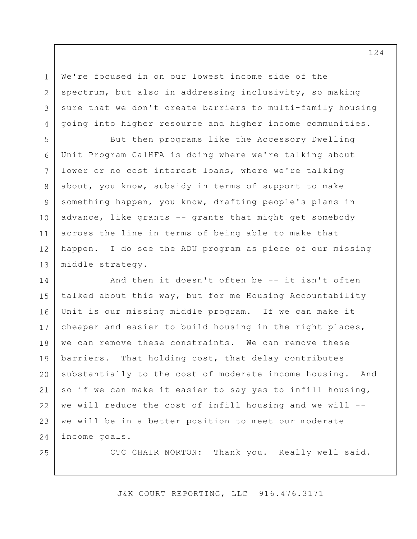We're focused in on our lowest income side of the spectrum, but also in addressing inclusivity, so making sure that we don't create barriers to multi-family housing going into higher resource and higher income communities.

5 6 7 8 9 10 11 12 13 But then programs like the Accessory Dwelling Unit Program CalHFA is doing where we're talking about lower or no cost interest loans, where we're talking about, you know, subsidy in terms of support to make something happen, you know, drafting people's plans in advance, like grants -- grants that might get somebody across the line in terms of being able to make that happen. I do see the ADU program as piece of our missing middle strategy.

14 15 16 17 18 19 20 21 22 23 24 And then it doesn't often be -- it isn't often talked about this way, but for me Housing Accountability Unit is our missing middle program. If we can make it cheaper and easier to build housing in the right places, we can remove these constraints. We can remove these barriers. That holding cost, that delay contributes substantially to the cost of moderate income housing. And so if we can make it easier to say yes to infill housing, we will reduce the cost of infill housing and we will - we will be in a better position to meet our moderate income goals.

25

1

2

3

4

CTC CHAIR NORTON: Thank you. Really well said.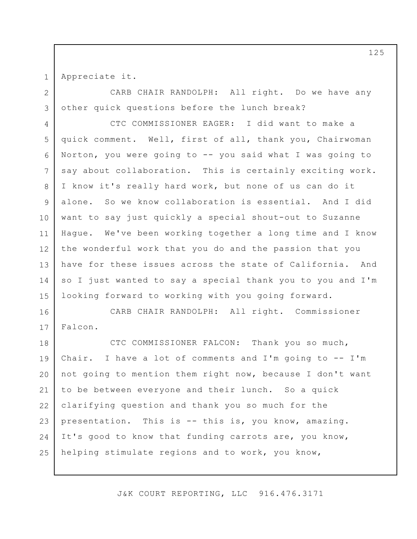1 2

3

Appreciate it.

CARB CHAIR RANDOLPH: All right. Do we have any other quick questions before the lunch break?

4 5 6 7 8 9 10 11 12 13 14 15 CTC COMMISSIONER EAGER: I did want to make a quick comment. Well, first of all, thank you, Chairwoman Norton, you were going to -- you said what I was going to say about collaboration. This is certainly exciting work. I know it's really hard work, but none of us can do it alone. So we know collaboration is essential. And I did want to say just quickly a special shout-out to Suzanne Hague. We've been working together a long time and I know the wonderful work that you do and the passion that you have for these issues across the state of California. And so I just wanted to say a special thank you to you and I'm looking forward to working with you going forward.

16 17 CARB CHAIR RANDOLPH: All right. Commissioner Falcon.

18 19 20 21 22 23 24 25 CTC COMMISSIONER FALCON: Thank you so much, Chair. I have a lot of comments and I'm going to -- I'm not going to mention them right now, because I don't want to be between everyone and their lunch. So a quick clarifying question and thank you so much for the presentation. This is -- this is, you know, amazing. It's good to know that funding carrots are, you know, helping stimulate regions and to work, you know,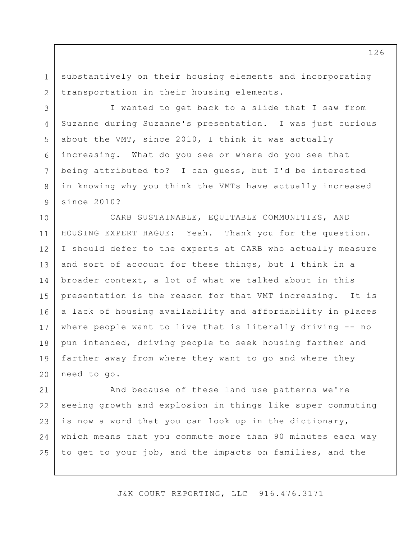1 2 substantively on their housing elements and incorporating transportation in their housing elements.

3

4

5

6

7

8

9

I wanted to get back to a slide that I saw from Suzanne during Suzanne's presentation. I was just curious about the VMT, since 2010, I think it was actually increasing. What do you see or where do you see that being attributed to? I can guess, but I'd be interested in knowing why you think the VMTs have actually increased since 2010?

10 11 12 13 14 15 16 17 18 19 20 CARB SUSTAINABLE, EQUITABLE COMMUNITIES, AND HOUSING EXPERT HAGUE: Yeah. Thank you for the question. I should defer to the experts at CARB who actually measure and sort of account for these things, but I think in a broader context, a lot of what we talked about in this presentation is the reason for that VMT increasing. It is a lack of housing availability and affordability in places where people want to live that is literally driving -- no pun intended, driving people to seek housing farther and farther away from where they want to go and where they need to go.

21 22 23 24 25 And because of these land use patterns we're seeing growth and explosion in things like super commuting is now a word that you can look up in the dictionary, which means that you commute more than 90 minutes each way to get to your job, and the impacts on families, and the

J&K COURT REPORTING, LLC 916.476.3171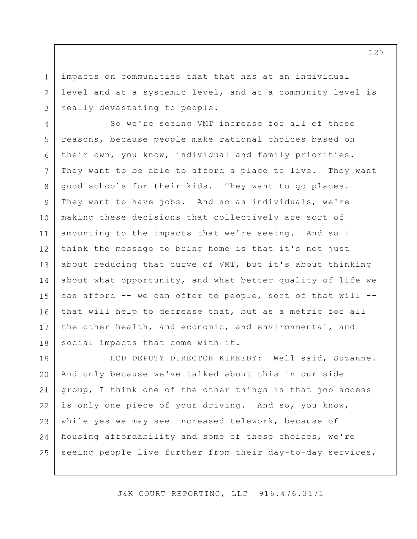impacts on communities that that has at an individual level and at a systemic level, and at a community level is really devastating to people.

1

2

3

4 5 6 7 8 9 10 11 12 13 14 15 16 17 18 So we're seeing VMT increase for all of those reasons, because people make rational choices based on their own, you know, individual and family priorities. They want to be able to afford a place to live. They want good schools for their kids. They want to go places. They want to have jobs. And so as individuals, we're making these decisions that collectively are sort of amounting to the impacts that we're seeing. And so I think the message to bring home is that it's not just about reducing that curve of VMT, but it's about thinking about what opportunity, and what better quality of life we can afford -- we can offer to people, sort of that will -that will help to decrease that, but as a metric for all the other health, and economic, and environmental, and social impacts that come with it.

19 20 21 22 23 24 25 HCD DEPUTY DIRECTOR KIRKEBY: Well said, Suzanne. And only because we've talked about this in our side group, I think one of the other things is that job access is only one piece of your driving. And so, you know, while yes we may see increased telework, because of housing affordability and some of these choices, we're seeing people live further from their day-to-day services,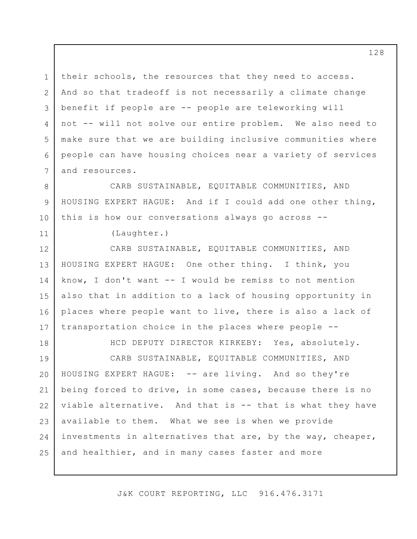1 2 3 4 5 6 7 their schools, the resources that they need to access. And so that tradeoff is not necessarily a climate change benefit if people are -- people are teleworking will not -- will not solve our entire problem. We also need to make sure that we are building inclusive communities where people can have housing choices near a variety of services and resources.

CARB SUSTAINABLE, EQUITABLE COMMUNITIES, AND HOUSING EXPERT HAGUE: And if I could add one other thing, this is how our conversations always go across --

(Laughter.)

8

9

10

11

18

12 13 14 15 16 17 CARB SUSTAINABLE, EQUITABLE COMMUNITIES, AND HOUSING EXPERT HAGUE: One other thing. I think, you know, I don't want -- I would be remiss to not mention also that in addition to a lack of housing opportunity in places where people want to live, there is also a lack of transportation choice in the places where people --

19 20 21 22 23 24 25 HCD DEPUTY DIRECTOR KIRKEBY: Yes, absolutely. CARB SUSTAINABLE, EQUITABLE COMMUNITIES, AND HOUSING EXPERT HAGUE: -- are living. And so they're being forced to drive, in some cases, because there is no viable alternative. And that is -- that is what they have available to them. What we see is when we provide investments in alternatives that are, by the way, cheaper, and healthier, and in many cases faster and more

J&K COURT REPORTING, LLC 916.476.3171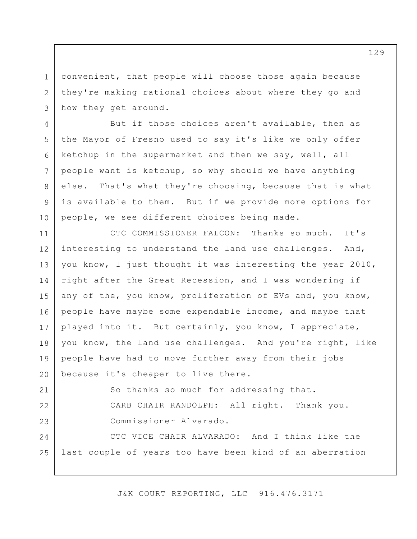1 2 3 convenient, that people will choose those again because they're making rational choices about where they go and how they get around.

4

7

8

9

10

5 6 But if those choices aren't available, then as the Mayor of Fresno used to say it's like we only offer ketchup in the supermarket and then we say, well, all people want is ketchup, so why should we have anything else. That's what they're choosing, because that is what is available to them. But if we provide more options for people, we see different choices being made.

11 12 13 14 15 16 17 18 19 20 CTC COMMISSIONER FALCON: Thanks so much. It's interesting to understand the land use challenges. And, you know, I just thought it was interesting the year 2010, right after the Great Recession, and I was wondering if any of the, you know, proliferation of EVs and, you know, people have maybe some expendable income, and maybe that played into it. But certainly, you know, I appreciate, you know, the land use challenges. And you're right, like people have had to move further away from their jobs because it's cheaper to live there.

21 22 23 So thanks so much for addressing that. CARB CHAIR RANDOLPH: All right. Thank you. Commissioner Alvarado.

24 25 CTC VICE CHAIR ALVARADO: And I think like the last couple of years too have been kind of an aberration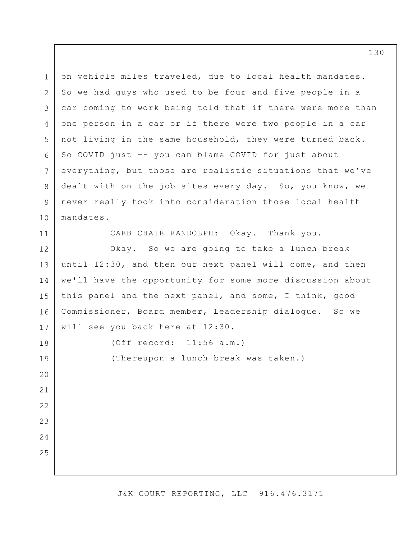1 2 3 4 5 6 7 8 9 10 on vehicle miles traveled, due to local health mandates. So we had guys who used to be four and five people in a car coming to work being told that if there were more than one person in a car or if there were two people in a car not living in the same household, they were turned back. So COVID just -- you can blame COVID for just about everything, but those are realistic situations that we've dealt with on the job sites every day. So, you know, we never really took into consideration those local health mandates.

11

CARB CHAIR RANDOLPH: Okay. Thank you.

12 13 14 15 16 17 Okay. So we are going to take a lunch break until 12:30, and then our next panel will come, and then we'll have the opportunity for some more discussion about this panel and the next panel, and some, I think, good Commissioner, Board member, Leadership dialogue. So we will see you back here at 12:30.

18 19 20 21 22 23 24 25 (Off record: 11:56 a.m.) (Thereupon a lunch break was taken.)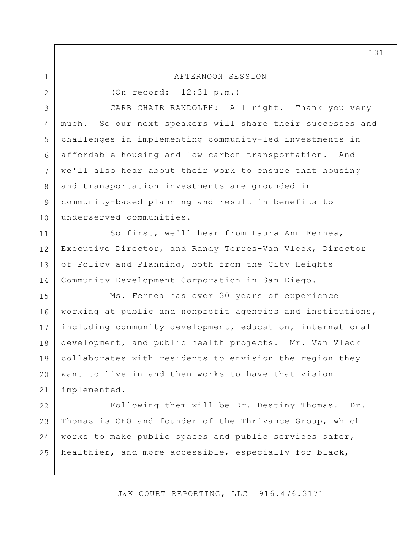| $\mathbf 1$     | AFTERNOON SESSION                                          |
|-----------------|------------------------------------------------------------|
| $\overline{2}$  | (On record: 12:31 p.m.)                                    |
| 3               | CARB CHAIR RANDOLPH: All right. Thank you very             |
| $\overline{4}$  | much. So our next speakers will share their successes and  |
| 5               | challenges in implementing community-led investments in    |
| 6               | affordable housing and low carbon transportation. And      |
| $7\overline{ }$ | we'll also hear about their work to ensure that housing    |
| 8               | and transportation investments are grounded in             |
| 9               | community-based planning and result in benefits to         |
| 10              | underserved communities.                                   |
| 11              | So first, we'll hear from Laura Ann Fernea,                |
| 12              | Executive Director, and Randy Torres-Van Vleck, Director   |
| 13              | of Policy and Planning, both from the City Heights         |
| 14              | Community Development Corporation in San Diego.            |
| 15              | Ms. Fernea has over 30 years of experience                 |
| 16              | working at public and nonprofit agencies and institutions, |
| 17              | including community development, education, international  |
| 18              | development, and public health projects. Mr. Van Vleck     |
| 19              | collaborates with residents to envision the region they    |
| 20              | want to live in and then works to have that vision         |
| 21              | implemented.                                               |
| 22              | Following them will be Dr. Destiny Thomas.<br>Dr.          |
| 23              | Thomas is CEO and founder of the Thrivance Group, which    |
| 24              | works to make public spaces and public services safer,     |
| 25              | healthier, and more accessible, especially for black,      |
|                 |                                                            |

J&K COURT REPORTING, LLC 916.476.3171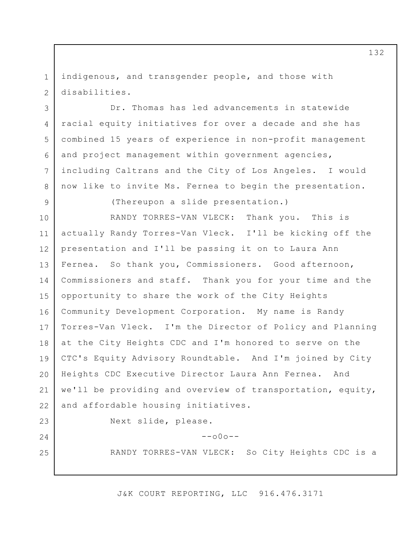1 2 indigenous, and transgender people, and those with disabilities.

Dr. Thomas has led advancements in statewide racial equity initiatives for over a decade and she has combined 15 years of experience in non-profit management and project management within government agencies, including Caltrans and the City of Los Angeles. I would now like to invite Ms. Fernea to begin the presentation.

3

4

5

6

7

8

9

(Thereupon a slide presentation.)

10 11 12 13 14 15 16 17 18 19 20 21 22 RANDY TORRES-VAN VLECK: Thank you. This is actually Randy Torres-Van Vleck. I'll be kicking off the presentation and I'll be passing it on to Laura Ann Fernea. So thank you, Commissioners. Good afternoon, Commissioners and staff. Thank you for your time and the opportunity to share the work of the City Heights Community Development Corporation. My name is Randy Torres-Van Vleck. I'm the Director of Policy and Planning at the City Heights CDC and I'm honored to serve on the CTC's Equity Advisory Roundtable. And I'm joined by City Heights CDC Executive Director Laura Ann Fernea. And we'll be providing and overview of transportation, equity, and affordable housing initiatives.

23

24

25

Next slide, please.

 $--000--$ 

RANDY TORRES-VAN VLECK: So City Heights CDC is a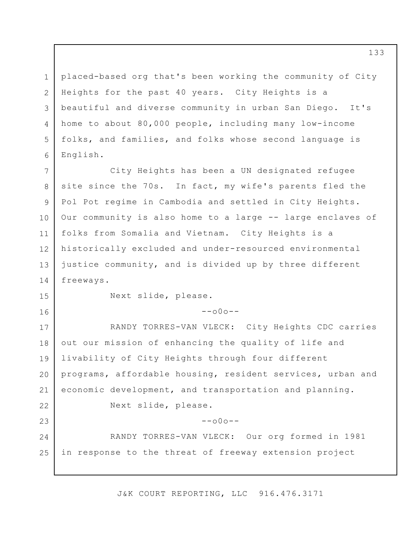placed-based org that's been working the community of City Heights for the past 40 years. City Heights is a beautiful and diverse community in urban San Diego. It's home to about 80,000 people, including many low-income folks, and families, and folks whose second language is English.

7 8 9 10 11 12 13 14 City Heights has been a UN designated refugee site since the 70s. In fact, my wife's parents fled the Pol Pot regime in Cambodia and settled in City Heights. Our community is also home to a large -- large enclaves of folks from Somalia and Vietnam. City Heights is a historically excluded and under-resourced environmental justice community, and is divided up by three different freeways.

15 16

1

2

3

4

5

6

Next slide, please.

 $--000--$ 

17 18 19 20 21 22 23 24 25 RANDY TORRES-VAN VLECK: City Heights CDC carries out our mission of enhancing the quality of life and livability of City Heights through four different programs, affordable housing, resident services, urban and economic development, and transportation and planning. Next slide, please.  $--000--$ RANDY TORRES-VAN VLECK: Our org formed in 1981 in response to the threat of freeway extension project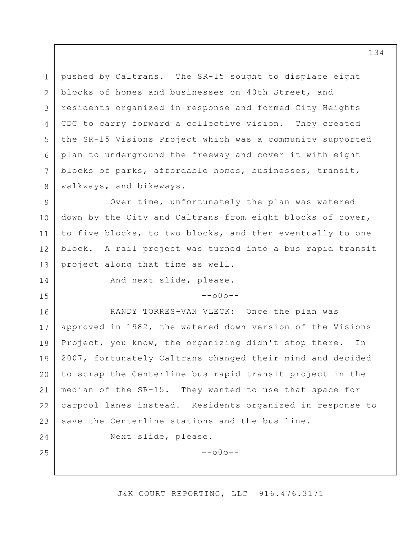1 2 3 4 5 6 7 8 pushed by Caltrans. The SR-15 sought to displace eight blocks of homes and businesses on 40th Street, and residents organized in response and formed City Heights CDC to carry forward a collective vision. They created the SR-15 Visions Project which was a community supported plan to underground the freeway and cover it with eight blocks of parks, affordable homes, businesses, transit, walkways, and bikeways.

9 10 11 12 13 Over time, unfortunately the plan was watered down by the City and Caltrans from eight blocks of cover, to five blocks, to two blocks, and then eventually to one block. A rail project was turned into a bus rapid transit project along that time as well.

14

15

And next slide, please.

 $--000--$ 

16 17 18 19 20 21 22 23 RANDY TORRES-VAN VLECK: Once the plan was approved in 1982, the watered down version of the Visions Project, you know, the organizing didn't stop there. In 2007, fortunately Caltrans changed their mind and decided to scrap the Centerline bus rapid transit project in the median of the SR-15. They wanted to use that space for carpool lanes instead. Residents organized in response to save the Centerline stations and the bus line.

24

25

Next slide, please.

 $--000--$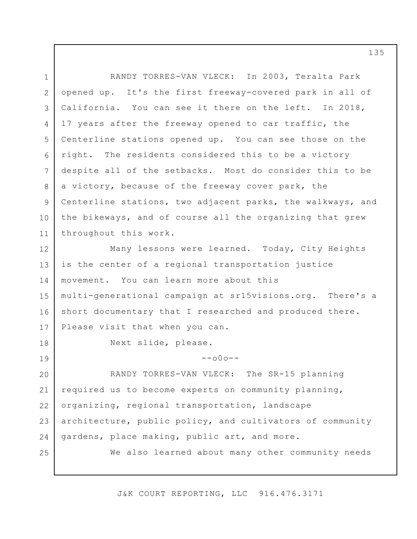1 2 3 4 5 6 7 8 9 10 11 12 13 14 15 16 17 18 19 20 21 22 23 24 25 RANDY TORRES-VAN VLECK: In 2003, Teralta Park opened up. It's the first freeway-covered park in all of California. You can see it there on the left. In 2018, 17 years after the freeway opened to car traffic, the Centerline stations opened up. You can see those on the right. The residents considered this to be a victory despite all of the setbacks. Most do consider this to be a victory, because of the freeway cover park, the Centerline stations, two adjacent parks, the walkways, and the bikeways, and of course all the organizing that grew throughout this work. Many lessons were learned. Today, City Heights is the center of a regional transportation justice movement. You can learn more about this multi-generational campaign at [sr15visions.org](https://sr15visions.org). There's a short documentary that I researched and produced there. Please visit that when you can. Next slide, please.  $--000--$ RANDY TORRES-VAN VLECK: The SR-15 planning required us to become experts on community planning, organizing, regional transportation, landscape architecture, public policy, and cultivators of community gardens, place making, public art, and more. We also learned about many other community needs

J&K COURT REPORTING, LLC 916.476.3171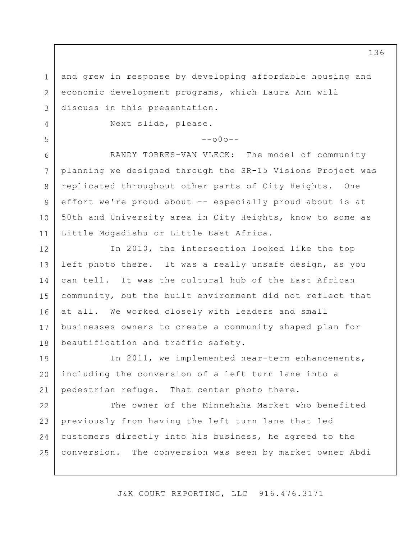1 2 3 and grew in response by developing affordable housing and economic development programs, which Laura Ann will discuss in this presentation.

Next slide, please.

4

5

6

7

8

9

10

11

 $--000--$ 

RANDY TORRES-VAN VLECK: The model of community planning we designed through the SR-15 Visions Project was replicated throughout other parts of City Heights. One effort we're proud about -- especially proud about is at 50th and University area in City Heights, know to some as Little Mogadishu or Little East Africa.

12 13 14 15 16 17 18 In 2010, the intersection looked like the top left photo there. It was a really unsafe design, as you can tell. It was the cultural hub of the East African community, but the built environment did not reflect that at all. We worked closely with leaders and small businesses owners to create a community shaped plan for beautification and traffic safety.

19 20 21 In 2011, we implemented near-term enhancements, including the conversion of a left turn lane into a pedestrian refuge. That center photo there.

22 23 24 25 The owner of the Minnehaha Market who benefited previously from having the left turn lane that led customers directly into his business, he agreed to the conversion. The conversion was seen by market owner Abdi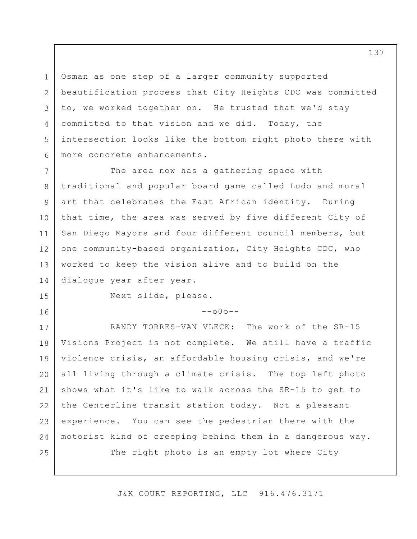3 6 Osman as one step of a larger community supported beautification process that City Heights CDC was committed to, we worked together on. He trusted that we'd stay committed to that vision and we did. Today, the intersection looks like the bottom right photo there with more concrete enhancements.

7 8 9 10 11 12 13 14 The area now has a gathering space with traditional and popular board game called Ludo and mural art that celebrates the East African identity. During that time, the area was served by five different City of San Diego Mayors and four different council members, but one community-based organization, City Heights CDC, who worked to keep the vision alive and to build on the dialogue year after year.

15

16

1

2

4

5

Next slide, please.

 $--000--$ 

17 18 19 20 21 22 23 24 25 RANDY TORRES-VAN VLECK: The work of the SR-15 Visions Project is not complete. We still have a traffic violence crisis, an affordable housing crisis, and we're all living through a climate crisis. The top left photo shows what it's like to walk across the SR-15 to get to the Centerline transit station today. Not a pleasant experience. You can see the pedestrian there with the motorist kind of creeping behind them in a dangerous way. The right photo is an empty lot where City

J&K COURT REPORTING, LLC 916.476.3171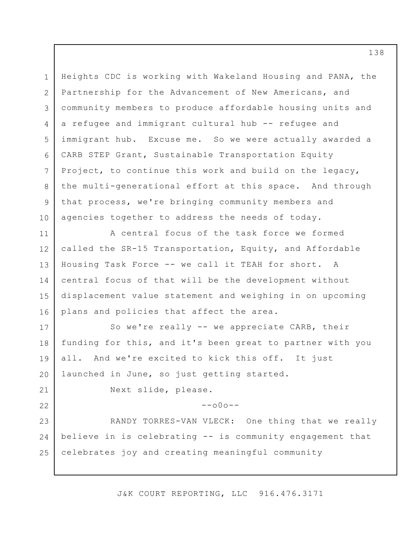1 2 3 4 5 6 7 8 9 10 11 12 13 14 15 16 17 18 19 20 21 22 23 24 25 Heights CDC is working with Wakeland Housing and PANA, the Partnership for the Advancement of New Americans, and community members to produce affordable housing units and a refugee and immigrant cultural hub -- refugee and immigrant hub. Excuse me. So we were actually awarded a CARB STEP Grant, Sustainable Transportation Equity Project, to continue this work and build on the legacy, the multi-generational effort at this space. And through that process, we're bringing community members and agencies together to address the needs of today. A central focus of the task force we formed called the SR-15 Transportation, Equity, and Affordable Housing Task Force -- we call it TEAH for short. A central focus of that will be the development without displacement value statement and weighing in on upcoming plans and policies that affect the area. So we're really -- we appreciate CARB, their funding for this, and it's been great to partner with you all. And we're excited to kick this off. It just launched in June, so just getting started. Next slide, please.  $--000--$ RANDY TORRES-VAN VLECK: One thing that we really believe in is celebrating -- is community engagement that celebrates joy and creating meaningful community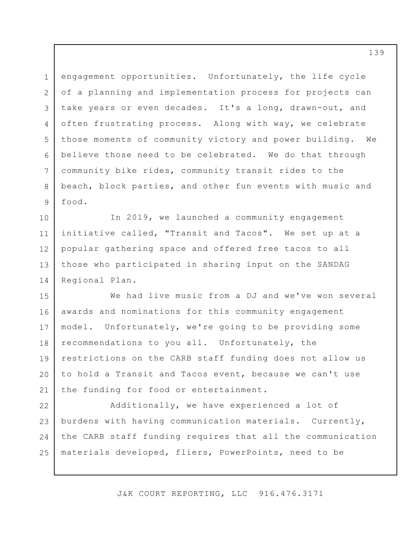1 2 3 4 5 6 7 8 9 engagement opportunities. Unfortunately, the life cycle of a planning and implementation process for projects can take years or even decades. It's a long, drawn-out, and often frustrating process. Along with way, we celebrate those moments of community victory and power building. We believe those need to be celebrated. We do that through community bike rides, community transit rides to the beach, block parties, and other fun events with music and food.

10 11 12 13 14 In 2019, we launched a community engagement initiative called, "Transit and Tacos". We set up at a popular gathering space and offered free tacos to all those who participated in sharing input on the SANDAG Regional Plan.

15 16 17 18 19 20 21 We had live music from a DJ and we've won several awards and nominations for this community engagement model. Unfortunately, we're going to be providing some recommendations to you all. Unfortunately, the restrictions on the CARB staff funding does not allow us to hold a Transit and Tacos event, because we can't use the funding for food or entertainment.

22 23 24 25 Additionally, we have experienced a lot of burdens with having communication materials. Currently, the CARB staff funding requires that all the communication materials developed, fliers, PowerPoints, need to be

J&K COURT REPORTING, LLC 916.476.3171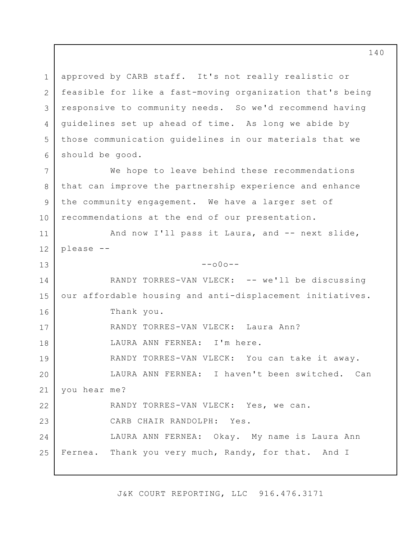1 2 3 4 5 6 7 8 9 10 11 12 13 14 15 16 17 18 19 20 21 22 23 24 25 approved by CARB staff. It's not really realistic or feasible for like a fast-moving organization that's being responsive to community needs. So we'd recommend having guidelines set up ahead of time. As long we abide by those communication guidelines in our materials that we should be good. We hope to leave behind these recommendations that can improve the partnership experience and enhance the community engagement. We have a larger set of recommendations at the end of our presentation. And now I'll pass it Laura, and -- next slide, please --  $--000--$ RANDY TORRES-VAN VLECK: -- we'll be discussing our affordable housing and anti-displacement initiatives. Thank you. RANDY TORRES-VAN VLECK: Laura Ann? LAURA ANN FERNEA: I'm here. RANDY TORRES-VAN VLECK: You can take it away. LAURA ANN FERNEA: I haven't been switched. Can you hear me? RANDY TORRES-VAN VLECK: Yes, we can. CARB CHAIR RANDOLPH: Yes. LAURA ANN FERNEA: Okay. My name is Laura Ann Fernea. Thank you very much, Randy, for that. And I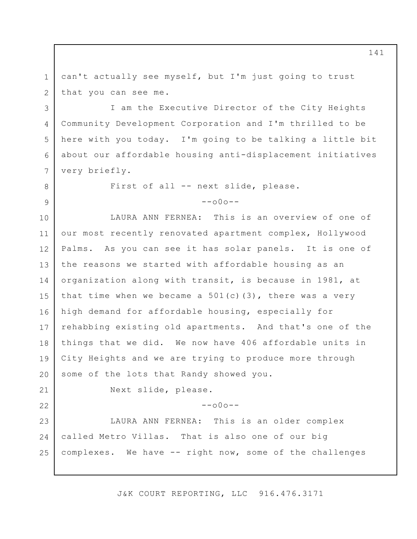1 2 can't actually see myself, but I'm just going to trust that you can see me.

I am the Executive Director of the City Heights Community Development Corporation and I'm thrilled to be here with you today. I'm going to be talking a little bit about our affordable housing anti-displacement initiatives very briefly.

First of all -- next slide, please.

 $--000--$ 

10 11 12 13 14 15 16 17 18 19 20 LAURA ANN FERNEA: This is an overview of one of our most recently renovated apartment complex, Hollywood Palms. As you can see it has solar panels. It is one of the reasons we started with affordable housing as an organization along with transit, is because in 1981, at that time when we became a  $501(c)(3)$ , there was a very high demand for affordable housing, especially for rehabbing existing old apartments. And that's one of the things that we did. We now have 406 affordable units in City Heights and we are trying to produce more through some of the lots that Randy showed you.

21 22

3

4

5

6

7

8

9

Next slide, please.

 $--000--$ 

23 24 25 LAURA ANN FERNEA: This is an older complex called Metro Villas. That is also one of our big complexes. We have -- right now, some of the challenges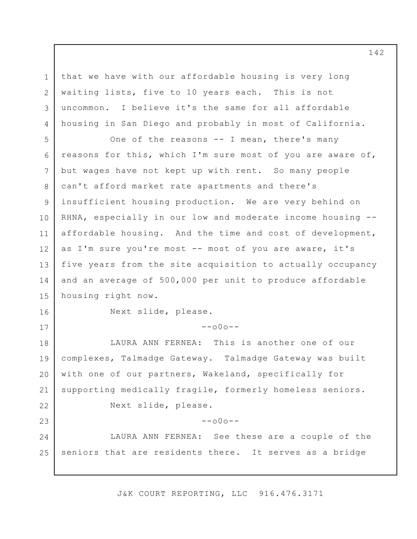1 2 3 4 that we have with our affordable housing is very long waiting lists, five to 10 years each. This is not uncommon. I believe it's the same for all affordable housing in San Diego and probably in most of California.

5 6 7 8 9 10 11 12 13 14 15 One of the reasons -- I mean, there's many reasons for this, which I'm sure most of you are aware of, but wages have not kept up with rent. So many people can't afford market rate apartments and there's insufficient housing production. We are very behind on RHNA, especially in our low and moderate income housing - affordable housing. And the time and cost of development, as I'm sure you're most -- most of you are aware, it's five years from the site acquisition to actually occupancy and an average of 500,000 per unit to produce affordable housing right now.

16

17

Next slide, please.

 $--000--$ 

18 19 20 21 22 23 24 25 LAURA ANN FERNEA: This is another one of our complexes, Talmadge Gateway. Talmadge Gateway was built with one of our partners, Wakeland, specifically for supporting medically fragile, formerly homeless seniors. Next slide, please.  $--000--$ LAURA ANN FERNEA: See these are a couple of the seniors that are residents there. It serves as a bridge

J&K COURT REPORTING, LLC 916.476.3171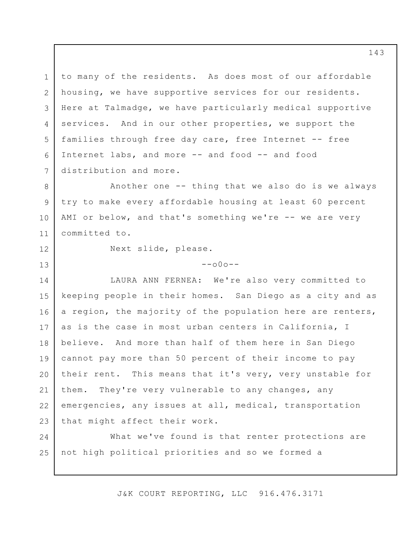1 2 3 4 5 6 7 to many of the residents. As does most of our affordable housing, we have supportive services for our residents. Here at Talmadge, we have particularly medical supportive services. And in our other properties, we support the families through free day care, free Internet -- free Internet labs, and more -- and food -- and food distribution and more.

8 9 10 11 Another one -- thing that we also do is we always try to make every affordable housing at least 60 percent AMI or below, and that's something we're -- we are very committed to.

12

13

Next slide, please.

 $--000--$ 

14 15 16 17 18 19 20 21 22 23 LAURA ANN FERNEA: We're also very committed to keeping people in their homes. San Diego as a city and as a region, the majority of the population here are renters, as is the case in most urban centers in California, I believe. And more than half of them here in San Diego cannot pay more than 50 percent of their income to pay their rent. This means that it's very, very unstable for them. They're very vulnerable to any changes, any emergencies, any issues at all, medical, transportation that might affect their work.

24 25 What we've found is that renter protections are not high political priorities and so we formed a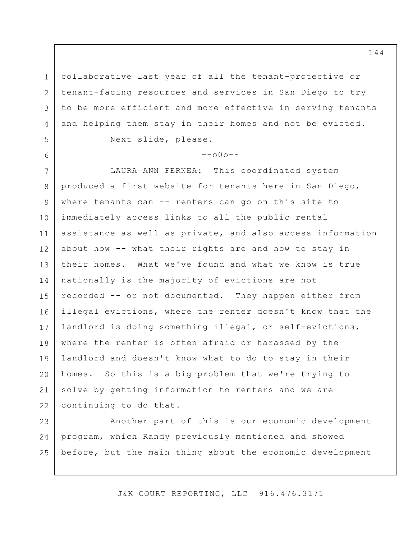3 collaborative last year of all the tenant-protective or tenant-facing resources and services in San Diego to try to be more efficient and more effective in serving tenants and helping them stay in their homes and not be evicted.

 $--000--$ 

Next slide, please.

1

2

4

5

6

7 8 9 10 11 12 13 14 15 16 17 18 19 20 21 22 LAURA ANN FERNEA: This coordinated system produced a first website for tenants here in San Diego, where tenants can -- renters can go on this site to immediately access links to all the public rental assistance as well as private, and also access information about how -- what their rights are and how to stay in their homes. What we've found and what we know is true nationally is the majority of evictions are not recorded -- or not documented. They happen either from illegal evictions, where the renter doesn't know that the landlord is doing something illegal, or self-evictions, where the renter is often afraid or harassed by the landlord and doesn't know what to do to stay in their homes. So this is a big problem that we're trying to solve by getting information to renters and we are continuing to do that.

23 24 25 Another part of this is our economic development program, which Randy previously mentioned and showed before, but the main thing about the economic development

J&K COURT REPORTING, LLC 916.476.3171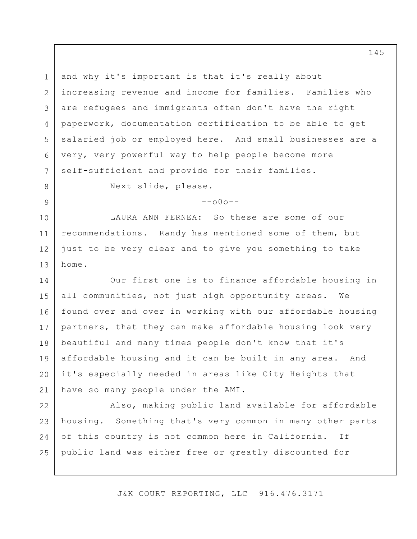1 2 3 4 5 6 7 and why it's important is that it's really about increasing revenue and income for families. Families who are refugees and immigrants often don't have the right paperwork, documentation certification to be able to get salaried job or employed here. And small businesses are a very, very powerful way to help people become more self-sufficient and provide for their families.

8 9 Next slide, please.

 $--000--$ 

10 11 12 13 LAURA ANN FERNEA: So these are some of our recommendations. Randy has mentioned some of them, but just to be very clear and to give you something to take home.

14 15 16 17 18 19 20 21 Our first one is to finance affordable housing in all communities, not just high opportunity areas. We found over and over in working with our affordable housing partners, that they can make affordable housing look very beautiful and many times people don't know that it's affordable housing and it can be built in any area. And it's especially needed in areas like City Heights that have so many people under the AMI.

22 23 24 25 Also, making public land available for affordable housing. Something that's very common in many other parts of this country is not common here in California. If public land was either free or greatly discounted for

J&K COURT REPORTING, LLC 916.476.3171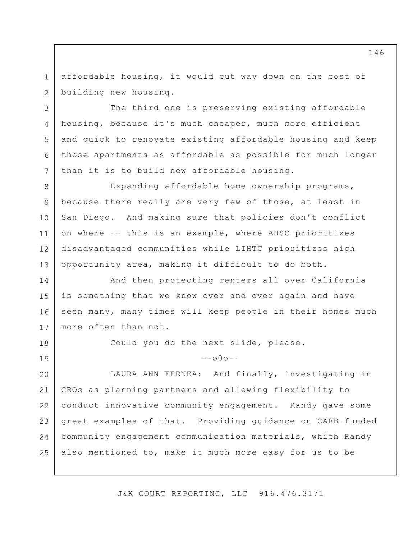1 2 affordable housing, it would cut way down on the cost of building new housing.

3

4

5

6

7

18

19

The third one is preserving existing affordable housing, because it's much cheaper, much more efficient and quick to renovate existing affordable housing and keep those apartments as affordable as possible for much longer than it is to build new affordable housing.

8 9 10 11 12 13 Expanding affordable home ownership programs, because there really are very few of those, at least in San Diego. And making sure that policies don't conflict on where -- this is an example, where AHSC prioritizes disadvantaged communities while LIHTC prioritizes high opportunity area, making it difficult to do both.

14 15 16 17 And then protecting renters all over California is something that we know over and over again and have seen many, many times will keep people in their homes much more often than not.

Could you do the next slide, please.

 $--$ o $0$ o $--$ 

20 21 22 23 24 25 LAURA ANN FERNEA: And finally, investigating in CBOs as planning partners and allowing flexibility to conduct innovative community engagement. Randy gave some great examples of that. Providing guidance on CARB-funded community engagement communication materials, which Randy also mentioned to, make it much more easy for us to be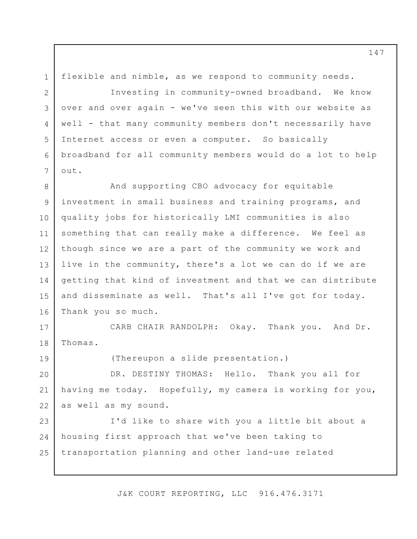1 2 flexible and nimble, as we respond to community needs. Investing in community-owned broadband. We know

3

4

5

6

7

19

over and over again - we've seen this with our website as well - that many community members don't necessarily have Internet access or even a computer. So basically broadband for all community members would do a lot to help out.

8 9 10 11 12 13 14 15 16 And supporting CBO advocacy for equitable investment in small business and training programs, and quality jobs for historically LMI communities is also something that can really make a difference. We feel as though since we are a part of the community we work and live in the community, there's a lot we can do if we are getting that kind of investment and that we can distribute and disseminate as well. That's all I've got for today. Thank you so much.

17 18 CARB CHAIR RANDOLPH: Okay. Thank you. And Dr. Thomas.

(Thereupon a slide presentation.)

20 21 22 DR. DESTINY THOMAS: Hello. Thank you all for having me today. Hopefully, my camera is working for you, as well as my sound.

23 24 25 I'd like to share with you a little bit about a housing first approach that we've been taking to transportation planning and other land-use related

J&K COURT REPORTING, LLC 916.476.3171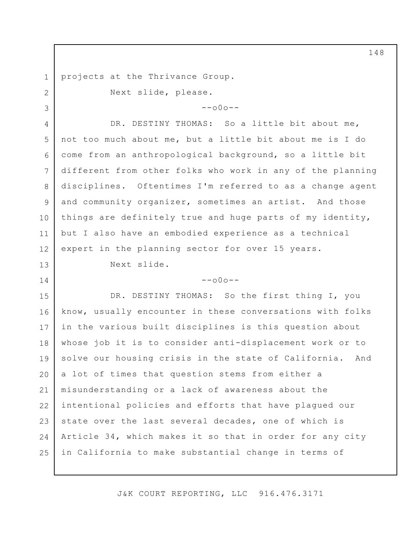projects at the Thrivance Group.

Next slide, please.

1

2

3

13

14

 $--000--$ 

4 5 6 7 8 9 10 11 12 DR. DESTINY THOMAS: So a little bit about me, not too much about me, but a little bit about me is I do come from an anthropological background, so a little bit different from other folks who work in any of the planning disciplines. Oftentimes I'm referred to as a change agent and community organizer, sometimes an artist. And those things are definitely true and huge parts of my identity, but I also have an embodied experience as a technical expert in the planning sector for over 15 years.

Next slide.

## $--000--$

15 16 17 18 19 20 21 22 23 24 25 DR. DESTINY THOMAS: So the first thing I, you know, usually encounter in these conversations with folks in the various built disciplines is this question about whose job it is to consider anti-displacement work or to solve our housing crisis in the state of California. And a lot of times that question stems from either a misunderstanding or a lack of awareness about the intentional policies and efforts that have plagued our state over the last several decades, one of which is Article 34, which makes it so that in order for any city in California to make substantial change in terms of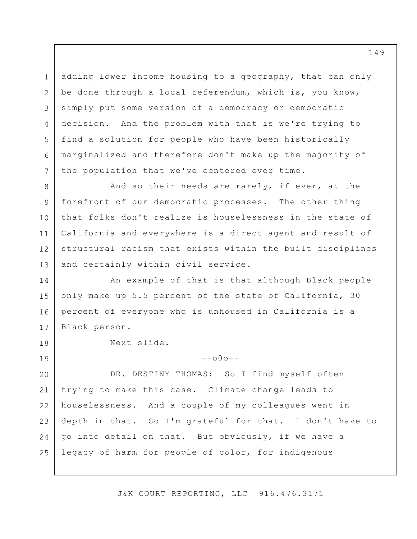adding lower income housing to a geography, that can only be done through a local referendum, which is, you know, simply put some version of a democracy or democratic decision. And the problem with that is we're trying to find a solution for people who have been historically marginalized and therefore don't make up the majority of the population that we've centered over time.

8 9 10 11 12 13 And so their needs are rarely, if ever, at the forefront of our democratic processes. The other thing that folks don't realize is houselessness in the state of California and everywhere is a direct agent and result of structural racism that exists within the built disciplines and certainly within civil service.

14 15 16 17 An example of that is that although Black people only make up 5.5 percent of the state of California, 30 percent of everyone who is unhoused in California is a Black person.

Next slide.

1

2

3

4

5

6

7

18

19

 $--000--$ 

20 21 22 23 24 25 DR. DESTINY THOMAS: So I find myself often trying to make this case. Climate change leads to houselessness. And a couple of my colleagues went in depth in that. So I'm grateful for that. I don't have to go into detail on that. But obviously, if we have a legacy of harm for people of color, for indigenous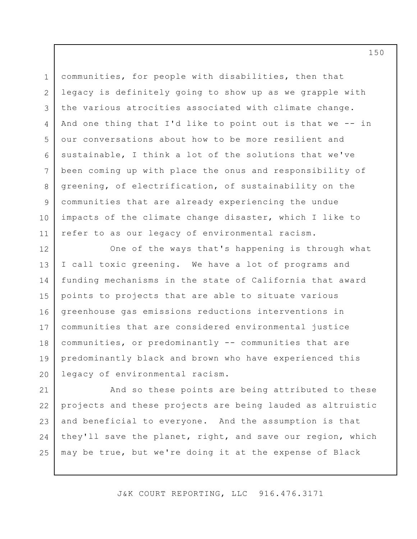1 2 3 4 5 6 7 8 9 10 11 communities, for people with disabilities, then that legacy is definitely going to show up as we grapple with the various atrocities associated with climate change. And one thing that I'd like to point out is that we -- in our conversations about how to be more resilient and sustainable, I think a lot of the solutions that we've been coming up with place the onus and responsibility of greening, of electrification, of sustainability on the communities that are already experiencing the undue impacts of the climate change disaster, which I like to refer to as our legacy of environmental racism.

12 13 14 15 16 17 18 19 20 One of the ways that's happening is through what I call toxic greening. We have a lot of programs and funding mechanisms in the state of California that award points to projects that are able to situate various greenhouse gas emissions reductions interventions in communities that are considered environmental justice communities, or predominantly -- communities that are predominantly black and brown who have experienced this legacy of environmental racism.

21 22 23 24 25 And so these points are being attributed to these projects and these projects are being lauded as altruistic and beneficial to everyone. And the assumption is that they'll save the planet, right, and save our region, which may be true, but we're doing it at the expense of Black

J&K COURT REPORTING, LLC 916.476.3171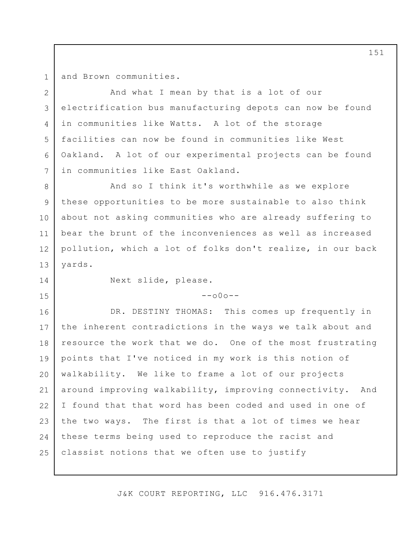1 2

3

4

5

6

7

and Brown communities.

And what I mean by that is a lot of our electrification bus manufacturing depots can now be found in communities like Watts. A lot of the storage facilities can now be found in communities like West Oakland. A lot of our experimental projects can be found in communities like East Oakland.

8 9 10 11 12 13 And so I think it's worthwhile as we explore these opportunities to be more sustainable to also think about not asking communities who are already suffering to bear the brunt of the inconveniences as well as increased pollution, which a lot of folks don't realize, in our back yards.

14

15

Next slide, please.

## $--000--$

16 17 18 19 20 21 22 23 24 25 DR. DESTINY THOMAS: This comes up frequently in the inherent contradictions in the ways we talk about and resource the work that we do. One of the most frustrating points that I've noticed in my work is this notion of walkability. We like to frame a lot of our projects around improving walkability, improving connectivity. And I found that that word has been coded and used in one of the two ways. The first is that a lot of times we hear these terms being used to reproduce the racist and classist notions that we often use to justify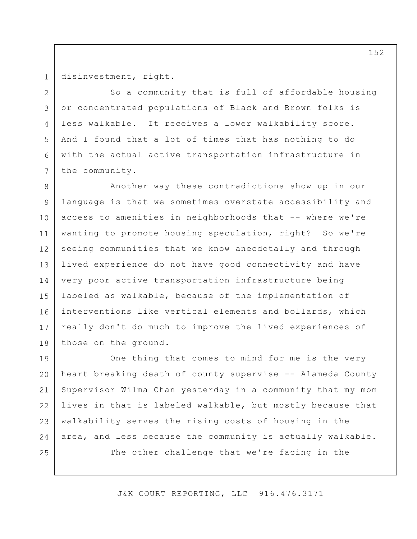1 2

3

4

5

6

7

disinvestment, right.

So a community that is full of affordable housing or concentrated populations of Black and Brown folks is less walkable. It receives a lower walkability score. And I found that a lot of times that has nothing to do with the actual active transportation infrastructure in the community.

8 9 10 11 12 13 14 15 16 17 18 Another way these contradictions show up in our language is that we sometimes overstate accessibility and access to amenities in neighborhoods that -- where we're wanting to promote housing speculation, right? So we're seeing communities that we know anecdotally and through lived experience do not have good connectivity and have very poor active transportation infrastructure being labeled as walkable, because of the implementation of interventions like vertical elements and bollards, which really don't do much to improve the lived experiences of those on the ground.

19 20 21 22 23 24 25 One thing that comes to mind for me is the very heart breaking death of county supervise -- Alameda County Supervisor Wilma Chan yesterday in a community that my mom lives in that is labeled walkable, but mostly because that walkability serves the rising costs of housing in the area, and less because the community is actually walkable. The other challenge that we're facing in the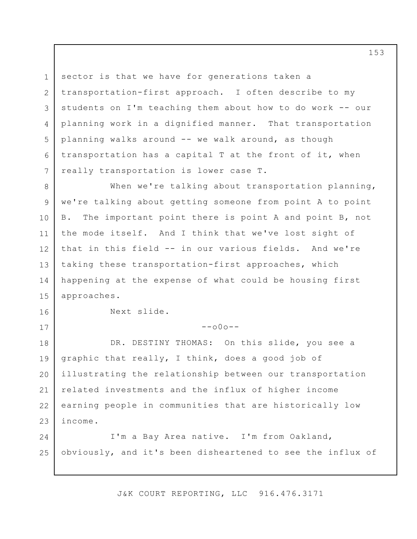1 2 3 4 5 6 7 sector is that we have for generations taken a transportation-first approach. I often describe to my students on I'm teaching them about how to do work -- our planning work in a dignified manner. That transportation planning walks around -- we walk around, as though transportation has a capital T at the front of it, when really transportation is lower case T.

8 9 10 11 12 13 14 15 When we're talking about transportation planning, we're talking about getting someone from point A to point B. The important point there is point A and point B, not the mode itself. And I think that we've lost sight of that in this field -- in our various fields. And we're taking these transportation-first approaches, which happening at the expense of what could be housing first approaches.

Next slide.

16

17

 $--000--$ 

18 19 20 21 22 23 DR. DESTINY THOMAS: On this slide, you see a graphic that really, I think, does a good job of illustrating the relationship between our transportation related investments and the influx of higher income earning people in communities that are historically low income.

24 25 I'm a Bay Area native. I'm from Oakland, obviously, and it's been disheartened to see the influx of

J&K COURT REPORTING, LLC 916.476.3171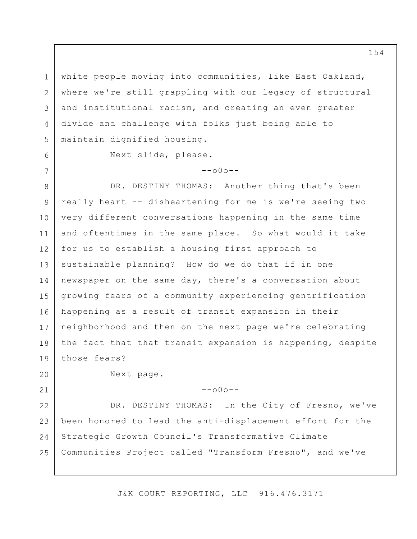3 white people moving into communities, like East Oakland, where we're still grappling with our legacy of structural and institutional racism, and creating an even greater divide and challenge with folks just being able to maintain dignified housing.

1

2

4

5

6

7

Next slide, please.

 $--000--$ 

8 9 10 11 12 13 14 15 16 17 18 19 DR. DESTINY THOMAS: Another thing that's been really heart -- disheartening for me is we're seeing two very different conversations happening in the same time and oftentimes in the same place. So what would it take for us to establish a housing first approach to sustainable planning? How do we do that if in one newspaper on the same day, there's a conversation about growing fears of a community experiencing gentrification happening as a result of transit expansion in their neighborhood and then on the next page we're celebrating the fact that that transit expansion is happening, despite those fears?

20

21

Next page.

--o0o--

22 23 24 25 DR. DESTINY THOMAS: In the City of Fresno, we've been honored to lead the anti-displacement effort for the Strategic Growth Council's Transformative Climate Communities Project called "Transform Fresno", and we've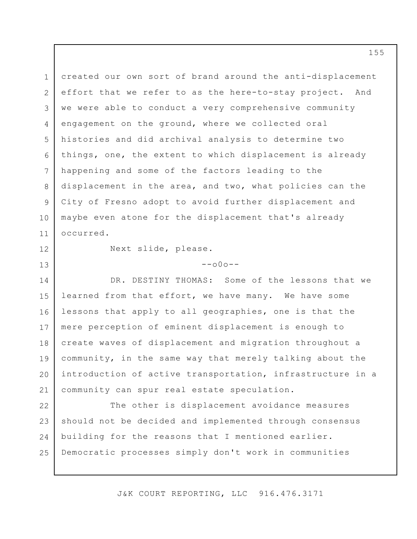1 2 3 4 5 6 7 8 9 10 11 created our own sort of brand around the anti-displacement effort that we refer to as the here-to-stay project. And we were able to conduct a very comprehensive community engagement on the ground, where we collected oral histories and did archival analysis to determine two things, one, the extent to which displacement is already happening and some of the factors leading to the displacement in the area, and two, what policies can the City of Fresno adopt to avoid further displacement and maybe even atone for the displacement that's already occurred.

12

13

Next slide, please.

 $--000--$ 

14 15 16 17 18 19 20 21 DR. DESTINY THOMAS: Some of the lessons that we learned from that effort, we have many. We have some lessons that apply to all geographies, one is that the mere perception of eminent displacement is enough to create waves of displacement and migration throughout a community, in the same way that merely talking about the introduction of active transportation, infrastructure in a community can spur real estate speculation.

22 23 24 25 The other is displacement avoidance measures should not be decided and implemented through consensus building for the reasons that I mentioned earlier. Democratic processes simply don't work in communities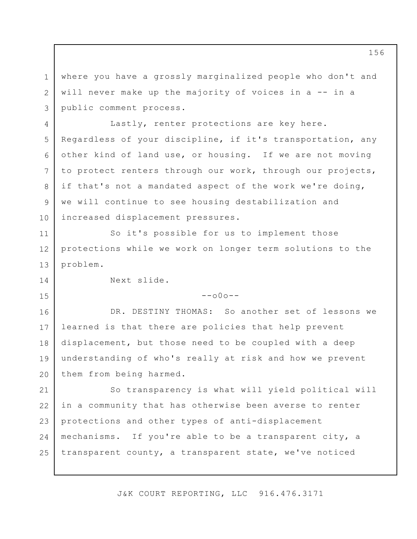1 2 3 where you have a grossly marginalized people who don't and will never make up the majority of voices in a -- in a public comment process.

4 5 6 7 8 9 10 Lastly, renter protections are key here. Regardless of your discipline, if it's transportation, any other kind of land use, or housing. If we are not moving to protect renters through our work, through our projects, if that's not a mandated aspect of the work we're doing, we will continue to see housing destabilization and increased displacement pressures.

13 So it's possible for us to implement those protections while we work on longer term solutions to the problem.

Next slide.

11

12

14

15

 $--000--$ 

16 17 18 19 20 DR. DESTINY THOMAS: So another set of lessons we learned is that there are policies that help prevent displacement, but those need to be coupled with a deep understanding of who's really at risk and how we prevent them from being harmed.

21 22 23 24 25 So transparency is what will yield political will in a community that has otherwise been averse to renter protections and other types of anti-displacement mechanisms. If you're able to be a transparent city, a transparent county, a transparent state, we've noticed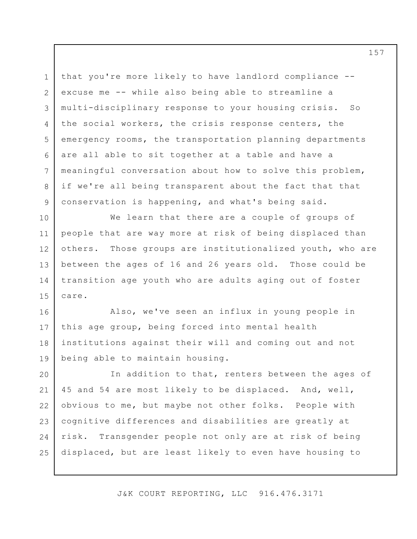1 2 3 4 5 6 7 8 9 that you're more likely to have landlord compliance - excuse me -- while also being able to streamline a multi-disciplinary response to your housing crisis. So the social workers, the crisis response centers, the emergency rooms, the transportation planning departments are all able to sit together at a table and have a meaningful conversation about how to solve this problem, if we're all being transparent about the fact that that conservation is happening, and what's being said.

10 11 12 13 14 15 We learn that there are a couple of groups of people that are way more at risk of being displaced than others. Those groups are institutionalized youth, who are between the ages of 16 and 26 years old. Those could be transition age youth who are adults aging out of foster care.

16 17 18 19 Also, we've seen an influx in young people in this age group, being forced into mental health institutions against their will and coming out and not being able to maintain housing.

20 21 22 23 24 25 In addition to that, renters between the ages of 45 and 54 are most likely to be displaced. And, well, obvious to me, but maybe not other folks. People with cognitive differences and disabilities are greatly at risk. Transgender people not only are at risk of being displaced, but are least likely to even have housing to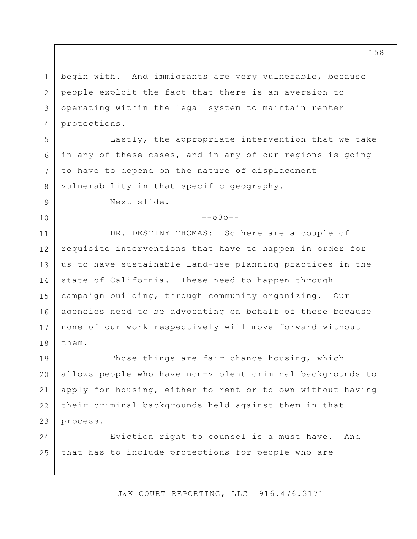1 2 3 4 begin with. And immigrants are very vulnerable, because people exploit the fact that there is an aversion to operating within the legal system to maintain renter protections.

Lastly, the appropriate intervention that we take in any of these cases, and in any of our regions is going to have to depend on the nature of displacement vulnerability in that specific geography.

Next slide.

5

6

7

8

9

10

 $--000--$ 

11 12 13 14 15 16 17 18 DR. DESTINY THOMAS: So here are a couple of requisite interventions that have to happen in order for us to have sustainable land-use planning practices in the state of California. These need to happen through campaign building, through community organizing. Our agencies need to be advocating on behalf of these because none of our work respectively will move forward without them.

19 20 21 22 23 Those things are fair chance housing, which allows people who have non-violent criminal backgrounds to apply for housing, either to rent or to own without having their criminal backgrounds held against them in that process.

24 25 Eviction right to counsel is a must have. And that has to include protections for people who are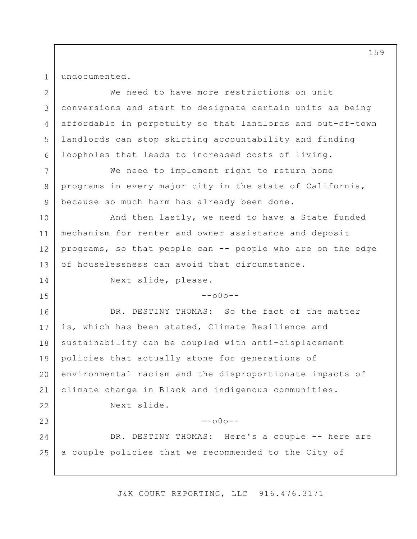1

7

8

9

14

15

undocumented.

2 3 4 5 6 We need to have more restrictions on unit conversions and start to designate certain units as being affordable in perpetuity so that landlords and out-of-town landlords can stop skirting accountability and finding loopholes that leads to increased costs of living.

We need to implement right to return home programs in every major city in the state of California, because so much harm has already been done.

10 11 12 13 And then lastly, we need to have a State funded mechanism for renter and owner assistance and deposit programs, so that people can -- people who are on the edge of houselessness can avoid that circumstance.

Next slide, please.

 $--000--$ 

16 17 18 19 20 21 22 23 24 25 DR. DESTINY THOMAS: So the fact of the matter is, which has been stated, Climate Resilience and sustainability can be coupled with anti-displacement policies that actually atone for generations of environmental racism and the disproportionate impacts of climate change in Black and indigenous communities. Next slide.  $--\cap 0 \cap --$ DR. DESTINY THOMAS: Here's a couple -- here are a couple policies that we recommended to the City of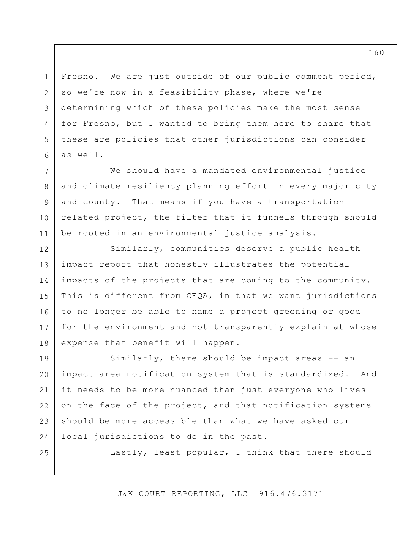Fresno. We are just outside of our public comment period, so we're now in a feasibility phase, where we're determining which of these policies make the most sense for Fresno, but I wanted to bring them here to share that these are policies that other jurisdictions can consider as well.

1

2

3

4

5

6

25

7 8 9 10 11 We should have a mandated environmental justice and climate resiliency planning effort in every major city and county. That means if you have a transportation related project, the filter that it funnels through should be rooted in an environmental justice analysis.

12 13 14 15 16 17 18 Similarly, communities deserve a public health impact report that honestly illustrates the potential impacts of the projects that are coming to the community. This is different from CEQA, in that we want jurisdictions to no longer be able to name a project greening or good for the environment and not transparently explain at whose expense that benefit will happen.

19 20 21 22 23 24 Similarly, there should be impact areas -- an impact area notification system that is standardized. And it needs to be more nuanced than just everyone who lives on the face of the project, and that notification systems should be more accessible than what we have asked our local jurisdictions to do in the past.

Lastly, least popular, I think that there should

J&K COURT REPORTING, LLC 916.476.3171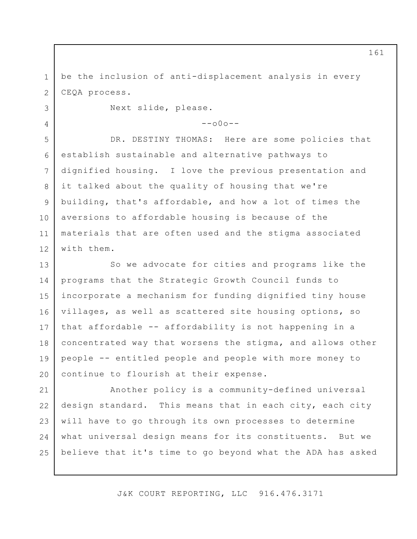1 2 be the inclusion of anti-displacement analysis in every CEQA process.

Next slide, please.

3

4

 $--000--$ 

5 6 7 8 9 10 11 12 DR. DESTINY THOMAS: Here are some policies that establish sustainable and alternative pathways to dignified housing. I love the previous presentation and it talked about the quality of housing that we're building, that's affordable, and how a lot of times the aversions to affordable housing is because of the materials that are often used and the stigma associated with them.

13 14 15 16 17 18 19 20 So we advocate for cities and programs like the programs that the Strategic Growth Council funds to incorporate a mechanism for funding dignified tiny house villages, as well as scattered site housing options, so that affordable -- affordability is not happening in a concentrated way that worsens the stigma, and allows other people -- entitled people and people with more money to continue to flourish at their expense.

21 22 23 24 25 Another policy is a community-defined universal design standard. This means that in each city, each city will have to go through its own processes to determine what universal design means for its constituents. But we believe that it's time to go beyond what the ADA has asked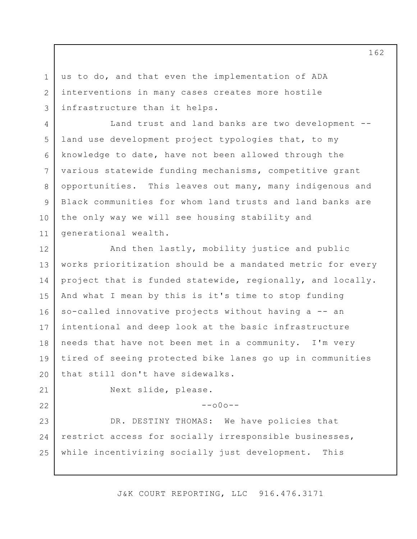us to do, and that even the implementation of ADA interventions in many cases creates more hostile infrastructure than it helps.

5 6 10 Land trust and land banks are two development - land use development project typologies that, to my knowledge to date, have not been allowed through the various statewide funding mechanisms, competitive grant opportunities. This leaves out many, many indigenous and Black communities for whom land trusts and land banks are the only way we will see housing stability and generational wealth.

12 13 14 15 16 17 18 19 20 And then lastly, mobility justice and public works prioritization should be a mandated metric for every project that is funded statewide, regionally, and locally. And what I mean by this is it's time to stop funding so-called innovative projects without having a -- an intentional and deep look at the basic infrastructure needs that have not been met in a community. I'm very tired of seeing protected bike lanes go up in communities that still don't have sidewalks.

21 22

1

2

3

4

7

8

9

11

Next slide, please.

 $--000--$ 

23 24 25 DR. DESTINY THOMAS: We have policies that restrict access for socially irresponsible businesses, while incentivizing socially just development. This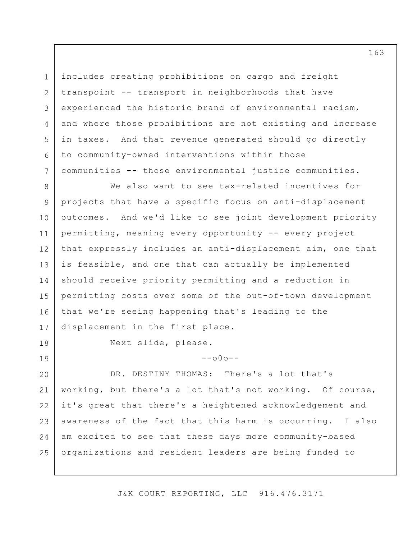3 6 includes creating prohibitions on cargo and freight transpoint -- transport in neighborhoods that have experienced the historic brand of environmental racism, and where those prohibitions are not existing and increase in taxes. And that revenue generated should go directly to community-owned interventions within those communities -- those environmental justice communities.

8 9 10 11 12 13 14 15 16 17 We also want to see tax-related incentives for projects that have a specific focus on anti-displacement outcomes. And we'd like to see joint development priority permitting, meaning every opportunity -- every project that expressly includes an anti-displacement aim, one that is feasible, and one that can actually be implemented should receive priority permitting and a reduction in permitting costs over some of the out-of-town development that we're seeing happening that's leading to the displacement in the first place.

18

19

1

2

4

5

7

Next slide, please.

 $--000--$ 

20 21 22 23 24 25 DR. DESTINY THOMAS: There's a lot that's working, but there's a lot that's not working. Of course, it's great that there's a heightened acknowledgement and awareness of the fact that this harm is occurring. I also am excited to see that these days more community-based organizations and resident leaders are being funded to

J&K COURT REPORTING, LLC 916.476.3171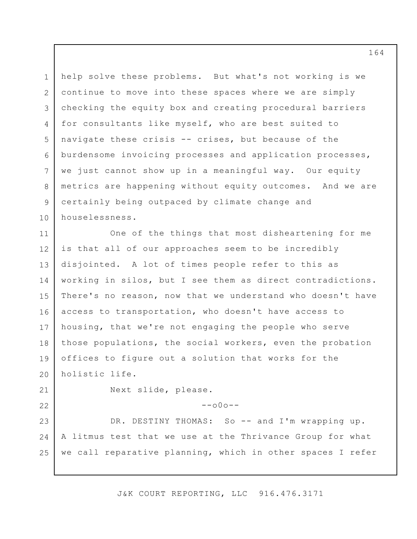1 2 3 4 5 6 7 8 9 10 help solve these problems. But what's not working is we continue to move into these spaces where we are simply checking the equity box and creating procedural barriers for consultants like myself, who are best suited to navigate these crisis -- crises, but because of the burdensome invoicing processes and application processes, we just cannot show up in a meaningful way. Our equity metrics are happening without equity outcomes. And we are certainly being outpaced by climate change and houselessness.

11 12 13 14 15 16 17 18 19 20 One of the things that most disheartening for me is that all of our approaches seem to be incredibly disjointed. A lot of times people refer to this as working in silos, but I see them as direct contradictions. There's no reason, now that we understand who doesn't have access to transportation, who doesn't have access to housing, that we're not engaging the people who serve those populations, the social workers, even the probation offices to figure out a solution that works for the holistic life.

21 22 Next slide, please.

 $--000--$ 

23 24 25 DR. DESTINY THOMAS: So -- and I'm wrapping up. A litmus test that we use at the Thrivance Group for what we call reparative planning, which in other spaces I refer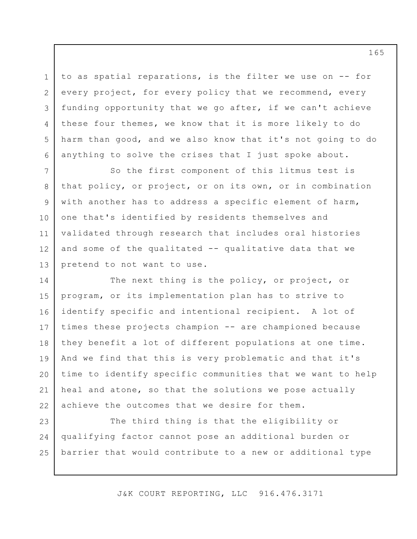to as spatial reparations, is the filter we use on -- for every project, for every policy that we recommend, every funding opportunity that we go after, if we can't achieve these four themes, we know that it is more likely to do harm than good, and we also know that it's not going to do anything to solve the crises that I just spoke about.

1

2

3

4

5

6

7 8 9 10 11 12 13 So the first component of this litmus test is that policy, or project, or on its own, or in combination with another has to address a specific element of harm, one that's identified by residents themselves and validated through research that includes oral histories and some of the qualitated -- qualitative data that we pretend to not want to use.

14 15 16 17 18 19 20 21 22 The next thing is the policy, or project, or program, or its implementation plan has to strive to identify specific and intentional recipient. A lot of times these projects champion -- are championed because they benefit a lot of different populations at one time. And we find that this is very problematic and that it's time to identify specific communities that we want to help heal and atone, so that the solutions we pose actually achieve the outcomes that we desire for them.

23 24 25 The third thing is that the eligibility or qualifying factor cannot pose an additional burden or barrier that would contribute to a new or additional type

J&K COURT REPORTING, LLC 916.476.3171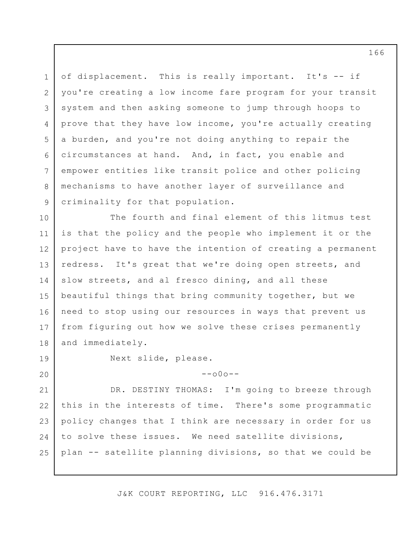1 2 3 4 5 6 7 8 9 of displacement. This is really important. It's -- if you're creating a low income fare program for your transit system and then asking someone to jump through hoops to prove that they have low income, you're actually creating a burden, and you're not doing anything to repair the circumstances at hand. And, in fact, you enable and empower entities like transit police and other policing mechanisms to have another layer of surveillance and criminality for that population.

10 11 12 13 14 15 16 17 18 The fourth and final element of this litmus test is that the policy and the people who implement it or the project have to have the intention of creating a permanent redress. It's great that we're doing open streets, and slow streets, and al fresco dining, and all these beautiful things that bring community together, but we need to stop using our resources in ways that prevent us from figuring out how we solve these crises permanently and immediately.

19

20

Next slide, please.

 $--000--$ 

21 22 23 24 25 DR. DESTINY THOMAS: I'm going to breeze through this in the interests of time. There's some programmatic policy changes that I think are necessary in order for us to solve these issues. We need satellite divisions, plan -- satellite planning divisions, so that we could be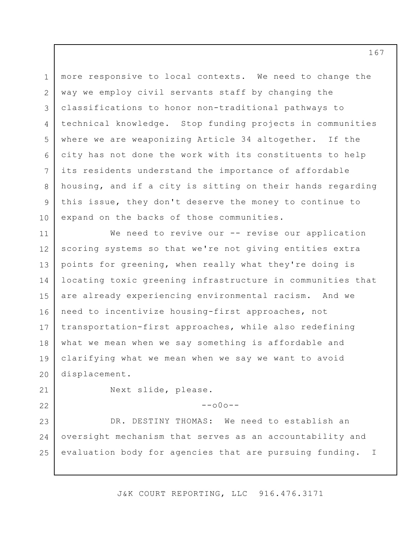1 2 3 4 5 6 7 8 9 10 more responsive to local contexts. We need to change the way we employ civil servants staff by changing the classifications to honor non-traditional pathways to technical knowledge. Stop funding projects in communities where we are weaponizing Article 34 altogether. If the city has not done the work with its constituents to help its residents understand the importance of affordable housing, and if a city is sitting on their hands regarding this issue, they don't deserve the money to continue to expand on the backs of those communities.

11 12 13 14 15 16 17 18 19 20 We need to revive our -- revise our application scoring systems so that we're not giving entities extra points for greening, when really what they're doing is locating toxic greening infrastructure in communities that are already experiencing environmental racism. And we need to incentivize housing-first approaches, not transportation-first approaches, while also redefining what we mean when we say something is affordable and clarifying what we mean when we say we want to avoid displacement.

21 22 Next slide, please.

 $--000--$ 

23 24 25 DR. DESTINY THOMAS: We need to establish an oversight mechanism that serves as an accountability and evaluation body for agencies that are pursuing funding. I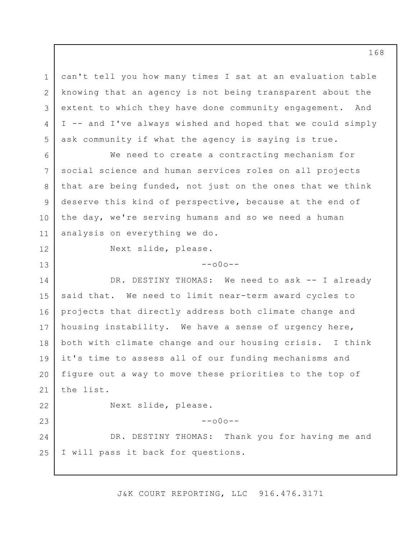can't tell you how many times I sat at an evaluation table knowing that an agency is not being transparent about the extent to which they have done community engagement. And I -- and I've always wished and hoped that we could simply ask community if what the agency is saying is true.

6 7 8 9 10 11 We need to create a contracting mechanism for social science and human services roles on all projects that are being funded, not just on the ones that we think deserve this kind of perspective, because at the end of the day, we're serving humans and so we need a human analysis on everything we do.

12

13

1

2

3

4

5

Next slide, please.

 $--000--$ 

14 15 16 17 18 19 20 21 22 23 24 DR. DESTINY THOMAS: We need to ask -- I already said that. We need to limit near-term award cycles to projects that directly address both climate change and housing instability. We have a sense of urgency here, both with climate change and our housing crisis. I think it's time to assess all of our funding mechanisms and figure out a way to move these priorities to the top of the list. Next slide, please.  $--000--$ DR. DESTINY THOMAS: Thank you for having me and

25 I will pass it back for questions.

J&K COURT REPORTING, LLC 916.476.3171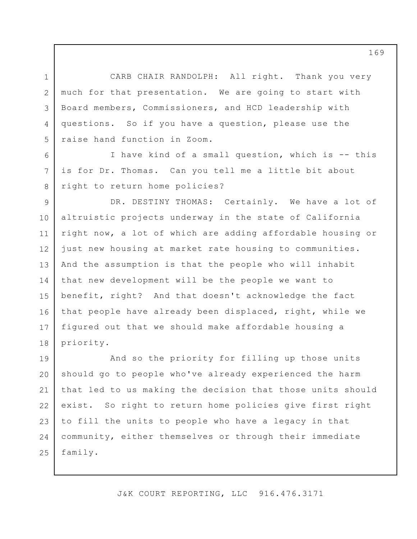1 2 3 4 5 CARB CHAIR RANDOLPH: All right. Thank you very much for that presentation. We are going to start with Board members, Commissioners, and HCD leadership with questions. So if you have a question, please use the raise hand function in Zoom.

I have kind of a small question, which is -- this is for Dr. Thomas. Can you tell me a little bit about right to return home policies?

6

7

8

9 10 11 12 13 14 15 16 17 18 DR. DESTINY THOMAS: Certainly. We have a lot of altruistic projects underway in the state of California right now, a lot of which are adding affordable housing or just new housing at market rate housing to communities. And the assumption is that the people who will inhabit that new development will be the people we want to benefit, right? And that doesn't acknowledge the fact that people have already been displaced, right, while we figured out that we should make affordable housing a priority.

19 20 21 22 23 24 25 And so the priority for filling up those units should go to people who've already experienced the harm that led to us making the decision that those units should exist. So right to return home policies give first right to fill the units to people who have a legacy in that community, either themselves or through their immediate family.

J&K COURT REPORTING, LLC 916.476.3171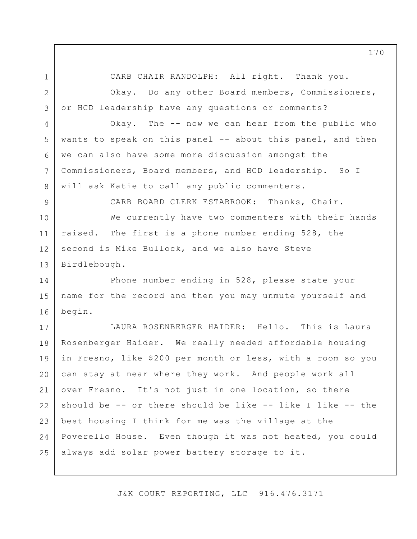1 2

4

5

6

7

8

CARB CHAIR RANDOLPH: All right. Thank you.

3 Okay. Do any other Board members, Commissioners, or HCD leadership have any questions or comments?

Okay. The -- now we can hear from the public who wants to speak on this panel -- about this panel, and then we can also have some more discussion amongst the Commissioners, Board members, and HCD leadership. So I will ask Katie to call any public commenters.

9 10 CARB BOARD CLERK ESTABROOK: Thanks, Chair.

11 12 13 We currently have two commenters with their hands raised. The first is a phone number ending 528, the second is Mike Bullock, and we also have Steve Birdlebough.

14 15 16 Phone number ending in 528, please state your name for the record and then you may unmute yourself and begin.

17 18 19 20 21 22 23 24 25 LAURA ROSENBERGER HAIDER: Hello. This is Laura Rosenberger Haider. We really needed affordable housing in Fresno, like \$200 per month or less, with a room so you can stay at near where they work. And people work all over Fresno. It's not just in one location, so there should be -- or there should be like -- like I like -- the best housing I think for me was the village at the Poverello House. Even though it was not heated, you could always add solar power battery storage to it.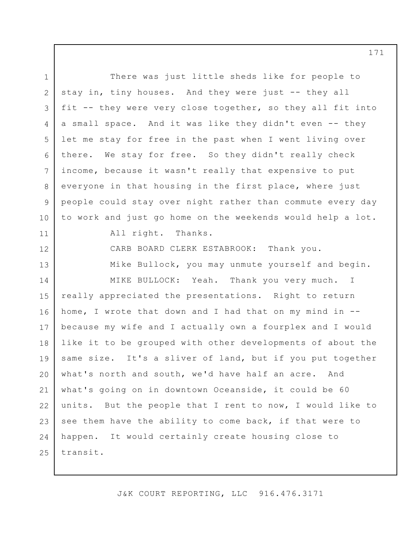1 2 3 4 5 6 7 8 9 10 11 12 13 14 15 16 17 18 19 20 21 22 23 24 25 There was just little sheds like for people to stay in, tiny houses. And they were just -- they all fit -- they were very close together, so they all fit into a small space. And it was like they didn't even -- they let me stay for free in the past when I went living over there. We stay for free. So they didn't really check income, because it wasn't really that expensive to put everyone in that housing in the first place, where just people could stay over night rather than commute every day to work and just go home on the weekends would help a lot. All right. Thanks. CARB BOARD CLERK ESTABROOK: Thank you. Mike Bullock, you may unmute yourself and begin. MIKE BULLOCK: Yeah. Thank you very much. I really appreciated the presentations. Right to return home, I wrote that down and I had that on my mind in - because my wife and I actually own a fourplex and I would like it to be grouped with other developments of about the same size. It's a sliver of land, but if you put together what's north and south, we'd have half an acre. And what's going on in downtown Oceanside, it could be 60 units. But the people that I rent to now, I would like to see them have the ability to come back, if that were to happen. It would certainly create housing close to transit.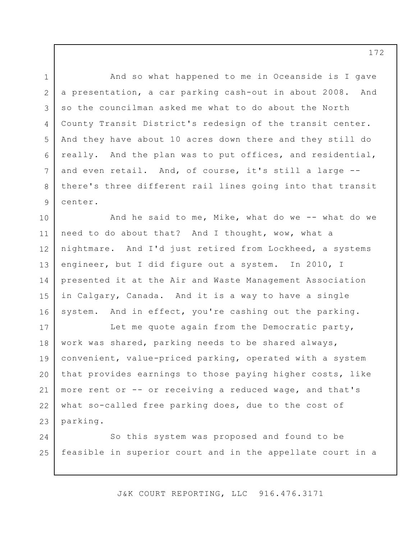2 3 4 5 6 7 8 9 And so what happened to me in Oceanside is I gave a presentation, a car parking cash-out in about 2008. And so the councilman asked me what to do about the North County Transit District's redesign of the transit center. And they have about 10 acres down there and they still do really. And the plan was to put offices, and residential, and even retail. And, of course, it's still a large - there's three different rail lines going into that transit center.

1

10 11 12 13 14 15 16 And he said to me, Mike, what do we -- what do we need to do about that? And I thought, wow, what a nightmare. And I'd just retired from Lockheed, a systems engineer, but I did figure out a system. In 2010, I presented it at the Air and Waste Management Association in Calgary, Canada. And it is a way to have a single system. And in effect, you're cashing out the parking.

17 18 19 20 21 22 23 Let me quote again from the Democratic party, work was shared, parking needs to be shared always, convenient, value-priced parking, operated with a system that provides earnings to those paying higher costs, like more rent or -- or receiving a reduced wage, and that's what so-called free parking does, due to the cost of parking.

24 25 So this system was proposed and found to be feasible in superior court and in the appellate court in a

J&K COURT REPORTING, LLC 916.476.3171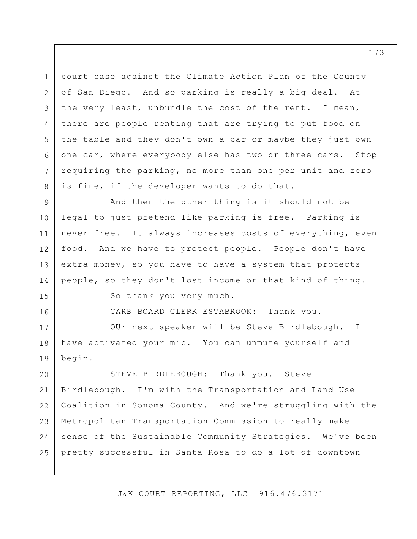1 2 3 4 5 6 7 8 court case against the Climate Action Plan of the County of San Diego. And so parking is really a big deal. At the very least, unbundle the cost of the rent. I mean, there are people renting that are trying to put food on the table and they don't own a car or maybe they just own one car, where everybody else has two or three cars. Stop requiring the parking, no more than one per unit and zero is fine, if the developer wants to do that.

9 10 11 12 13 14 And then the other thing is it should not be legal to just pretend like parking is free. Parking is never free. It always increases costs of everything, even food. And we have to protect people. People don't have extra money, so you have to have a system that protects people, so they don't lost income or that kind of thing.

15 16

18

So thank you very much.

CARB BOARD CLERK ESTABROOK: Thank you.

17 19 OUr next speaker will be Steve Birdlebough. I have activated your mic. You can unmute yourself and begin.

20 21 22 23 24 25 STEVE BIRDLEBOUGH: Thank you. Steve Birdlebough. I'm with the Transportation and Land Use Coalition in Sonoma County. And we're struggling with the Metropolitan Transportation Commission to really make sense of the Sustainable Community Strategies. We've been pretty successful in Santa Rosa to do a lot of downtown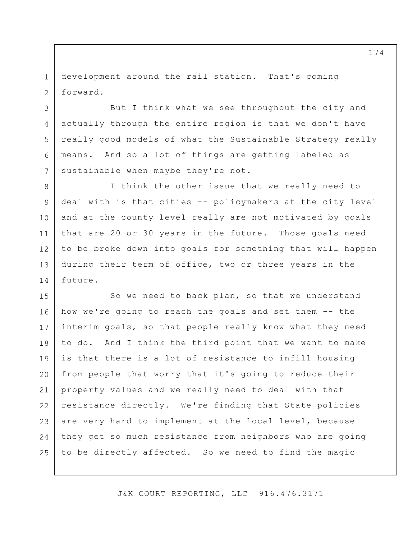1 2 development around the rail station. That's coming forward.

3

4

5

6

7

8

9

10

11

12

13

14

But I think what we see throughout the city and actually through the entire region is that we don't have really good models of what the Sustainable Strategy really means. And so a lot of things are getting labeled as sustainable when maybe they're not.

I think the other issue that we really need to deal with is that cities -- policymakers at the city level and at the county level really are not motivated by goals that are 20 or 30 years in the future. Those goals need to be broke down into goals for something that will happen during their term of office, two or three years in the future.

15 16 17 18 19 20 21 22 23 24 25 So we need to back plan, so that we understand how we're going to reach the goals and set them -- the interim goals, so that people really know what they need to do. And I think the third point that we want to make is that there is a lot of resistance to infill housing from people that worry that it's going to reduce their property values and we really need to deal with that resistance directly. We're finding that State policies are very hard to implement at the local level, because they get so much resistance from neighbors who are going to be directly affected. So we need to find the magic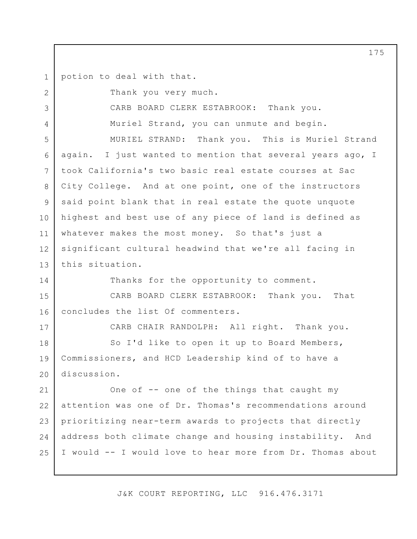1 potion to deal with that.

2

3

4

14

17

Thank you very much.

CARB BOARD CLERK ESTABROOK: Thank you.

Muriel Strand, you can unmute and begin.

5 6 7 8 9 10 11 12 13 MURIEL STRAND: Thank you. This is Muriel Strand again. I just wanted to mention that several years ago, I took California's two basic real estate courses at Sac City College. And at one point, one of the instructors said point blank that in real estate the quote unquote highest and best use of any piece of land is defined as whatever makes the most money. So that's just a significant cultural headwind that we're all facing in this situation.

Thanks for the opportunity to comment.

15 16 CARB BOARD CLERK ESTABROOK: Thank you. That concludes the list Of commenters.

CARB CHAIR RANDOLPH: All right. Thank you.

18 19 20 So I'd like to open it up to Board Members, Commissioners, and HCD Leadership kind of to have a discussion.

21 22 23 24 25 One of -- one of the things that caught my attention was one of Dr. Thomas's recommendations around prioritizing near-term awards to projects that directly address both climate change and housing instability. And I would -- I would love to hear more from Dr. Thomas about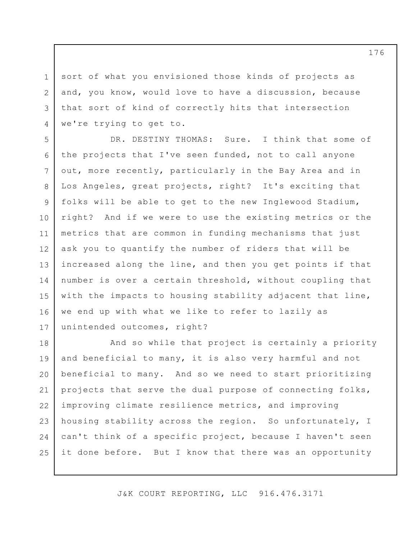3 sort of what you envisioned those kinds of projects as and, you know, would love to have a discussion, because that sort of kind of correctly hits that intersection we're trying to get to.

1

2

4

5 6 7 8 9 10 11 12 13 14 15 16 17 DR. DESTINY THOMAS: Sure. I think that some of the projects that I've seen funded, not to call anyone out, more recently, particularly in the Bay Area and in Los Angeles, great projects, right? It's exciting that folks will be able to get to the new Inglewood Stadium, right? And if we were to use the existing metrics or the metrics that are common in funding mechanisms that just ask you to quantify the number of riders that will be increased along the line, and then you get points if that number is over a certain threshold, without coupling that with the impacts to housing stability adjacent that line, we end up with what we like to refer to lazily as unintended outcomes, right?

18 19 20 21 22 23 24 25 And so while that project is certainly a priority and beneficial to many, it is also very harmful and not beneficial to many. And so we need to start prioritizing projects that serve the dual purpose of connecting folks, improving climate resilience metrics, and improving housing stability across the region. So unfortunately, I can't think of a specific project, because I haven't seen it done before. But I know that there was an opportunity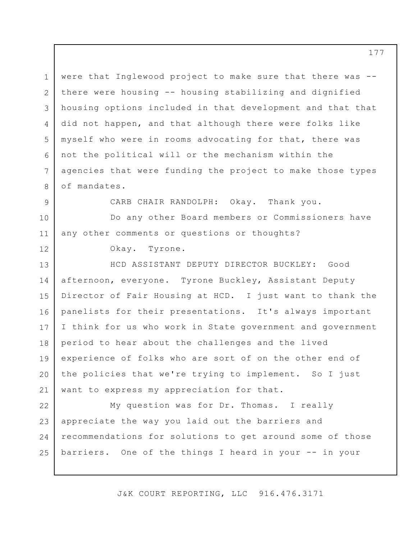1 2 3 4 5 6 7 8 were that Inglewood project to make sure that there was - there were housing -- housing stabilizing and dignified housing options included in that development and that that did not happen, and that although there were folks like myself who were in rooms advocating for that, there was not the political will or the mechanism within the agencies that were funding the project to make those types of mandates.

9

12

CARB CHAIR RANDOLPH: Okay. Thank you.

10 11 Do any other Board members or Commissioners have any other comments or questions or thoughts?

Okay. Tyrone.

13 14 15 16 17 18 19 20 21 HCD ASSISTANT DEPUTY DIRECTOR BUCKLEY: Good afternoon, everyone. Tyrone Buckley, Assistant Deputy Director of Fair Housing at HCD. I just want to thank the panelists for their presentations. It's always important I think for us who work in State government and government period to hear about the challenges and the lived experience of folks who are sort of on the other end of the policies that we're trying to implement. So I just want to express my appreciation for that.

22 23 24 25 My question was for Dr. Thomas. I really appreciate the way you laid out the barriers and recommendations for solutions to get around some of those barriers. One of the things I heard in your -- in your

J&K COURT REPORTING, LLC 916.476.3171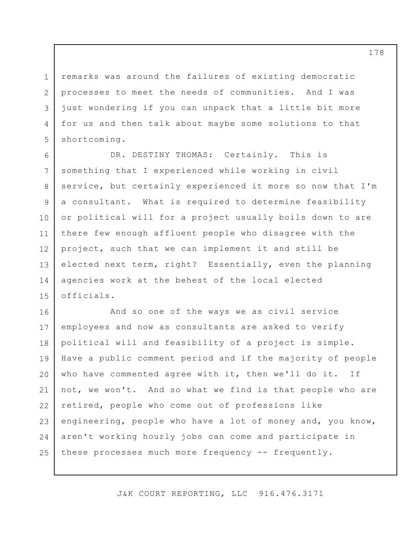remarks was around the failures of existing democratic processes to meet the needs of communities. And I was just wondering if you can unpack that a little bit more for us and then talk about maybe some solutions to that shortcoming.

1

2

3

4

5

6 7 8 9 10 11 12 13 14 15 DR. DESTINY THOMAS: Certainly. This is something that I experienced while working in civil service, but certainly experienced it more so now that I'm a consultant. What is required to determine feasibility or political will for a project usually boils down to are there few enough affluent people who disagree with the project, such that we can implement it and still be elected next term, right? Essentially, even the planning agencies work at the behest of the local elected officials.

16 17 18 19 20 21 22 23 24 25 And so one of the ways we as civil service employees and now as consultants are asked to verify political will and feasibility of a project is simple. Have a public comment period and if the majority of people who have commented agree with it, then we'll do it. If not, we won't. And so what we find is that people who are retired, people who come out of professions like engineering, people who have a lot of money and, you know, aren't working hourly jobs can come and participate in these processes much more frequency -- frequently.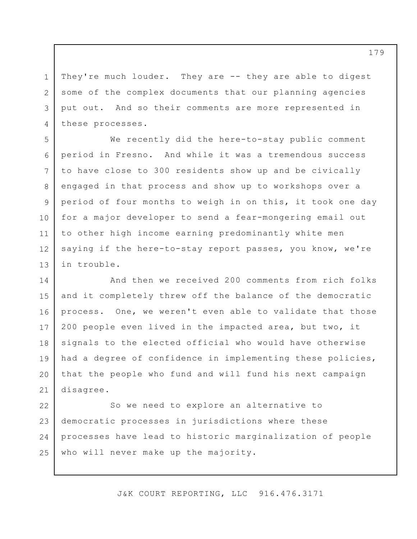They're much louder. They are -- they are able to digest some of the complex documents that our planning agencies put out. And so their comments are more represented in these processes.

1

2

3

4

5

6

7

8

9

10

11

12

13

We recently did the here-to-stay public comment period in Fresno. And while it was a tremendous success to have close to 300 residents show up and be civically engaged in that process and show up to workshops over a period of four months to weigh in on this, it took one day for a major developer to send a fear-mongering email out to other high income earning predominantly white men saying if the here-to-stay report passes, you know, we're in trouble.

14 15 16 17 18 19 20 21 And then we received 200 comments from rich folks and it completely threw off the balance of the democratic process. One, we weren't even able to validate that those 200 people even lived in the impacted area, but two, it signals to the elected official who would have otherwise had a degree of confidence in implementing these policies, that the people who fund and will fund his next campaign disagree.

22 23 24 25 So we need to explore an alternative to democratic processes in jurisdictions where these processes have lead to historic marginalization of people who will never make up the majority.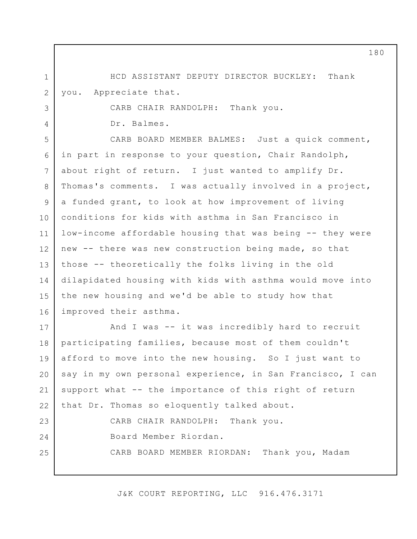HCD ASSISTANT DEPUTY DIRECTOR BUCKLEY: Thank you. Appreciate that.

CARB CHAIR RANDOLPH: Thank you.

Dr. Balmes.

1

2

3

4

5 6 7 8 9 10 11 12 13 14 15 16 CARB BOARD MEMBER BALMES: Just a quick comment, in part in response to your question, Chair Randolph, about right of return. I just wanted to amplify Dr. Thomas's comments. I was actually involved in a project, a funded grant, to look at how improvement of living conditions for kids with asthma in San Francisco in low-income affordable housing that was being -- they were new -- there was new construction being made, so that those -- theoretically the folks living in the old dilapidated housing with kids with asthma would move into the new housing and we'd be able to study how that improved their asthma.

17 18 19 20 21 22 23 24 25 And I was -- it was incredibly hard to recruit participating families, because most of them couldn't afford to move into the new housing. So I just want to say in my own personal experience, in San Francisco, I can support what -- the importance of this right of return that Dr. Thomas so eloquently talked about. CARB CHAIR RANDOLPH: Thank you. Board Member Riordan. CARB BOARD MEMBER RIORDAN: Thank you, Madam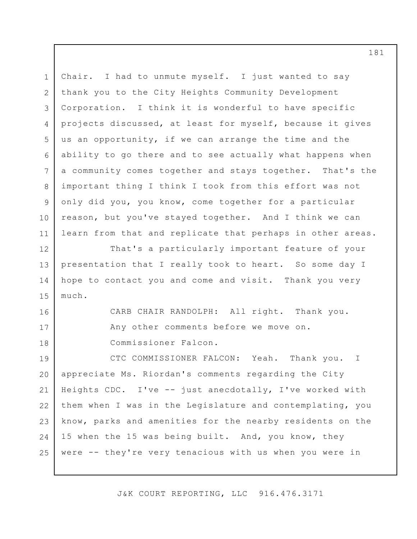1 2 3 4 5 6 7 8 9 10 11 12 13 14 15 16 17 18 19 20 21 22 23 24 25 Chair. I had to unmute myself. I just wanted to say thank you to the City Heights Community Development Corporation. I think it is wonderful to have specific projects discussed, at least for myself, because it gives us an opportunity, if we can arrange the time and the ability to go there and to see actually what happens when a community comes together and stays together. That's the important thing I think I took from this effort was not only did you, you know, come together for a particular reason, but you've stayed together. And I think we can learn from that and replicate that perhaps in other areas. That's a particularly important feature of your presentation that I really took to heart. So some day I hope to contact you and come and visit. Thank you very much. CARB CHAIR RANDOLPH: All right. Thank you. Any other comments before we move on. Commissioner Falcon. CTC COMMISSIONER FALCON: Yeah. Thank you. I appreciate Ms. Riordan's comments regarding the City Heights CDC. I've -- just anecdotally, I've worked with them when I was in the Legislature and contemplating, you know, parks and amenities for the nearby residents on the 15 when the 15 was being built. And, you know, they were -- they're very tenacious with us when you were in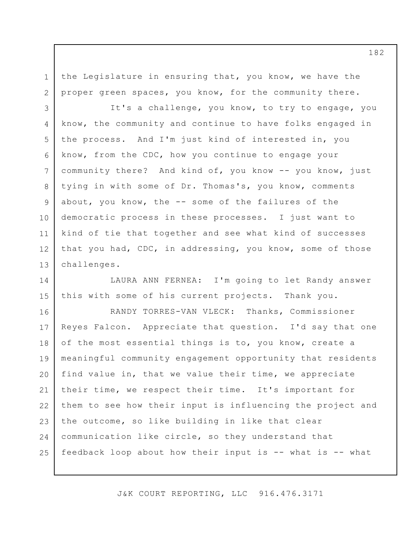the Legislature in ensuring that, you know, we have the proper green spaces, you know, for the community there.

1

2

3 4 5 6 7 8 9 10 11 12 13 It's a challenge, you know, to try to engage, you know, the community and continue to have folks engaged in the process. And I'm just kind of interested in, you know, from the CDC, how you continue to engage your community there? And kind of, you know -- you know, just tying in with some of Dr. Thomas's, you know, comments about, you know, the -- some of the failures of the democratic process in these processes. I just want to kind of tie that together and see what kind of successes that you had, CDC, in addressing, you know, some of those challenges.

14 15 LAURA ANN FERNEA: I'm going to let Randy answer this with some of his current projects. Thank you.

16 17 18 19 20 21 22 23 24 25 RANDY TORRES-VAN VLECK: Thanks, Commissioner Reyes Falcon. Appreciate that question. I'd say that one of the most essential things is to, you know, create a meaningful community engagement opportunity that residents find value in, that we value their time, we appreciate their time, we respect their time. It's important for them to see how their input is influencing the project and the outcome, so like building in like that clear communication like circle, so they understand that feedback loop about how their input is -- what is -- what

J&K COURT REPORTING, LLC 916.476.3171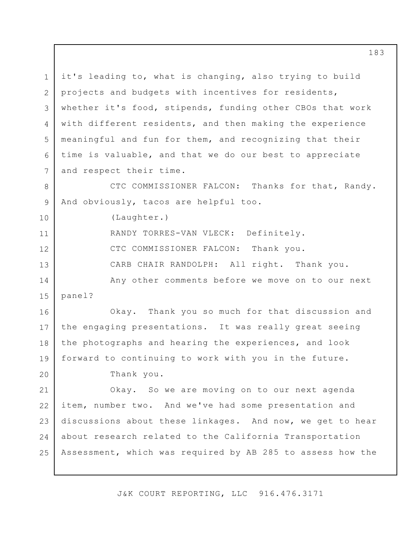1 2 3 4 5 6 7 it's leading to, what is changing, also trying to build projects and budgets with incentives for residents, whether it's food, stipends, funding other CBOs that work with different residents, and then making the experience meaningful and fun for them, and recognizing that their time is valuable, and that we do our best to appreciate and respect their time.

8 9 CTC COMMISSIONER FALCON: Thanks for that, Randy. And obviously, tacos are helpful too.

(Laughter.)

10

20

11 12 13 14 15 RANDY TORRES-VAN VLECK: Definitely. CTC COMMISSIONER FALCON: Thank you. CARB CHAIR RANDOLPH: All right. Thank you. Any other comments before we move on to our next panel?

16 17 18 19 Okay. Thank you so much for that discussion and the engaging presentations. It was really great seeing the photographs and hearing the experiences, and look forward to continuing to work with you in the future.

Thank you.

21 22 23 24 25 Okay. So we are moving on to our next agenda item, number two. And we've had some presentation and discussions about these linkages. And now, we get to hear about research related to the California Transportation Assessment, which was required by AB 285 to assess how the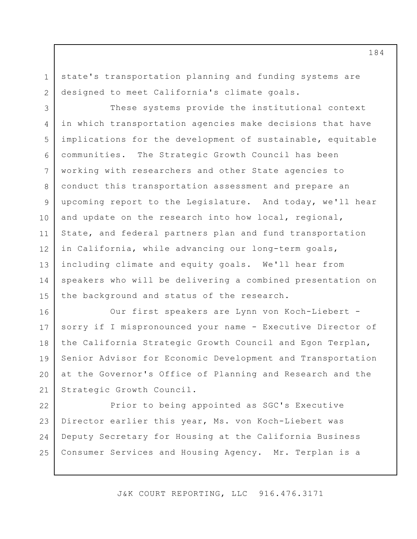state's transportation planning and funding systems are designed to meet California's climate goals.

1

2

3 4 5 6 7 8 9 10 11 12 13 14 15 These systems provide the institutional context in which transportation agencies make decisions that have implications for the development of sustainable, equitable communities. The Strategic Growth Council has been working with researchers and other State agencies to conduct this transportation assessment and prepare an upcoming report to the Legislature. And today, we'll hear and update on the research into how local, regional, State, and federal partners plan and fund transportation in California, while advancing our long-term goals, including climate and equity goals. We'll hear from speakers who will be delivering a combined presentation on the background and status of the research.

16 17 18 19 20 21 Our first speakers are Lynn von Koch-Liebert sorry if I mispronounced your name - Executive Director of the California Strategic Growth Council and Egon Terplan, Senior Advisor for Economic Development and Transportation at the Governor's Office of Planning and Research and the Strategic Growth Council.

22 23 24 25 Prior to being appointed as SGC's Executive Director earlier this year, Ms. von Koch-Liebert was Deputy Secretary for Housing at the California Business Consumer Services and Housing Agency. Mr. Terplan is a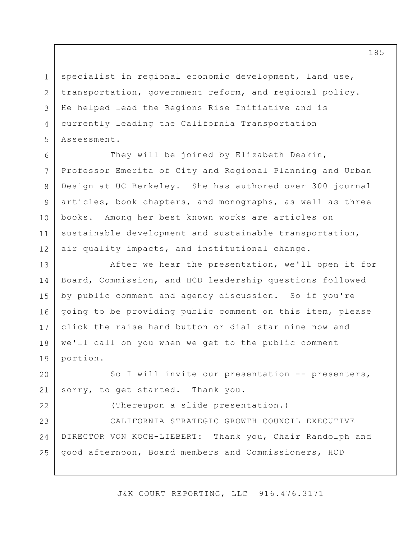specialist in regional economic development, land use, transportation, government reform, and regional policy. He helped lead the Regions Rise Initiative and is currently leading the California Transportation Assessment.

1

2

3

4

5

22

6 7 8 9 10 11 12 They will be joined by Elizabeth Deakin, Professor Emerita of City and Regional Planning and Urban Design at UC Berkeley. She has authored over 300 journal articles, book chapters, and monographs, as well as three books. Among her best known works are articles on sustainable development and sustainable transportation, air quality impacts, and institutional change.

13 14 15 16 17 18 19 After we hear the presentation, we'll open it for Board, Commission, and HCD leadership questions followed by public comment and agency discussion. So if you're going to be providing public comment on this item, please click the raise hand button or dial star nine now and we'll call on you when we get to the public comment portion.

20 21 So I will invite our presentation -- presenters, sorry, to get started. Thank you.

(Thereupon a slide presentation.)

23 24 25 CALIFORNIA STRATEGIC GROWTH COUNCIL EXECUTIVE DIRECTOR VON KOCH-LIEBERT: Thank you, Chair Randolph and good afternoon, Board members and Commissioners, HCD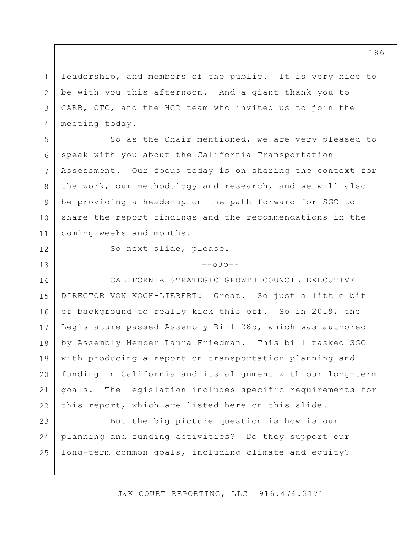1 2 3 4 leadership, and members of the public. It is very nice to be with you this afternoon. And a giant thank you to CARB, CTC, and the HCD team who invited us to join the meeting today.

6 7 So as the Chair mentioned, we are very pleased to speak with you about the California Transportation Assessment. Our focus today is on sharing the context for the work, our methodology and research, and we will also be providing a heads-up on the path forward for SGC to share the report findings and the recommendations in the coming weeks and months.

12

13

5

8

9

10

11

So next slide, please.

 $--000--$ 

14 15 16 17 18 19 20 21 22 CALIFORNIA STRATEGIC GROWTH COUNCIL EXECUTIVE DIRECTOR VON KOCH-LIEBERT: Great. So just a little bit of background to really kick this off. So in 2019, the Legislature passed Assembly Bill 285, which was authored by Assembly Member Laura Friedman. This bill tasked SGC with producing a report on transportation planning and funding in California and its alignment with our long-term goals. The legislation includes specific requirements for this report, which are listed here on this slide.

23 24 25 But the big picture question is how is our planning and funding activities? Do they support our long-term common goals, including climate and equity?

J&K COURT REPORTING, LLC 916.476.3171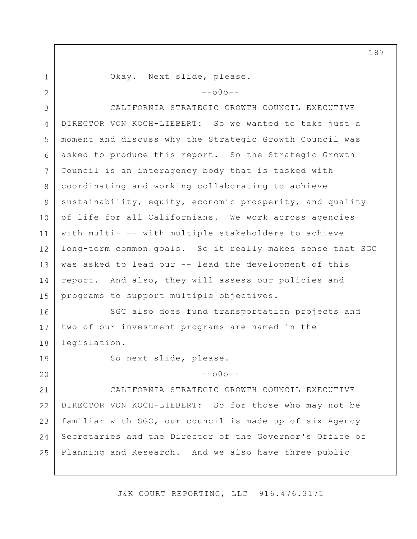1 2 3 4 5 6 7 8 9 10 11 12 13 14 15 16 17 18 19 20 21 22 23 24 25 Okay. Next slide, please.  $--000--$ CALIFORNIA STRATEGIC GROWTH COUNCIL EXECUTIVE DIRECTOR VON KOCH-LIEBERT: So we wanted to take just a moment and discuss why the Strategic Growth Council was asked to produce this report. So the Strategic Growth Council is an interagency body that is tasked with coordinating and working collaborating to achieve sustainability, equity, economic prosperity, and quality of life for all Californians. We work across agencies with multi- -- with multiple stakeholders to achieve long-term common goals. So it really makes sense that SGC was asked to lead our -- lead the development of this report. And also, they will assess our policies and programs to support multiple objectives. SGC also does fund transportation projects and two of our investment programs are named in the legislation. So next slide, please.  $--000--$ CALIFORNIA STRATEGIC GROWTH COUNCIL EXECUTIVE DIRECTOR VON KOCH-LIEBERT: So for those who may not be familiar with SGC, our council is made up of six Agency Secretaries and the Director of the Governor's Office of Planning and Research. And we also have three public

J&K COURT REPORTING, LLC 916.476.3171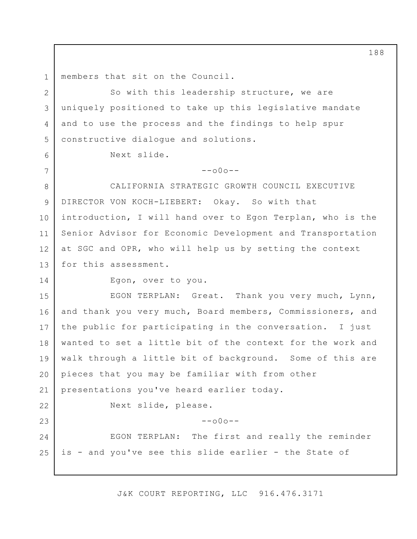1 members that sit on the Council.

2 3 4 5 So with this leadership structure, we are uniquely positioned to take up this legislative mandate and to use the process and the findings to help spur constructive dialogue and solutions.

Next slide.

 $--000--$ 

8 9 10 11 12 13 CALIFORNIA STRATEGIC GROWTH COUNCIL EXECUTIVE DIRECTOR VON KOCH-LIEBERT: Okay. So with that introduction, I will hand over to Egon Terplan, who is the Senior Advisor for Economic Development and Transportation at SGC and OPR, who will help us by setting the context for this assessment.

14

6

7

Egon, over to you.

15 16 17 18 19 20 21 22 23 EGON TERPLAN: Great. Thank you very much, Lynn, and thank you very much, Board members, Commissioners, and the public for participating in the conversation. I just wanted to set a little bit of the context for the work and walk through a little bit of background. Some of this are pieces that you may be familiar with from other presentations you've heard earlier today. Next slide, please.  $--000--$ 

24 25 EGON TERPLAN: The first and really the reminder is - and you've see this slide earlier - the State of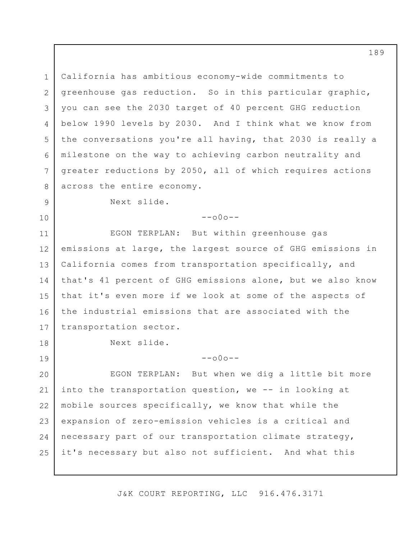1 2 3 4 5 6 7 8 California has ambitious economy-wide commitments to greenhouse gas reduction. So in this particular graphic, you can see the 2030 target of 40 percent GHG reduction below 1990 levels by 2030. And I think what we know from the conversations you're all having, that 2030 is really a milestone on the way to achieving carbon neutrality and greater reductions by 2050, all of which requires actions across the entire economy.

9

10

18

19

 $--000--$ 

11 12 13 14 15 16 17 EGON TERPLAN: But within greenhouse gas emissions at large, the largest source of GHG emissions in California comes from transportation specifically, and that's 41 percent of GHG emissions alone, but we also know that it's even more if we look at some of the aspects of the industrial emissions that are associated with the transportation sector.

Next slide.

Next slide.

 $--000--$ 

20 21 22 23 24 25 EGON TERPLAN: But when we dig a little bit more into the transportation question, we -- in looking at mobile sources specifically, we know that while the expansion of zero-emission vehicles is a critical and necessary part of our transportation climate strategy, it's necessary but also not sufficient. And what this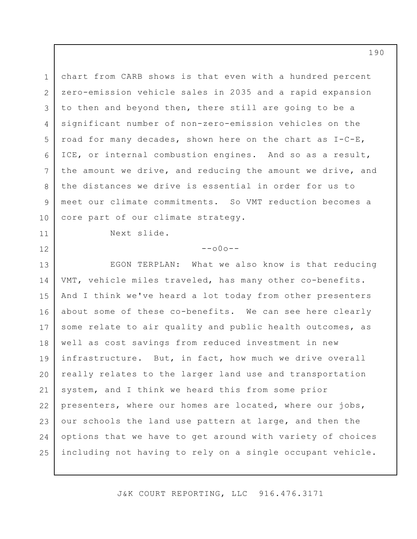1 2 3 4 5 6 7 8 9 10 chart from CARB shows is that even with a hundred percent zero-emission vehicle sales in 2035 and a rapid expansion to then and beyond then, there still are going to be a significant number of non-zero-emission vehicles on the road for many decades, shown here on the chart as I-C-E, ICE, or internal combustion engines. And so as a result, the amount we drive, and reducing the amount we drive, and the distances we drive is essential in order for us to meet our climate commitments. So VMT reduction becomes a core part of our climate strategy.

Next slide.

11

12

## $--000--$

13 14 15 16 17 18 19 20 21 22 23 24 25 EGON TERPLAN: What we also know is that reducing VMT, vehicle miles traveled, has many other co-benefits. And I think we've heard a lot today from other presenters about some of these co-benefits. We can see here clearly some relate to air quality and public health outcomes, as well as cost savings from reduced investment in new infrastructure. But, in fact, how much we drive overall really relates to the larger land use and transportation system, and I think we heard this from some prior presenters, where our homes are located, where our jobs, our schools the land use pattern at large, and then the options that we have to get around with variety of choices including not having to rely on a single occupant vehicle.

J&K COURT REPORTING, LLC 916.476.3171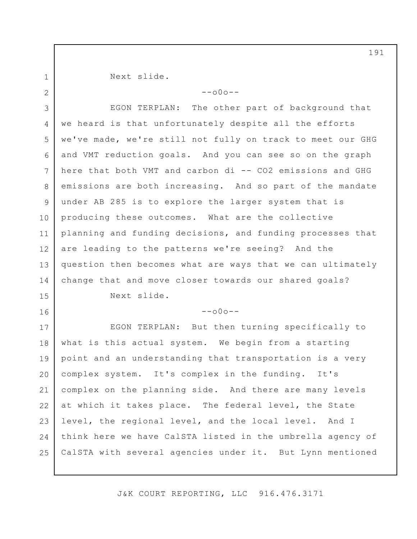1 2

15

16

Next slide.

 $--000--$ 

3 4 5 6 7 8 9 10 11 12 13 14 EGON TERPLAN: The other part of background that we heard is that unfortunately despite all the efforts we've made, we're still not fully on track to meet our GHG and VMT reduction goals. And you can see so on the graph here that both VMT and carbon di -- CO2 emissions and GHG emissions are both increasing. And so part of the mandate under AB 285 is to explore the larger system that is producing these outcomes. What are the collective planning and funding decisions, and funding processes that are leading to the patterns we're seeing? And the question then becomes what are ways that we can ultimately change that and move closer towards our shared goals?

Next slide.

 $--000--$ 

17 18 19 20 21 22 23 24 25 EGON TERPLAN: But then turning specifically to what is this actual system. We begin from a starting point and an understanding that transportation is a very complex system. It's complex in the funding. It's complex on the planning side. And there are many levels at which it takes place. The federal level, the State level, the regional level, and the local level. And I think here we have CalSTA listed in the umbrella agency of CalSTA with several agencies under it. But Lynn mentioned

J&K COURT REPORTING, LLC 916.476.3171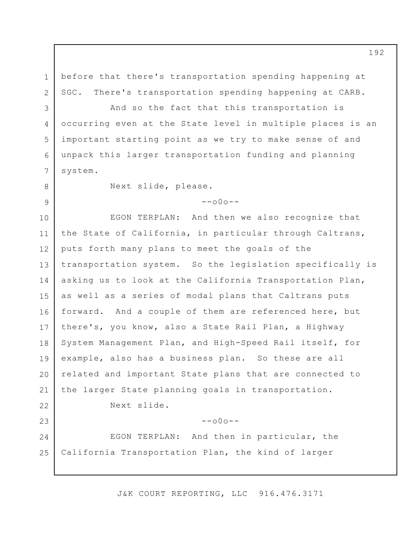before that there's transportation spending happening at SGC. There's transportation spending happening at CARB.

4 5 6 And so the fact that this transportation is occurring even at the State level in multiple places is an important starting point as we try to make sense of and unpack this larger transportation funding and planning system.

8 9

7

1

2

3

Next slide, please.

## $--000--$

10 11 12 13 14 15 16 17 18 19 20 21 22 23 EGON TERPLAN: And then we also recognize that the State of California, in particular through Caltrans, puts forth many plans to meet the goals of the transportation system. So the legislation specifically is asking us to look at the California Transportation Plan, as well as a series of modal plans that Caltrans puts forward. And a couple of them are referenced here, but there's, you know, also a State Rail Plan, a Highway System Management Plan, and High-Speed Rail itself, for example, also has a business plan. So these are all related and important State plans that are connected to the larger State planning goals in transportation. Next slide.  $--\cap 0 \cap --$ 

24 25 EGON TERPLAN: And then in particular, the California Transportation Plan, the kind of larger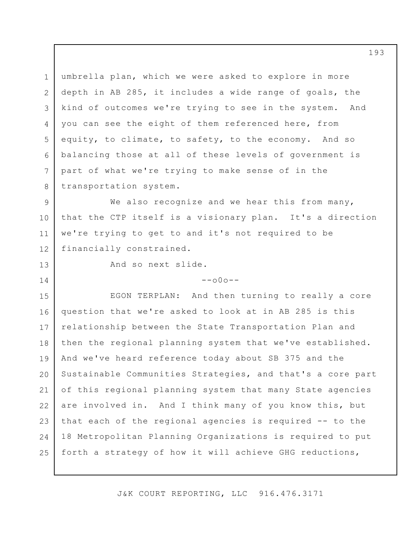1 2 3 4 5 6 7 8 umbrella plan, which we were asked to explore in more depth in AB 285, it includes a wide range of goals, the kind of outcomes we're trying to see in the system. And you can see the eight of them referenced here, from equity, to climate, to safety, to the economy. And so balancing those at all of these levels of government is part of what we're trying to make sense of in the transportation system.

9 10 11 12 We also recognize and we hear this from many, that the CTP itself is a visionary plan. It's a direction we're trying to get to and it's not required to be financially constrained.

13

14

And so next slide.

 $--000--$ 

15 16 17 18 19 20 21 22 23 24 25 EGON TERPLAN: And then turning to really a core question that we're asked to look at in AB 285 is this relationship between the State Transportation Plan and then the regional planning system that we've established. And we've heard reference today about SB 375 and the Sustainable Communities Strategies, and that's a core part of this regional planning system that many State agencies are involved in. And I think many of you know this, but that each of the regional agencies is required -- to the 18 Metropolitan Planning Organizations is required to put forth a strategy of how it will achieve GHG reductions,

J&K COURT REPORTING, LLC 916.476.3171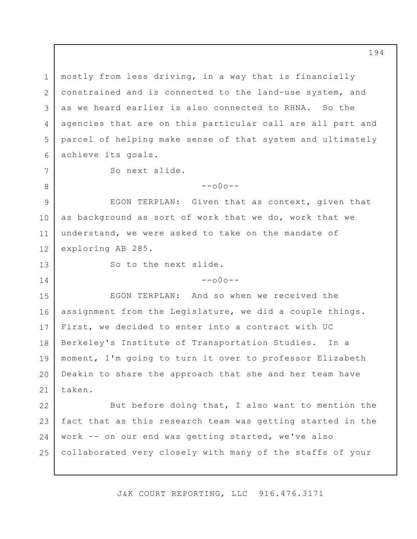1 2 3 4 5 6 7 8 9 10 11 12 13 14 15 16 17 18 19 20 21 22 23 24 25 mostly from less driving, in a way that is financially constrained and is connected to the land-use system, and as we heard earlier is also connected to RHNA. So the agencies that are on this particular call are all part and parcel of helping make sense of that system and ultimately achieve its goals. So next slide.  $--000--$ EGON TERPLAN: Given that as context, given that as background as sort of work that we do, work that we understand, we were asked to take on the mandate of exploring AB 285. So to the next slide.  $--000--$ EGON TERPLAN: And so when we received the assignment from the Legislature, we did a couple things. First, we decided to enter into a contract with UC Berkeley's Institute of Transportation Studies. In a moment, I'm going to turn it over to professor Elizabeth Deakin to share the approach that she and her team have taken. But before doing that, I also want to mention the fact that as this research team was getting started in the work -- on our end was getting started, we've also collaborated very closely with many of the staffs of your

J&K COURT REPORTING, LLC 916.476.3171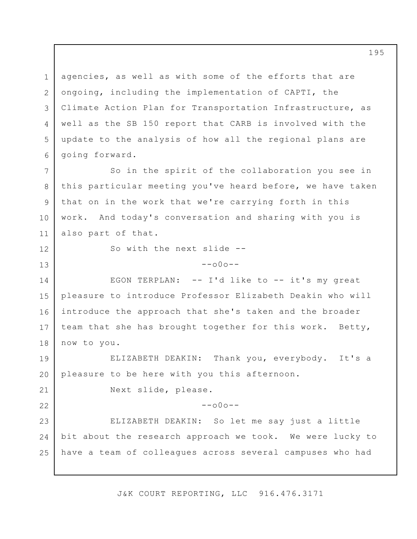1 2 3 4 5 6 7 8 9 10 agencies, as well as with some of the efforts that are ongoing, including the implementation of CAPTI, the Climate Action Plan for Transportation Infrastructure, as well as the SB 150 report that CARB is involved with the update to the analysis of how all the regional plans are going forward. So in the spirit of the collaboration you see in this particular meeting you've heard before, we have taken that on in the work that we're carrying forth in this work. And today's conversation and sharing with you is

also part of that.

11

12

13

21

22

So with the next slide --

## --o0o--

14 15 16 17 18 EGON TERPLAN: -- I'd like to -- it's my great pleasure to introduce Professor Elizabeth Deakin who will introduce the approach that she's taken and the broader team that she has brought together for this work. Betty, now to you.

19 20 ELIZABETH DEAKIN: Thank you, everybody. It's a pleasure to be here with you this afternoon.

Next slide, please.

 $--000--$ 

23 24 25 ELIZABETH DEAKIN: So let me say just a little bit about the research approach we took. We were lucky to have a team of colleagues across several campuses who had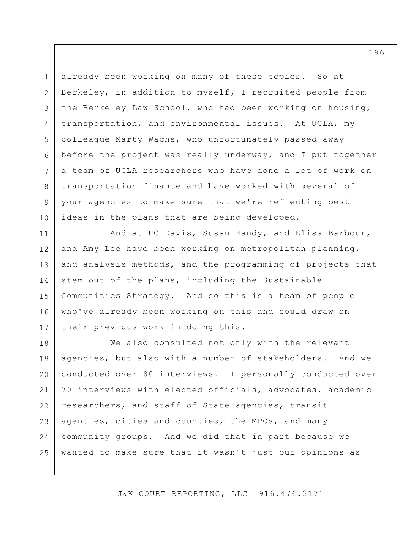1 2 3 4 5 6 7 8 9 10 already been working on many of these topics. So at Berkeley, in addition to myself, I recruited people from the Berkeley Law School, who had been working on housing, transportation, and environmental issues. At UCLA, my colleague Marty Wachs, who unfortunately passed away before the project was really underway, and I put together a team of UCLA researchers who have done a lot of work on transportation finance and have worked with several of your agencies to make sure that we're reflecting best ideas in the plans that are being developed.

11 12 13 14 15 16 17 And at UC Davis, Susan Handy, and Elisa Barbour, and Amy Lee have been working on metropolitan planning, and analysis methods, and the programming of projects that stem out of the plans, including the Sustainable Communities Strategy. And so this is a team of people who've already been working on this and could draw on their previous work in doing this.

18 19 20 21 22 23 24 25 We also consulted not only with the relevant agencies, but also with a number of stakeholders. And we conducted over 80 interviews. I personally conducted over 70 interviews with elected officials, advocates, academic researchers, and staff of State agencies, transit agencies, cities and counties, the MPOs, and many community groups. And we did that in part because we wanted to make sure that it wasn't just our opinions as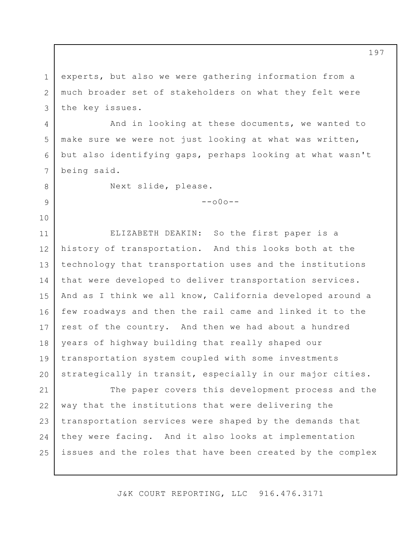1 2 3 experts, but also we were gathering information from a much broader set of stakeholders on what they felt were the key issues.

And in looking at these documents, we wanted to make sure we were not just looking at what was written, but also identifying gaps, perhaps looking at what wasn't being said.

8 9

10

4

5

6

7

Next slide, please.

 $--000--$ 

11 12 13 14 15 16 17 18 19 20 ELIZABETH DEAKIN: So the first paper is a history of transportation. And this looks both at the technology that transportation uses and the institutions that were developed to deliver transportation services. And as I think we all know, California developed around a few roadways and then the rail came and linked it to the rest of the country. And then we had about a hundred years of highway building that really shaped our transportation system coupled with some investments strategically in transit, especially in our major cities.

21 22 23 24 25 The paper covers this development process and the way that the institutions that were delivering the transportation services were shaped by the demands that they were facing. And it also looks at implementation issues and the roles that have been created by the complex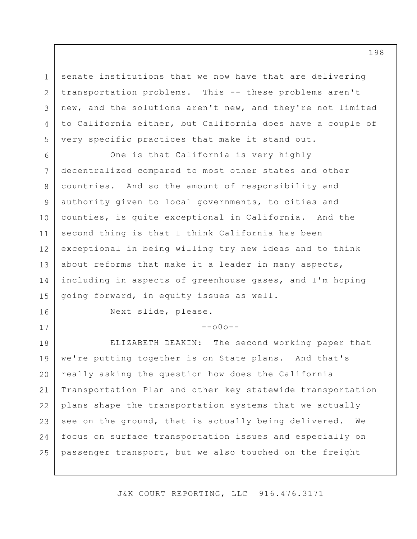senate institutions that we now have that are delivering transportation problems. This -- these problems aren't new, and the solutions aren't new, and they're not limited to California either, but California does have a couple of very specific practices that make it stand out.

6 7 8 9 10 11 12 13 14 15 One is that California is very highly decentralized compared to most other states and other countries. And so the amount of responsibility and authority given to local governments, to cities and counties, is quite exceptional in California. And the second thing is that I think California has been exceptional in being willing try new ideas and to think about reforms that make it a leader in many aspects, including in aspects of greenhouse gases, and I'm hoping going forward, in equity issues as well.

1

2

3

4

5

16

17

Next slide, please.

 $--000--$ 

18 19 20 21 22 23 24 25 ELIZABETH DEAKIN: The second working paper that we're putting together is on State plans. And that's really asking the question how does the California Transportation Plan and other key statewide transportation plans shape the transportation systems that we actually see on the ground, that is actually being delivered. We focus on surface transportation issues and especially on passenger transport, but we also touched on the freight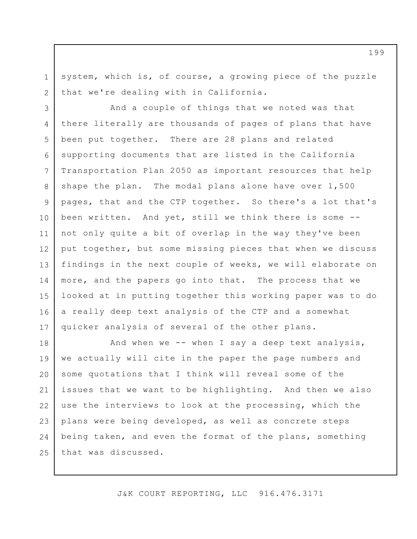system, which is, of course, a growing piece of the puzzle that we're dealing with in California.

1

2

3 4 5 6 7 8 9 10 11 12 13 14 15 16 17 And a couple of things that we noted was that there literally are thousands of pages of plans that have been put together. There are 28 plans and related supporting documents that are listed in the California Transportation Plan 2050 as important resources that help shape the plan. The modal plans alone have over 1,500 pages, that and the CTP together. So there's a lot that's been written. And yet, still we think there is some - not only quite a bit of overlap in the way they've been put together, but some missing pieces that when we discuss findings in the next couple of weeks, we will elaborate on more, and the papers go into that. The process that we looked at in putting together this working paper was to do a really deep text analysis of the CTP and a somewhat quicker analysis of several of the other plans.

18 19 20 21 22 23 24 25 And when we  $-$ - when I say a deep text analysis, we actually will cite in the paper the page numbers and some quotations that I think will reveal some of the issues that we want to be highlighting. And then we also use the interviews to look at the processing, which the plans were being developed, as well as concrete steps being taken, and even the format of the plans, something that was discussed.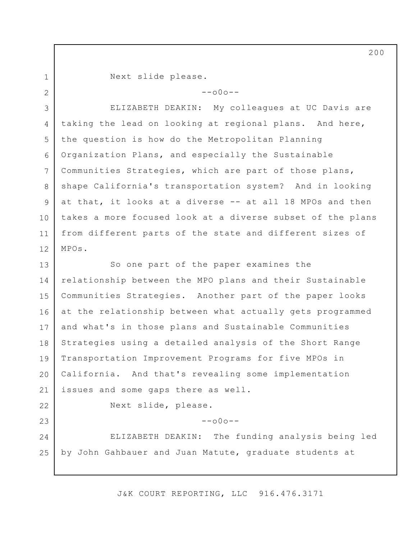1 2 Next slide please.

 $--\cap 0 \cap --$ 

3 4 5 6 7 8 9 10 11 12 ELIZABETH DEAKIN: My colleagues at UC Davis are taking the lead on looking at regional plans. And here, the question is how do the Metropolitan Planning Organization Plans, and especially the Sustainable Communities Strategies, which are part of those plans, shape California's transportation system? And in looking at that, it looks at a diverse -- at all 18 MPOs and then takes a more focused look at a diverse subset of the plans from different parts of the state and different sizes of MPOs.

13 14 15 16 17 18 19 20 21 So one part of the paper examines the relationship between the MPO plans and their Sustainable Communities Strategies. Another part of the paper looks at the relationship between what actually gets programmed and what's in those plans and Sustainable Communities Strategies using a detailed analysis of the Short Range Transportation Improvement Programs for five MPOs in California. And that's revealing some implementation issues and some gaps there as well.

22 23

 $--000--$ 

Next slide, please.

24 25 ELIZABETH DEAKIN: The funding analysis being led by John Gahbauer and Juan Matute, graduate students at

J&K COURT REPORTING, LLC 916.476.3171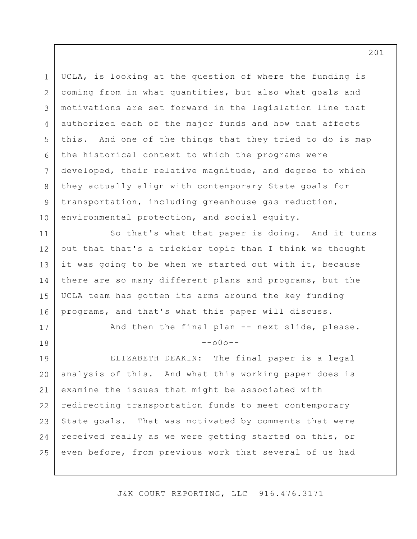1 2 3 4 5 6 7 8 9 10 UCLA, is looking at the question of where the funding is coming from in what quantities, but also what goals and motivations are set forward in the legislation line that authorized each of the major funds and how that affects this. And one of the things that they tried to do is map the historical context to which the programs were developed, their relative magnitude, and degree to which they actually align with contemporary State goals for transportation, including greenhouse gas reduction, environmental protection, and social equity.

11 12 13 14 15 16 So that's what that paper is doing. And it turns out that that's a trickier topic than I think we thought it was going to be when we started out with it, because there are so many different plans and programs, but the UCLA team has gotten its arms around the key funding programs, and that's what this paper will discuss.

And then the final plan -- next slide, please.

 $--000--$ 

19 20 21 22 23 24 25 ELIZABETH DEAKIN: The final paper is a legal analysis of this. And what this working paper does is examine the issues that might be associated with redirecting transportation funds to meet contemporary State goals. That was motivated by comments that were received really as we were getting started on this, or even before, from previous work that several of us had

17

18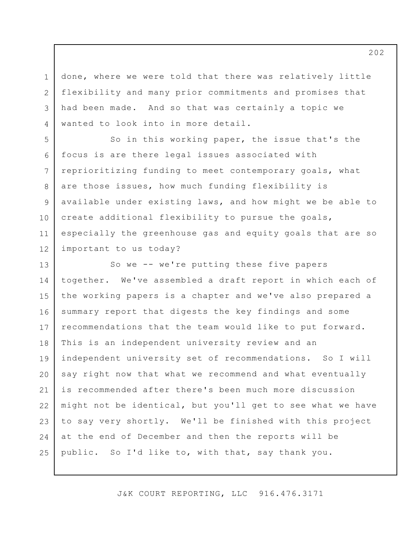done, where we were told that there was relatively little flexibility and many prior commitments and promises that had been made. And so that was certainly a topic we wanted to look into in more detail.

1

2

3

4

5 6 7 8 9 10 11 12 So in this working paper, the issue that's the focus is are there legal issues associated with reprioritizing funding to meet contemporary goals, what are those issues, how much funding flexibility is available under existing laws, and how might we be able to create additional flexibility to pursue the goals, especially the greenhouse gas and equity goals that are so important to us today?

13 14 15 16 17 18 19 20 21 22 23 24 25 So we -- we're putting these five papers together. We've assembled a draft report in which each of the working papers is a chapter and we've also prepared a summary report that digests the key findings and some recommendations that the team would like to put forward. This is an independent university review and an independent university set of recommendations. So I will say right now that what we recommend and what eventually is recommended after there's been much more discussion might not be identical, but you'll get to see what we have to say very shortly. We'll be finished with this project at the end of December and then the reports will be public. So I'd like to, with that, say thank you.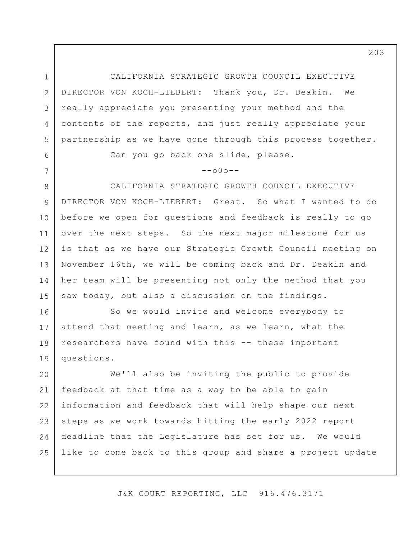1 2 3 4 5 CALIFORNIA STRATEGIC GROWTH COUNCIL EXECUTIVE DIRECTOR VON KOCH-LIEBERT: Thank you, Dr. Deakin. We really appreciate you presenting your method and the contents of the reports, and just really appreciate your partnership as we have gone through this process together.

Can you go back one slide, please.

6

7

## $--000--$

8 9 10 11 12 13 14 15 CALIFORNIA STRATEGIC GROWTH COUNCIL EXECUTIVE DIRECTOR VON KOCH-LIEBERT: Great. So what I wanted to do before we open for questions and feedback is really to go over the next steps. So the next major milestone for us is that as we have our Strategic Growth Council meeting on November 16th, we will be coming back and Dr. Deakin and her team will be presenting not only the method that you saw today, but also a discussion on the findings.

16 17 18 19 So we would invite and welcome everybody to attend that meeting and learn, as we learn, what the researchers have found with this -- these important questions.

20 21 22 23 24 25 We'll also be inviting the public to provide feedback at that time as a way to be able to gain information and feedback that will help shape our next steps as we work towards hitting the early 2022 report deadline that the Legislature has set for us. We would like to come back to this group and share a project update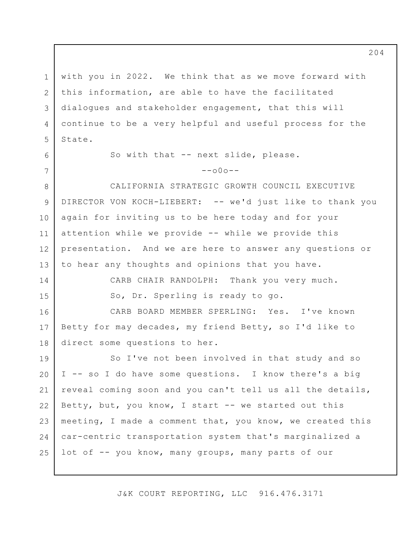1 2 3 4 5 with you in 2022. We think that as we move forward with this information, are able to have the facilitated dialogues and stakeholder engagement, that this will continue to be a very helpful and useful process for the State.

> So with that -- next slide, please.  $--000--$

8 9 10 11 12 13 CALIFORNIA STRATEGIC GROWTH COUNCIL EXECUTIVE DIRECTOR VON KOCH-LIEBERT: -- we'd just like to thank you again for inviting us to be here today and for your attention while we provide -- while we provide this presentation. And we are here to answer any questions or to hear any thoughts and opinions that you have.

14

CARB CHAIR RANDOLPH: Thank you very much.

15

6

7

So, Dr. Sperling is ready to go.

16 17 18 CARB BOARD MEMBER SPERLING: Yes. I've known Betty for may decades, my friend Betty, so I'd like to direct some questions to her.

19 20 21 22 23 24 25 So I've not been involved in that study and so I -- so I do have some questions. I know there's a big reveal coming soon and you can't tell us all the details, Betty, but, you know, I start -- we started out this meeting, I made a comment that, you know, we created this car-centric transportation system that's marginalized a lot of -- you know, many groups, many parts of our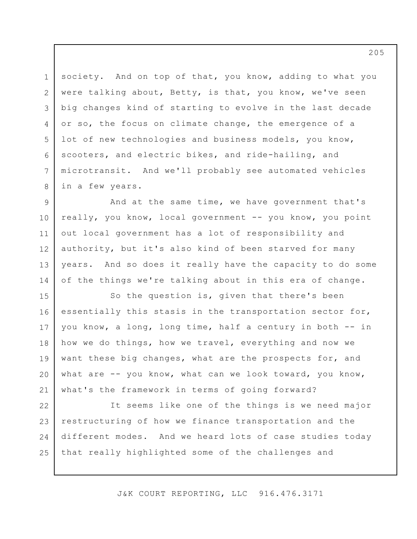3 6 society. And on top of that, you know, adding to what you were talking about, Betty, is that, you know, we've seen big changes kind of starting to evolve in the last decade or so, the focus on climate change, the emergence of a lot of new technologies and business models, you know, scooters, and electric bikes, and ride-hailing, and microtransit. And we'll probably see automated vehicles in a few years.

1

2

4

5

7

8

9 10 11 12 13 14 And at the same time, we have government that's really, you know, local government -- you know, you point out local government has a lot of responsibility and authority, but it's also kind of been starved for many years. And so does it really have the capacity to do some of the things we're talking about in this era of change.

15 16 17 18 19 20 21 So the question is, given that there's been essentially this stasis in the transportation sector for, you know, a long, long time, half a century in both -- in how we do things, how we travel, everything and now we want these big changes, what are the prospects for, and what are -- you know, what can we look toward, you know, what's the framework in terms of going forward?

22 23 24 25 It seems like one of the things is we need major restructuring of how we finance transportation and the different modes. And we heard lots of case studies today that really highlighted some of the challenges and

J&K COURT REPORTING, LLC 916.476.3171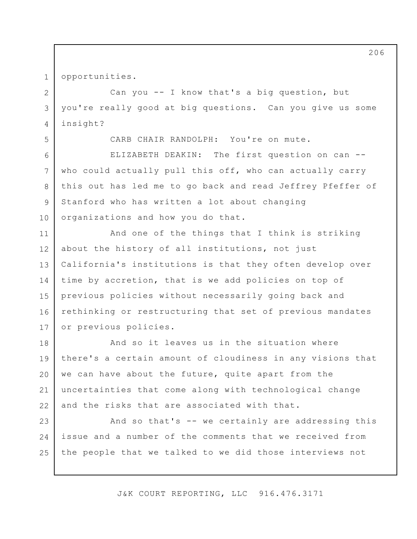1 opportunities.

Can you -- I know that's a big question, but you're really good at big questions. Can you give us some insight?

5

8

9

2

3

4

CARB CHAIR RANDOLPH: You're on mute.

6 7 10 ELIZABETH DEAKIN: The first question on can - who could actually pull this off, who can actually carry this out has led me to go back and read Jeffrey Pfeffer of Stanford who has written a lot about changing organizations and how you do that.

11 12 13 14 15 16 17 And one of the things that I think is striking about the history of all institutions, not just California's institutions is that they often develop over time by accretion, that is we add policies on top of previous policies without necessarily going back and rethinking or restructuring that set of previous mandates or previous policies.

18 19 20 21 22 And so it leaves us in the situation where there's a certain amount of cloudiness in any visions that we can have about the future, quite apart from the uncertainties that come along with technological change and the risks that are associated with that.

23 24 25 And so that's -- we certainly are addressing this issue and a number of the comments that we received from the people that we talked to we did those interviews not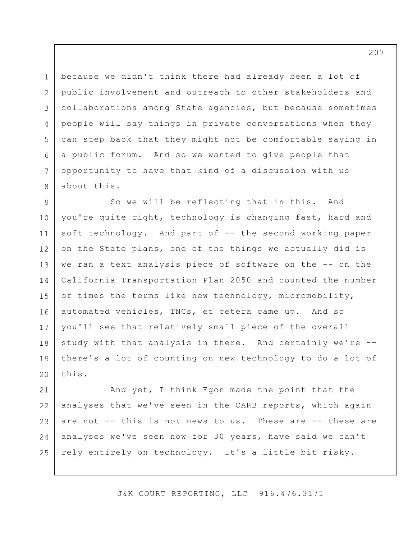1 2 3 4 5 6 7 8 because we didn't think there had already been a lot of public involvement and outreach to other stakeholders and collaborations among State agencies, but because sometimes people will say things in private conversations when they can step back that they might not be comfortable saying in a public forum. And so we wanted to give people that opportunity to have that kind of a discussion with us about this.

9 10 11 12 13 14 15 16 17 18 19 20 So we will be reflecting that in this. And you're quite right, technology is changing fast, hard and soft technology. And part of -- the second working paper on the State plans, one of the things we actually did is we ran a text analysis piece of software on the -- on the California Transportation Plan 2050 and counted the number of times the terms like new technology, micromobility, automated vehicles, TNCs, et cetera came up. And so you'll see that relatively small piece of the overall study with that analysis in there. And certainly we're - there's a lot of counting on new technology to do a lot of this.

21 22 23 24 25 And yet, I think Egon made the point that the analyses that we've seen in the CARB reports, which again are not -- this is not news to us. These are -- these are analyses we've seen now for 30 years, have said we can't rely entirely on technology. It's a little bit risky.

J&K COURT REPORTING, LLC 916.476.3171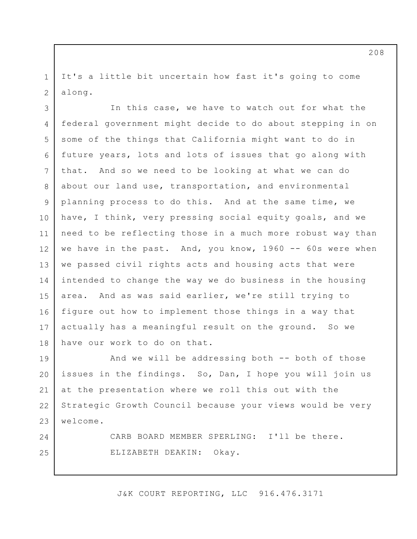It's a little bit uncertain how fast it's going to come along.

1

2

24

25

3 4 5 6 7 8 9 10 11 12 13 14 15 16 17 18 In this case, we have to watch out for what the federal government might decide to do about stepping in on some of the things that California might want to do in future years, lots and lots of issues that go along with that. And so we need to be looking at what we can do about our land use, transportation, and environmental planning process to do this. And at the same time, we have, I think, very pressing social equity goals, and we need to be reflecting those in a much more robust way than we have in the past. And, you know, 1960 -- 60s were when we passed civil rights acts and housing acts that were intended to change the way we do business in the housing area. And as was said earlier, we're still trying to figure out how to implement those things in a way that actually has a meaningful result on the ground. So we have our work to do on that.

19 20 21 22 23 And we will be addressing both -- both of those issues in the findings. So, Dan, I hope you will join us at the presentation where we roll this out with the Strategic Growth Council because your views would be very welcome.

> CARB BOARD MEMBER SPERLING: I'll be there. ELIZABETH DEAKIN: Okay.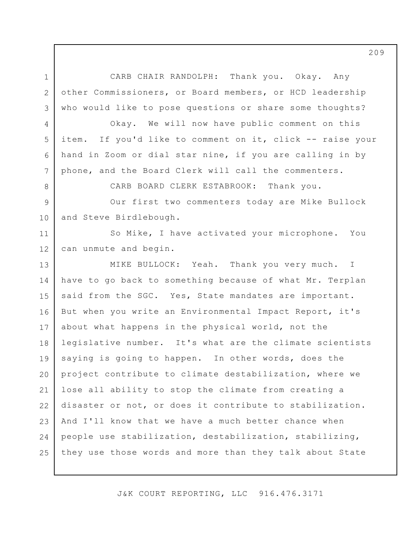1 2 3 CARB CHAIR RANDOLPH: Thank you. Okay. Any other Commissioners, or Board members, or HCD leadership who would like to pose questions or share some thoughts?

4

5

6

7

8

Okay. We will now have public comment on this item. If you'd like to comment on it, click -- raise your hand in Zoom or dial star nine, if you are calling in by phone, and the Board Clerk will call the commenters.

CARB BOARD CLERK ESTABROOK: Thank you.

9 10 Our first two commenters today are Mike Bullock and Steve Birdlebough.

11 12 So Mike, I have activated your microphone. You can unmute and begin.

13 14 15 16 17 18 19 20 21 22 23 24 25 MIKE BULLOCK: Yeah. Thank you very much. I have to go back to something because of what Mr. Terplan said from the SGC. Yes, State mandates are important. But when you write an Environmental Impact Report, it's about what happens in the physical world, not the legislative number. It's what are the climate scientists saying is going to happen. In other words, does the project contribute to climate destabilization, where we lose all ability to stop the climate from creating a disaster or not, or does it contribute to stabilization. And I'll know that we have a much better chance when people use stabilization, destabilization, stabilizing, they use those words and more than they talk about State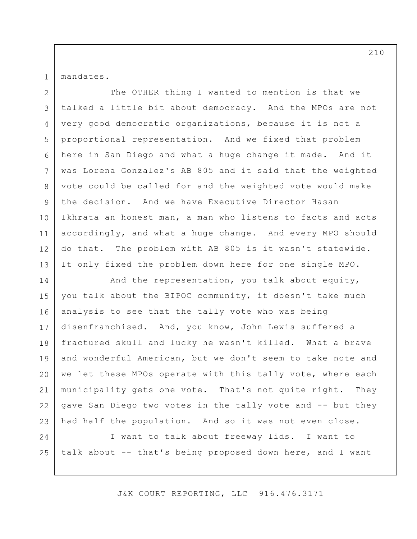mandates.

1

2 3 4 5 6 7 8 9 10 11 12 13 The OTHER thing I wanted to mention is that we talked a little bit about democracy. And the MPOs are not very good democratic organizations, because it is not a proportional representation. And we fixed that problem here in San Diego and what a huge change it made. And it was Lorena Gonzalez's AB 805 and it said that the weighted vote could be called for and the weighted vote would make the decision. And we have Executive Director Hasan Ikhrata an honest man, a man who listens to facts and acts accordingly, and what a huge change. And every MPO should do that. The problem with AB 805 is it wasn't statewide. It only fixed the problem down here for one single MPO.

14 15 16 17 18 19 20 21 22 23 And the representation, you talk about equity, you talk about the BIPOC community, it doesn't take much analysis to see that the tally vote who was being disenfranchised. And, you know, John Lewis suffered a fractured skull and lucky he wasn't killed. What a brave and wonderful American, but we don't seem to take note and we let these MPOs operate with this tally vote, where each municipality gets one vote. That's not quite right. They gave San Diego two votes in the tally vote and -- but they had half the population. And so it was not even close.

24 25 I want to talk about freeway lids. I want to talk about -- that's being proposed down here, and I want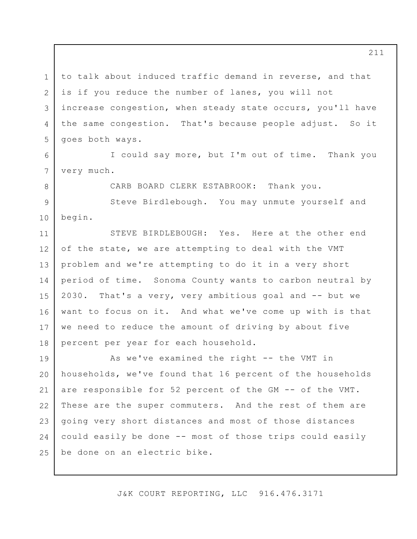1 2 3 4 5 to talk about induced traffic demand in reverse, and that is if you reduce the number of lanes, you will not increase congestion, when steady state occurs, you'll have the same congestion. That's because people adjust. So it goes both ways.

I could say more, but I'm out of time. Thank you very much.

6

7

8

CARB BOARD CLERK ESTABROOK: Thank you.

9 10 Steve Birdlebough. You may unmute yourself and begin.

11 12 13 14 15 16 17 18 STEVE BIRDLEBOUGH: Yes. Here at the other end of the state, we are attempting to deal with the VMT problem and we're attempting to do it in a very short period of time. Sonoma County wants to carbon neutral by 2030. That's a very, very ambitious goal and -- but we want to focus on it. And what we've come up with is that we need to reduce the amount of driving by about five percent per year for each household.

19 20 21 22 23 24 25 As we've examined the right -- the VMT in households, we've found that 16 percent of the households are responsible for 52 percent of the GM -- of the VMT. These are the super commuters. And the rest of them are going very short distances and most of those distances could easily be done -- most of those trips could easily be done on an electric bike.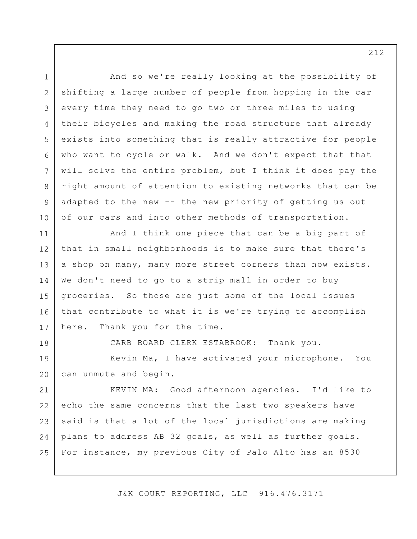1 2 3 4 5 6 7 8 9 10 11 12 13 14 15 16 17 18 19 20 21 22 23 24 25 And so we're really looking at the possibility of shifting a large number of people from hopping in the car every time they need to go two or three miles to using their bicycles and making the road structure that already exists into something that is really attractive for people who want to cycle or walk. And we don't expect that that will solve the entire problem, but I think it does pay the right amount of attention to existing networks that can be adapted to the new -- the new priority of getting us out of our cars and into other methods of transportation. And I think one piece that can be a big part of that in small neighborhoods is to make sure that there's a shop on many, many more street corners than now exists. We don't need to go to a strip mall in order to buy groceries. So those are just some of the local issues that contribute to what it is we're trying to accomplish here. Thank you for the time. CARB BOARD CLERK ESTABROOK: Thank you. Kevin Ma, I have activated your microphone. You can unmute and begin. KEVIN MA: Good afternoon agencies. I'd like to echo the same concerns that the last two speakers have said is that a lot of the local jurisdictions are making plans to address AB 32 goals, as well as further goals. For instance, my previous City of Palo Alto has an 8530

J&K COURT REPORTING, LLC 916.476.3171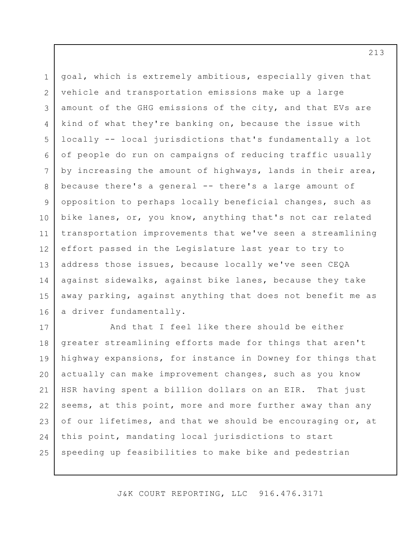1 2 3 4 5 6 7 8 9 10 11 12 13 14 15 16 goal, which is extremely ambitious, especially given that vehicle and transportation emissions make up a large amount of the GHG emissions of the city, and that EVs are kind of what they're banking on, because the issue with locally -- local jurisdictions that's fundamentally a lot of people do run on campaigns of reducing traffic usually by increasing the amount of highways, lands in their area, because there's a general -- there's a large amount of opposition to perhaps locally beneficial changes, such as bike lanes, or, you know, anything that's not car related transportation improvements that we've seen a streamlining effort passed in the Legislature last year to try to address those issues, because locally we've seen CEQA against sidewalks, against bike lanes, because they take away parking, against anything that does not benefit me as a driver fundamentally.

17 18 19 20 21 22 23 24 25 And that I feel like there should be either greater streamlining efforts made for things that aren't highway expansions, for instance in Downey for things that actually can make improvement changes, such as you know HSR having spent a billion dollars on an EIR. That just seems, at this point, more and more further away than any of our lifetimes, and that we should be encouraging or, at this point, mandating local jurisdictions to start speeding up feasibilities to make bike and pedestrian

J&K COURT REPORTING, LLC 916.476.3171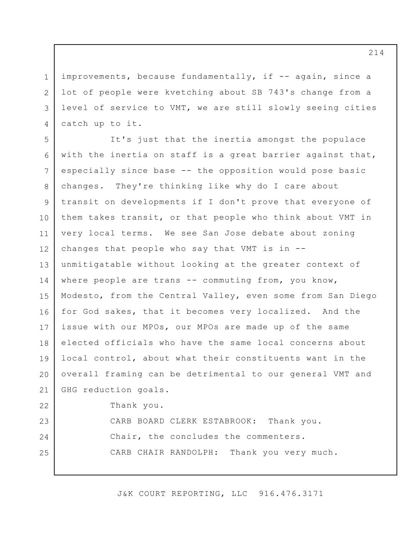improvements, because fundamentally, if -- again, since a lot of people were kvetching about SB 743's change from a level of service to VMT, we are still slowly seeing cities catch up to it.

1

2

3

4

5 6 7 8 9 10 11 12 13 14 15 16 17 18 19 20 21 22 23 24 25 It's just that the inertia amongst the populace with the inertia on staff is a great barrier against that, especially since base -- the opposition would pose basic changes. They're thinking like why do I care about transit on developments if I don't prove that everyone of them takes transit, or that people who think about VMT in very local terms. We see San Jose debate about zoning changes that people who say that VMT is in - unmitigatable without looking at the greater context of where people are trans -- commuting from, you know, Modesto, from the Central Valley, even some from San Diego for God sakes, that it becomes very localized. And the issue with our MPOs, our MPOs are made up of the same elected officials who have the same local concerns about local control, about what their constituents want in the overall framing can be detrimental to our general VMT and GHG reduction goals. Thank you. CARB BOARD CLERK ESTABROOK: Thank you. Chair, the concludes the commenters. CARB CHAIR RANDOLPH: Thank you very much.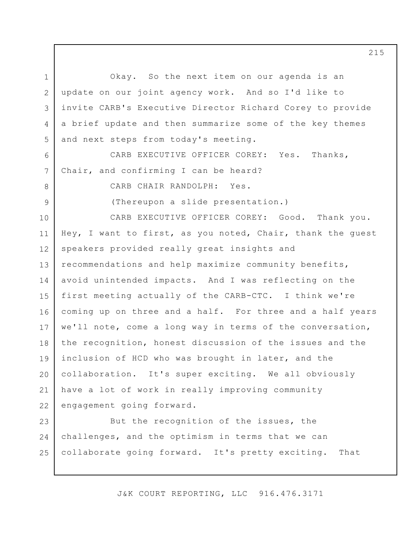1 2 3 4 5 6 7 8 9 10 11 12 13 14 15 16 17 18 19 20 21 22 23 24 Okay. So the next item on our agenda is an update on our joint agency work. And so I'd like to invite CARB's Executive Director Richard Corey to provide a brief update and then summarize some of the key themes and next steps from today's meeting. CARB EXECUTIVE OFFICER COREY: Yes. Thanks, Chair, and confirming I can be heard? CARB CHAIR RANDOLPH: Yes. (Thereupon a slide presentation.) CARB EXECUTIVE OFFICER COREY: Good. Thank you. Hey, I want to first, as you noted, Chair, thank the guest speakers provided really great insights and recommendations and help maximize community benefits, avoid unintended impacts. And I was reflecting on the first meeting actually of the CARB-CTC. I think we're coming up on three and a half. For three and a half years we'll note, come a long way in terms of the conversation, the recognition, honest discussion of the issues and the inclusion of HCD who was brought in later, and the collaboration. It's super exciting. We all obviously have a lot of work in really improving community engagement going forward. But the recognition of the issues, the challenges, and the optimism in terms that we can

collaborate going forward. It's pretty exciting. That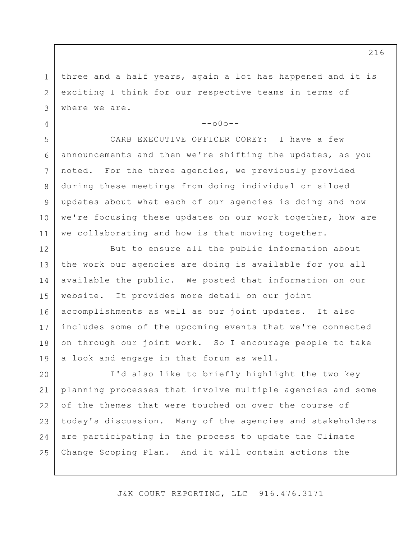1 2 3 three and a half years, again a lot has happened and it is exciting I think for our respective teams in terms of where we are.

4

5

6

7

8

9

10

11

 $--000--$ 

CARB EXECUTIVE OFFICER COREY: I have a few announcements and then we're shifting the updates, as you noted. For the three agencies, we previously provided during these meetings from doing individual or siloed updates about what each of our agencies is doing and now we're focusing these updates on our work together, how are we collaborating and how is that moving together.

12 13 14 15 16 17 18 19 But to ensure all the public information about the work our agencies are doing is available for you all available the public. We posted that information on our website. It provides more detail on our joint accomplishments as well as our joint updates. It also includes some of the upcoming events that we're connected on through our joint work. So I encourage people to take a look and engage in that forum as well.

20 21 22 23 24 25 I'd also like to briefly highlight the two key planning processes that involve multiple agencies and some of the themes that were touched on over the course of today's discussion. Many of the agencies and stakeholders are participating in the process to update the Climate Change Scoping Plan. And it will contain actions the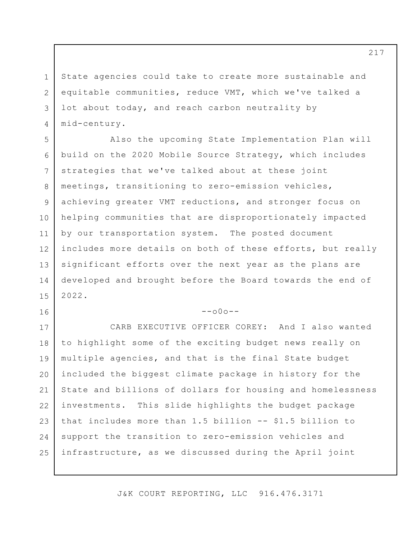State agencies could take to create more sustainable and equitable communities, reduce VMT, which we've talked a lot about today, and reach carbon neutrality by mid-century.

1

2

3

4

16

5 6 7 8 9 10 11 12 13 14 15 Also the upcoming State Implementation Plan will build on the 2020 Mobile Source Strategy, which includes strategies that we've talked about at these joint meetings, transitioning to zero-emission vehicles, achieving greater VMT reductions, and stronger focus on helping communities that are disproportionately impacted by our transportation system. The posted document includes more details on both of these efforts, but really significant efforts over the next year as the plans are developed and brought before the Board towards the end of 2022.

 $--000--$ 

17 18 19 20 21 22 23 24 25 CARB EXECUTIVE OFFICER COREY: And I also wanted to highlight some of the exciting budget news really on multiple agencies, and that is the final State budget included the biggest climate package in history for the State and billions of dollars for housing and homelessness investments. This slide highlights the budget package that includes more than 1.5 billion -- \$1.5 billion to support the transition to zero-emission vehicles and infrastructure, as we discussed during the April joint

J&K COURT REPORTING, LLC 916.476.3171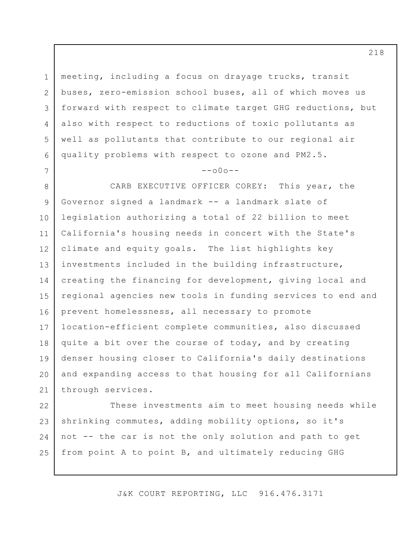1 2 3 4 5 6 meeting, including a focus on drayage trucks, transit buses, zero-emission school buses, all of which moves us forward with respect to climate target GHG reductions, but also with respect to reductions of toxic pollutants as well as pollutants that contribute to our regional air quality problems with respect to ozone and PM2.5.

## $--000--$

7

8 9 10 11 12 13 14 15 16 17 18 19 20 21 CARB EXECUTIVE OFFICER COREY: This year, the Governor signed a landmark -- a landmark slate of legislation authorizing a total of 22 billion to meet California's housing needs in concert with the State's climate and equity goals. The list highlights key investments included in the building infrastructure, creating the financing for development, giving local and regional agencies new tools in funding services to end and prevent homelessness, all necessary to promote location-efficient complete communities, also discussed quite a bit over the course of today, and by creating denser housing closer to California's daily destinations and expanding access to that housing for all Californians through services.

22 23 24 25 These investments aim to meet housing needs while shrinking commutes, adding mobility options, so it's not -- the car is not the only solution and path to get from point A to point B, and ultimately reducing GHG

J&K COURT REPORTING, LLC 916.476.3171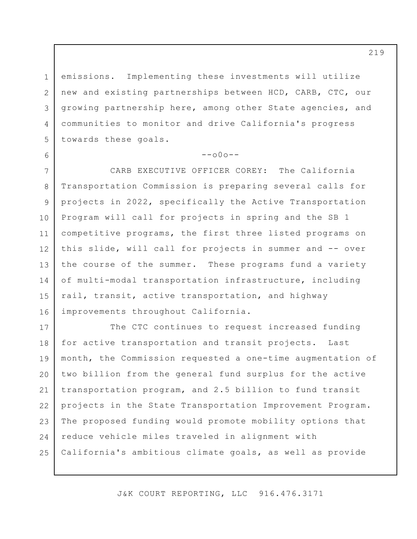1 2 3 4 5 emissions. Implementing these investments will utilize new and existing partnerships between HCD, CARB, CTC, our growing partnership here, among other State agencies, and communities to monitor and drive California's progress towards these goals.

6

## $--000--$

7 8 9 10 11 12 13 14 15 16 CARB EXECUTIVE OFFICER COREY: The California Transportation Commission is preparing several calls for projects in 2022, specifically the Active Transportation Program will call for projects in spring and the SB 1 competitive programs, the first three listed programs on this slide, will call for projects in summer and -- over the course of the summer. These programs fund a variety of multi-modal transportation infrastructure, including rail, transit, active transportation, and highway improvements throughout California.

17 18 19 20 21 22 23 24 25 The CTC continues to request increased funding for active transportation and transit projects. Last month, the Commission requested a one-time augmentation of two billion from the general fund surplus for the active transportation program, and 2.5 billion to fund transit projects in the State Transportation Improvement Program. The proposed funding would promote mobility options that reduce vehicle miles traveled in alignment with California's ambitious climate goals, as well as provide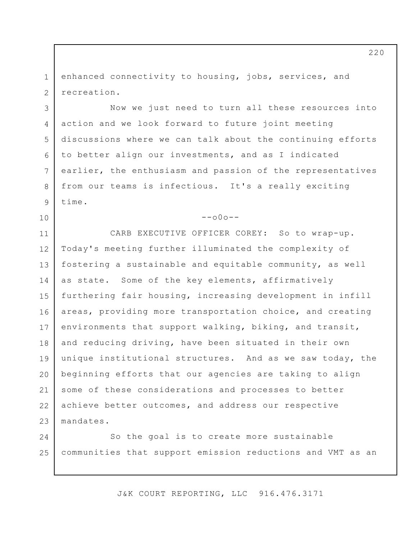1 2 enhanced connectivity to housing, jobs, services, and recreation.

3

4

5

6

7

8

9

10

Now we just need to turn all these resources into action and we look forward to future joint meeting discussions where we can talk about the continuing efforts to better align our investments, and as I indicated earlier, the enthusiasm and passion of the representatives from our teams is infectious. It's a really exciting time.

 $--000--$ 

11 12 13 14 15 16 17 18 19 20 21 22 23 CARB EXECUTIVE OFFICER COREY: So to wrap-up. Today's meeting further illuminated the complexity of fostering a sustainable and equitable community, as well as state. Some of the key elements, affirmatively furthering fair housing, increasing development in infill areas, providing more transportation choice, and creating environments that support walking, biking, and transit, and reducing driving, have been situated in their own unique institutional structures. And as we saw today, the beginning efforts that our agencies are taking to align some of these considerations and processes to better achieve better outcomes, and address our respective mandates.

24 25 So the goal is to create more sustainable communities that support emission reductions and VMT as an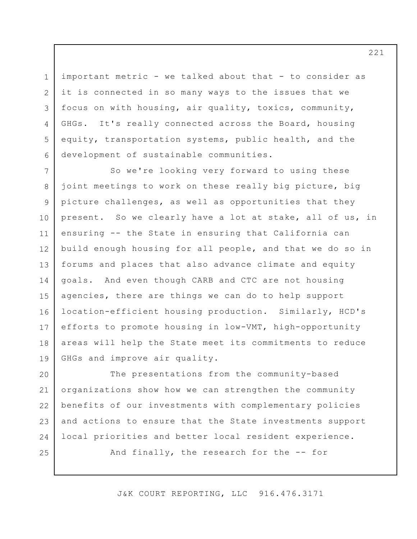important metric - we talked about that - to consider as it is connected in so many ways to the issues that we focus on with housing, air quality, toxics, community, GHGs. It's really connected across the Board, housing equity, transportation systems, public health, and the development of sustainable communities.

1

2

3

4

5

6

25

7 8 9 10 11 12 13 14 15 16 17 18 19 So we're looking very forward to using these joint meetings to work on these really big picture, big picture challenges, as well as opportunities that they present. So we clearly have a lot at stake, all of us, in ensuring -- the State in ensuring that California can build enough housing for all people, and that we do so in forums and places that also advance climate and equity goals. And even though CARB and CTC are not housing agencies, there are things we can do to help support location-efficient housing production. Similarly, HCD's efforts to promote housing in low-VMT, high-opportunity areas will help the State meet its commitments to reduce GHGs and improve air quality.

20 21 22 23 24 The presentations from the community-based organizations show how we can strengthen the community benefits of our investments with complementary policies and actions to ensure that the State investments support local priorities and better local resident experience.

And finally, the research for the -- for

J&K COURT REPORTING, LLC 916.476.3171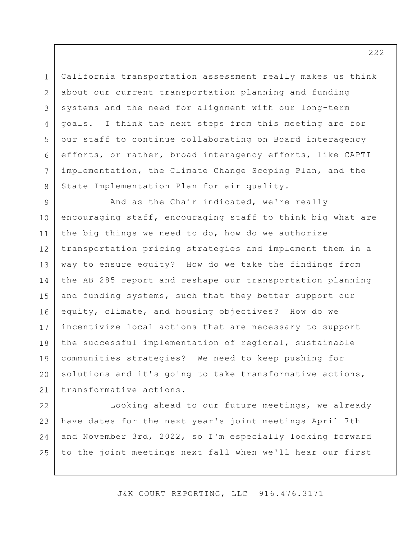California transportation assessment really makes us think about our current transportation planning and funding systems and the need for alignment with our long-term goals. I think the next steps from this meeting are for our staff to continue collaborating on Board interagency efforts, or rather, broad interagency efforts, like CAPTI implementation, the Climate Change Scoping Plan, and the State Implementation Plan for air quality.

1

2

3

4

5

6

7

8

9 10 11 12 13 14 15 16 17 18 19 20 21 And as the Chair indicated, we're really encouraging staff, encouraging staff to think big what are the big things we need to do, how do we authorize transportation pricing strategies and implement them in a way to ensure equity? How do we take the findings from the AB 285 report and reshape our transportation planning and funding systems, such that they better support our equity, climate, and housing objectives? How do we incentivize local actions that are necessary to support the successful implementation of regional, sustainable communities strategies? We need to keep pushing for solutions and it's going to take transformative actions, transformative actions.

22 23 24 25 Looking ahead to our future meetings, we already have dates for the next year's joint meetings April 7th and November 3rd, 2022, so I'm especially looking forward to the joint meetings next fall when we'll hear our first

J&K COURT REPORTING, LLC 916.476.3171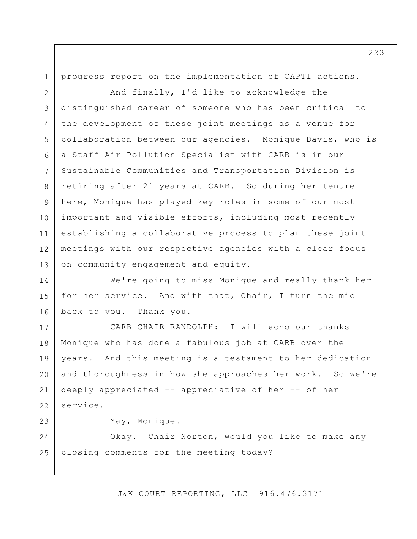1

progress report on the implementation of CAPTI actions.

2 3 4 5 6 7 8 9 10 11 12 13 And finally, I'd like to acknowledge the distinguished career of someone who has been critical to the development of these joint meetings as a venue for collaboration between our agencies. Monique Davis, who is a Staff Air Pollution Specialist with CARB is in our Sustainable Communities and Transportation Division is retiring after 21 years at CARB. So during her tenure here, Monique has played key roles in some of our most important and visible efforts, including most recently establishing a collaborative process to plan these joint meetings with our respective agencies with a clear focus on community engagement and equity.

14 15 16 We're going to miss Monique and really thank her for her service. And with that, Chair, I turn the mic back to you. Thank you.

17 18 19 20 21 22 CARB CHAIR RANDOLPH: I will echo our thanks Monique who has done a fabulous job at CARB over the years. And this meeting is a testament to her dedication and thoroughness in how she approaches her work. So we're deeply appreciated -- appreciative of her -- of her service.

23

Yay, Monique.

24 25 Okay. Chair Norton, would you like to make any closing comments for the meeting today?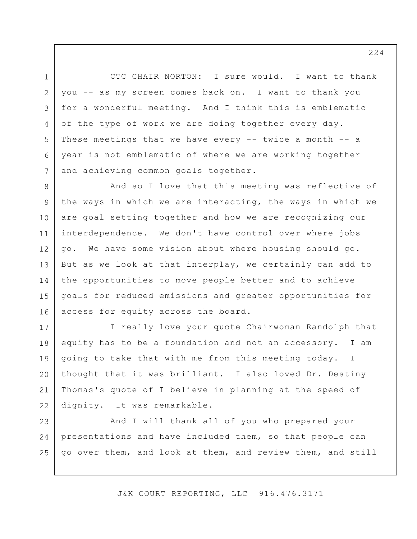3 6 CTC CHAIR NORTON: I sure would. I want to thank you -- as my screen comes back on. I want to thank you for a wonderful meeting. And I think this is emblematic of the type of work we are doing together every day. These meetings that we have every -- twice a month -- a year is not emblematic of where we are working together and achieving common goals together.

1

2

4

5

7

8 9 10 11 12 13 14 15 16 And so I love that this meeting was reflective of the ways in which we are interacting, the ways in which we are goal setting together and how we are recognizing our interdependence. We don't have control over where jobs go. We have some vision about where housing should go. But as we look at that interplay, we certainly can add to the opportunities to move people better and to achieve goals for reduced emissions and greater opportunities for access for equity across the board.

17 18 19 20 21 22 I really love your quote Chairwoman Randolph that equity has to be a foundation and not an accessory. I am going to take that with me from this meeting today. I thought that it was brilliant. I also loved Dr. Destiny Thomas's quote of I believe in planning at the speed of dignity. It was remarkable.

23 24 25 And I will thank all of you who prepared your presentations and have included them, so that people can go over them, and look at them, and review them, and still

J&K COURT REPORTING, LLC 916.476.3171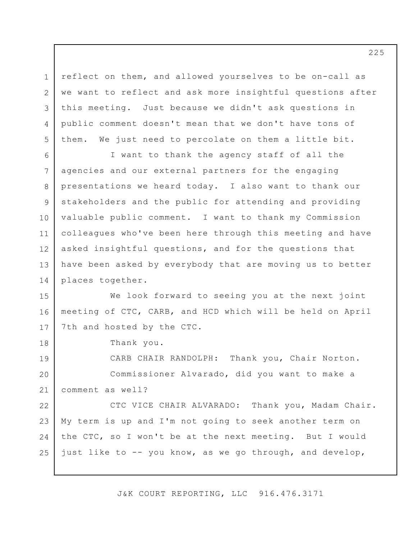1 2 3 4 5 reflect on them, and allowed yourselves to be on-call as we want to reflect and ask more insightful questions after this meeting. Just because we didn't ask questions in public comment doesn't mean that we don't have tons of them. We just need to percolate on them a little bit.

6 7 8 9 10 11 12 13 14 I want to thank the agency staff of all the agencies and our external partners for the engaging presentations we heard today. I also want to thank our stakeholders and the public for attending and providing valuable public comment. I want to thank my Commission colleagues who've been here through this meeting and have asked insightful questions, and for the questions that have been asked by everybody that are moving us to better places together.

15 16 17 We look forward to seeing you at the next joint meeting of CTC, CARB, and HCD which will be held on April 7th and hosted by the CTC.

Thank you.

18

19 20 21 CARB CHAIR RANDOLPH: Thank you, Chair Norton. Commissioner Alvarado, did you want to make a comment as well?

22 23 24 25 CTC VICE CHAIR ALVARADO: Thank you, Madam Chair. My term is up and I'm not going to seek another term on the CTC, so I won't be at the next meeting. But I would just like to -- you know, as we go through, and develop,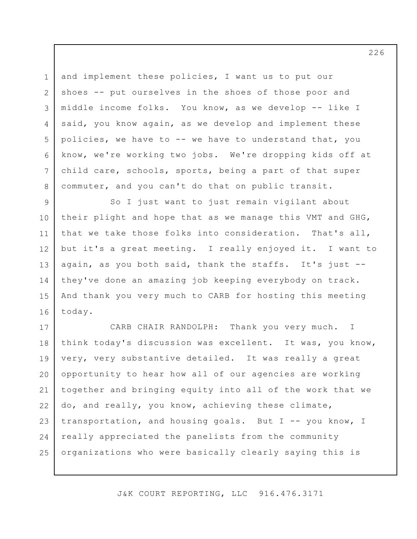and implement these policies, I want us to put our shoes -- put ourselves in the shoes of those poor and middle income folks. You know, as we develop -- like I said, you know again, as we develop and implement these policies, we have to -- we have to understand that, you know, we're working two jobs. We're dropping kids off at child care, schools, sports, being a part of that super commuter, and you can't do that on public transit.

1

2

3

4

5

6

7

8

9 10 11 12 13 14 15 16 So I just want to just remain vigilant about their plight and hope that as we manage this VMT and GHG, that we take those folks into consideration. That's all, but it's a great meeting. I really enjoyed it. I want to again, as you both said, thank the staffs. It's just - they've done an amazing job keeping everybody on track. And thank you very much to CARB for hosting this meeting today.

17 18 19 20 21 22 23 24 25 CARB CHAIR RANDOLPH: Thank you very much. I think today's discussion was excellent. It was, you know, very, very substantive detailed. It was really a great opportunity to hear how all of our agencies are working together and bringing equity into all of the work that we do, and really, you know, achieving these climate, transportation, and housing goals. But I -- you know, I really appreciated the panelists from the community organizations who were basically clearly saying this is

J&K COURT REPORTING, LLC 916.476.3171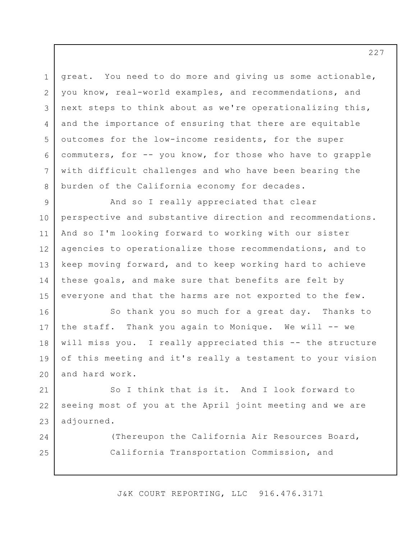3 6 great. You need to do more and giving us some actionable, you know, real-world examples, and recommendations, and next steps to think about as we're operationalizing this, and the importance of ensuring that there are equitable outcomes for the low-income residents, for the super commuters, for -- you know, for those who have to grapple with difficult challenges and who have been bearing the burden of the California economy for decades.

1

2

4

5

7

8

24

25

9 10 11 12 13 14 15 And so I really appreciated that clear perspective and substantive direction and recommendations. And so I'm looking forward to working with our sister agencies to operationalize those recommendations, and to keep moving forward, and to keep working hard to achieve these goals, and make sure that benefits are felt by everyone and that the harms are not exported to the few.

16 17 18 19 20 So thank you so much for a great day. Thanks to the staff. Thank you again to Monique. We will -- we will miss you. I really appreciated this -- the structure of this meeting and it's really a testament to your vision and hard work.

21 22 23 So I think that is it. And I look forward to seeing most of you at the April joint meeting and we are adjourned.

> (Thereupon the California Air Resources Board, California Transportation Commission, and

J&K COURT REPORTING, LLC 916.476.3171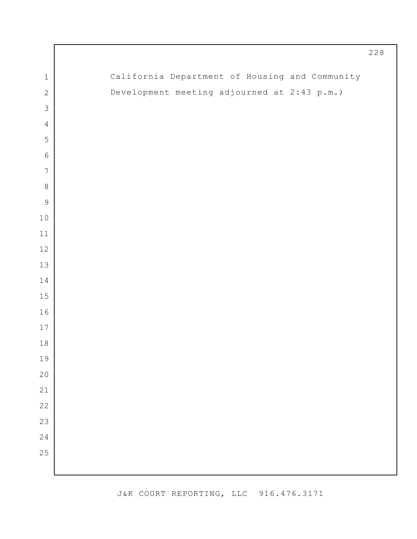|                  |                                                | $228$ |
|------------------|------------------------------------------------|-------|
| $\mathbf 1$      | California Department of Housing and Community |       |
| $\mathbf{2}$     | Development meeting adjourned at 2:43 p.m.)    |       |
| $\mathfrak{Z}$   |                                                |       |
| $\overline{4}$   |                                                |       |
| $\mathbf 5$      |                                                |       |
| $\epsilon$       |                                                |       |
| $\boldsymbol{7}$ |                                                |       |
| $\,8\,$          |                                                |       |
| $\mathsf 9$      |                                                |       |
| $10$             |                                                |       |
| $11$             |                                                |       |
| $12$             |                                                |       |
| $13\,$           |                                                |       |
| 14               |                                                |       |
| $15$             |                                                |       |
| 16               |                                                |       |
| $17$             |                                                |       |
| $18\,$           |                                                |       |
| 19               |                                                |       |
| 20               |                                                |       |
| 21               |                                                |       |
| $2\sqrt{2}$      |                                                |       |
| 23               |                                                |       |
| 24               |                                                |       |
| 25               |                                                |       |
|                  |                                                |       |

Г